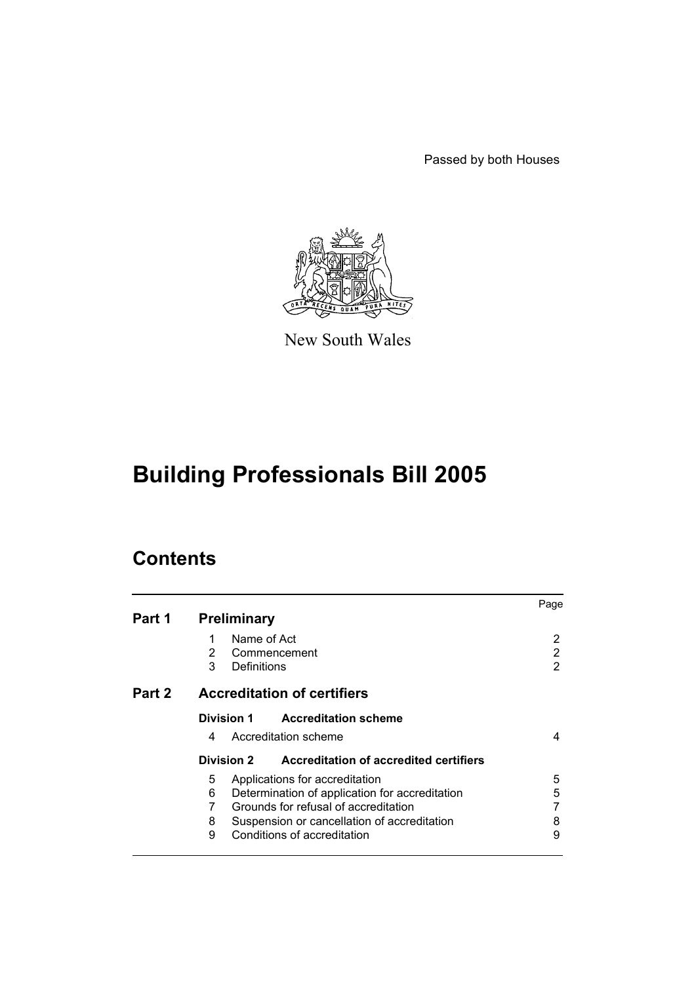Passed by both Houses



New South Wales

# **Building Professionals Bill 2005**

# **Contents**

|        |                    |                                                | Page |
|--------|--------------------|------------------------------------------------|------|
| Part 1 | <b>Preliminary</b> |                                                |      |
|        | 1                  | Name of Act                                    | 2    |
|        | $\overline{2}$     | Commencement                                   | 2    |
|        | 3                  | Definitions                                    | 2    |
| Part 2 |                    | <b>Accreditation of certifiers</b>             |      |
|        |                    | Division 1 Accreditation scheme                |      |
|        | 4                  | Accreditation scheme                           | 4    |
|        | Division 2         | Accreditation of accredited certifiers         |      |
|        | 5                  | Applications for accreditation                 | 5    |
|        | 6                  | Determination of application for accreditation | 5    |
|        | 7                  | Grounds for refusal of accreditation           |      |
|        | 8                  | Suspension or cancellation of accreditation    | 8    |
|        | 9                  | Conditions of accreditation                    | 9    |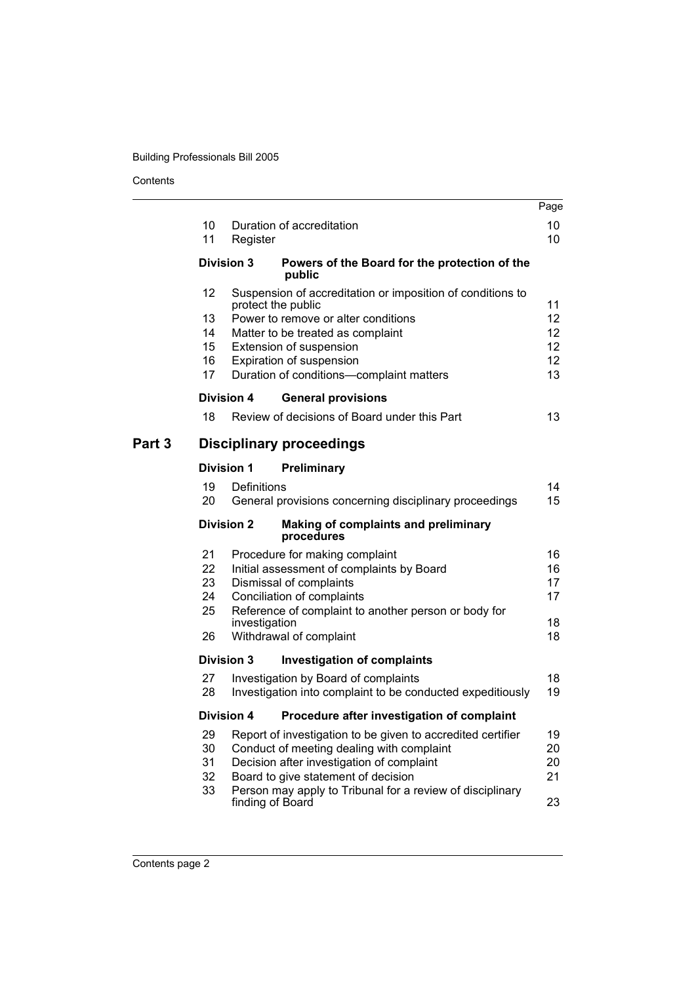Contents

|        |                                  |                    |                                                                                                                                                                                                                                                           | Page                             |  |  |
|--------|----------------------------------|--------------------|-----------------------------------------------------------------------------------------------------------------------------------------------------------------------------------------------------------------------------------------------------------|----------------------------------|--|--|
|        | 10<br>11                         | Register           | Duration of accreditation                                                                                                                                                                                                                                 | 10<br>10                         |  |  |
|        |                                  | <b>Division 3</b>  | Powers of the Board for the protection of the<br>public                                                                                                                                                                                                   |                                  |  |  |
|        | 12<br>13<br>14<br>15<br>16<br>17 | protect the public | Suspension of accreditation or imposition of conditions to<br>Power to remove or alter conditions<br>Matter to be treated as complaint<br>Extension of suspension<br>Expiration of suspension<br>Duration of conditions-complaint matters                 | 11<br>12<br>12<br>12<br>12<br>13 |  |  |
|        |                                  | Division 4         | <b>General provisions</b>                                                                                                                                                                                                                                 |                                  |  |  |
|        | 18                               |                    | Review of decisions of Board under this Part                                                                                                                                                                                                              | 13                               |  |  |
| Part 3 |                                  |                    | <b>Disciplinary proceedings</b>                                                                                                                                                                                                                           |                                  |  |  |
|        |                                  | <b>Division 1</b>  | Preliminary                                                                                                                                                                                                                                               |                                  |  |  |
|        | 19<br>20                         | Definitions        | General provisions concerning disciplinary proceedings                                                                                                                                                                                                    | 14<br>15                         |  |  |
|        |                                  | <b>Division 2</b>  | Making of complaints and preliminary<br>procedures                                                                                                                                                                                                        |                                  |  |  |
|        | 21<br>22<br>23<br>24<br>25<br>26 | investigation      | Procedure for making complaint<br>Initial assessment of complaints by Board<br>Dismissal of complaints<br>Conciliation of complaints<br>Reference of complaint to another person or body for<br>Withdrawal of complaint                                   | 16<br>16<br>17<br>17<br>18<br>18 |  |  |
|        |                                  | <b>Division 3</b>  | <b>Investigation of complaints</b>                                                                                                                                                                                                                        |                                  |  |  |
|        | 27<br>28                         |                    | Investigation by Board of complaints<br>Investigation into complaint to be conducted expeditiously                                                                                                                                                        | 18<br>19                         |  |  |
|        |                                  | <b>Division 4</b>  | Procedure after investigation of complaint                                                                                                                                                                                                                |                                  |  |  |
|        | 29<br>30<br>31<br>32<br>33       | finding of Board   | Report of investigation to be given to accredited certifier<br>Conduct of meeting dealing with complaint<br>Decision after investigation of complaint<br>Board to give statement of decision<br>Person may apply to Tribunal for a review of disciplinary | 19<br>20<br>20<br>21<br>23       |  |  |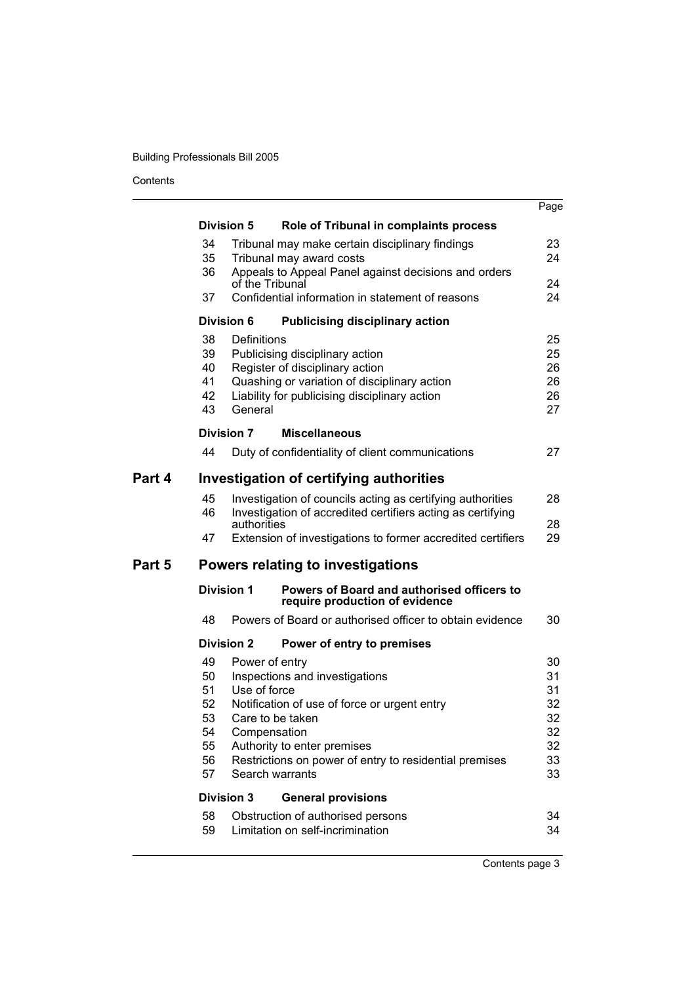Contents

|        |                                                    |                                                                                       |                                                                                                                                                                         | Page                                               |
|--------|----------------------------------------------------|---------------------------------------------------------------------------------------|-------------------------------------------------------------------------------------------------------------------------------------------------------------------------|----------------------------------------------------|
|        |                                                    | <b>Division 5</b>                                                                     | Role of Tribunal in complaints process                                                                                                                                  |                                                    |
|        | 34<br>35                                           |                                                                                       | Tribunal may make certain disciplinary findings<br>Tribunal may award costs                                                                                             | 23<br>24                                           |
|        | 36                                                 | of the Tribunal                                                                       | Appeals to Appeal Panel against decisions and orders                                                                                                                    | 24                                                 |
|        | 37                                                 |                                                                                       | Confidential information in statement of reasons                                                                                                                        | 24                                                 |
|        |                                                    | <b>Division 6</b>                                                                     | <b>Publicising disciplinary action</b>                                                                                                                                  |                                                    |
|        | 38<br>39<br>40<br>41<br>42<br>43                   | Definitions<br>General                                                                | Publicising disciplinary action<br>Register of disciplinary action<br>Quashing or variation of disciplinary action<br>Liability for publicising disciplinary action     | 25<br>25<br>26<br>26<br>26<br>27                   |
|        |                                                    | <b>Division 7</b>                                                                     | <b>Miscellaneous</b>                                                                                                                                                    |                                                    |
|        | 44                                                 |                                                                                       | Duty of confidentiality of client communications                                                                                                                        | 27                                                 |
| Part 4 |                                                    |                                                                                       | <b>Investigation of certifying authorities</b>                                                                                                                          |                                                    |
|        | 45<br>46                                           | authorities                                                                           | Investigation of councils acting as certifying authorities<br>Investigation of accredited certifiers acting as certifying                                               | 28<br>28                                           |
|        | 47                                                 |                                                                                       | Extension of investigations to former accredited certifiers                                                                                                             | 29                                                 |
| Part 5 |                                                    |                                                                                       | Powers relating to investigations                                                                                                                                       |                                                    |
|        |                                                    | <b>Division 1</b>                                                                     | Powers of Board and authorised officers to<br>require production of evidence                                                                                            |                                                    |
|        | 48                                                 |                                                                                       | Powers of Board or authorised officer to obtain evidence                                                                                                                | 30                                                 |
|        |                                                    | <b>Division 2</b>                                                                     | Power of entry to premises                                                                                                                                              |                                                    |
|        | 49<br>50<br>51<br>52<br>53<br>54<br>55<br>56<br>57 | Power of entry<br>Use of force<br>Care to be taken<br>Compensation<br>Search warrants | Inspections and investigations<br>Notification of use of force or urgent entry<br>Authority to enter premises<br>Restrictions on power of entry to residential premises | 30<br>31<br>31<br>32<br>32<br>32<br>32<br>33<br>33 |
|        |                                                    | <b>Division 3</b>                                                                     | <b>General provisions</b>                                                                                                                                               |                                                    |
|        | 58<br>59                                           |                                                                                       | Obstruction of authorised persons<br>Limitation on self-incrimination                                                                                                   | 34<br>34                                           |

Contents page 3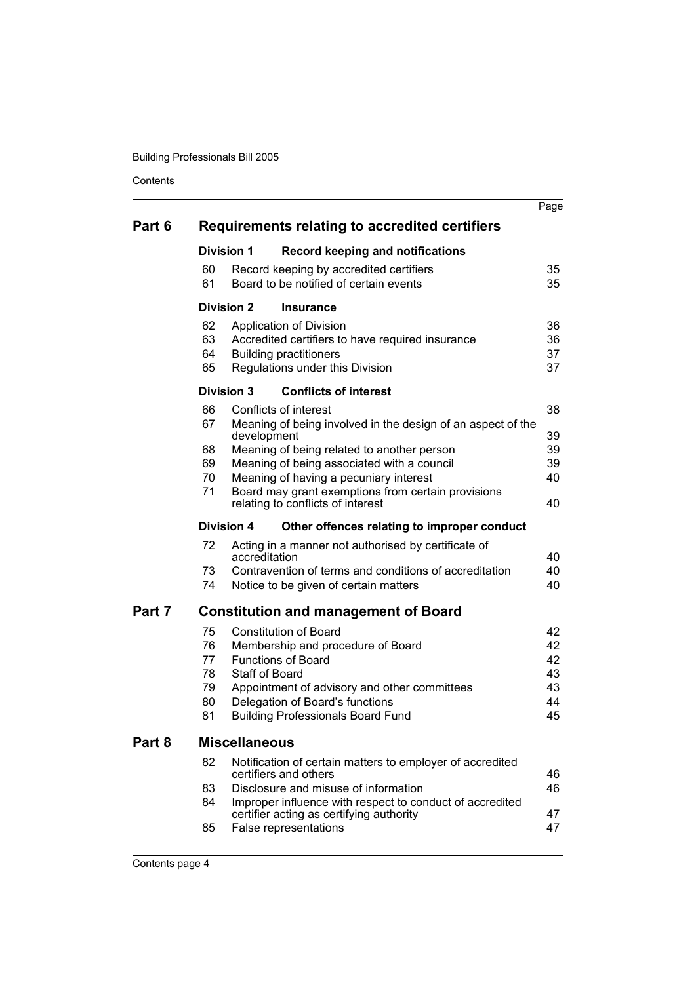**Contents** 

|        |                                                                                                                                                                                                                                                                                           | Page                                   |
|--------|-------------------------------------------------------------------------------------------------------------------------------------------------------------------------------------------------------------------------------------------------------------------------------------------|----------------------------------------|
| Part 6 | Requirements relating to accredited certifiers                                                                                                                                                                                                                                            |                                        |
|        | <b>Division 1</b><br><b>Record keeping and notifications</b>                                                                                                                                                                                                                              |                                        |
|        | 60<br>Record keeping by accredited certifiers<br>61<br>Board to be notified of certain events                                                                                                                                                                                             | 35<br>35                               |
|        | Division 2<br><b>Insurance</b>                                                                                                                                                                                                                                                            |                                        |
|        | 62<br>Application of Division<br>63<br>Accredited certifiers to have required insurance<br>64<br><b>Building practitioners</b><br>65<br>Regulations under this Division                                                                                                                   | 36<br>36<br>37<br>37                   |
|        | <b>Conflicts of interest</b><br><b>Division 3</b>                                                                                                                                                                                                                                         |                                        |
|        | 66<br>Conflicts of interest<br>67<br>Meaning of being involved in the design of an aspect of the<br>development                                                                                                                                                                           | 38<br>39                               |
|        | Meaning of being related to another person<br>68<br>69<br>Meaning of being associated with a council<br>Meaning of having a pecuniary interest<br>70                                                                                                                                      | 39<br>39<br>40                         |
|        | 71<br>Board may grant exemptions from certain provisions<br>relating to conflicts of interest                                                                                                                                                                                             | 40                                     |
|        | <b>Division 4</b><br>Other offences relating to improper conduct                                                                                                                                                                                                                          |                                        |
|        | 72<br>Acting in a manner not authorised by certificate of<br>accreditation                                                                                                                                                                                                                | 40                                     |
|        | Contravention of terms and conditions of accreditation<br>73<br>74<br>Notice to be given of certain matters                                                                                                                                                                               | 40<br>40                               |
| Part 7 | <b>Constitution and management of Board</b>                                                                                                                                                                                                                                               |                                        |
|        | 75<br><b>Constitution of Board</b><br>76<br>Membership and procedure of Board<br><b>Functions of Board</b><br>77<br>Staff of Board<br>78<br>79<br>Appointment of advisory and other committees<br>80<br>Delegation of Board's functions<br><b>Building Professionals Board Fund</b><br>81 | 42<br>42<br>42<br>43<br>43<br>44<br>45 |
| Part 8 | <b>Miscellaneous</b>                                                                                                                                                                                                                                                                      |                                        |
|        | 82<br>Notification of certain matters to employer of accredited<br>certifiers and others<br>Disclosure and misuse of information<br>83<br>84<br>Improper influence with respect to conduct of accredited<br>certifier acting as certifying authority<br>False representations<br>85       | 46<br>46<br>47<br>47                   |
|        |                                                                                                                                                                                                                                                                                           |                                        |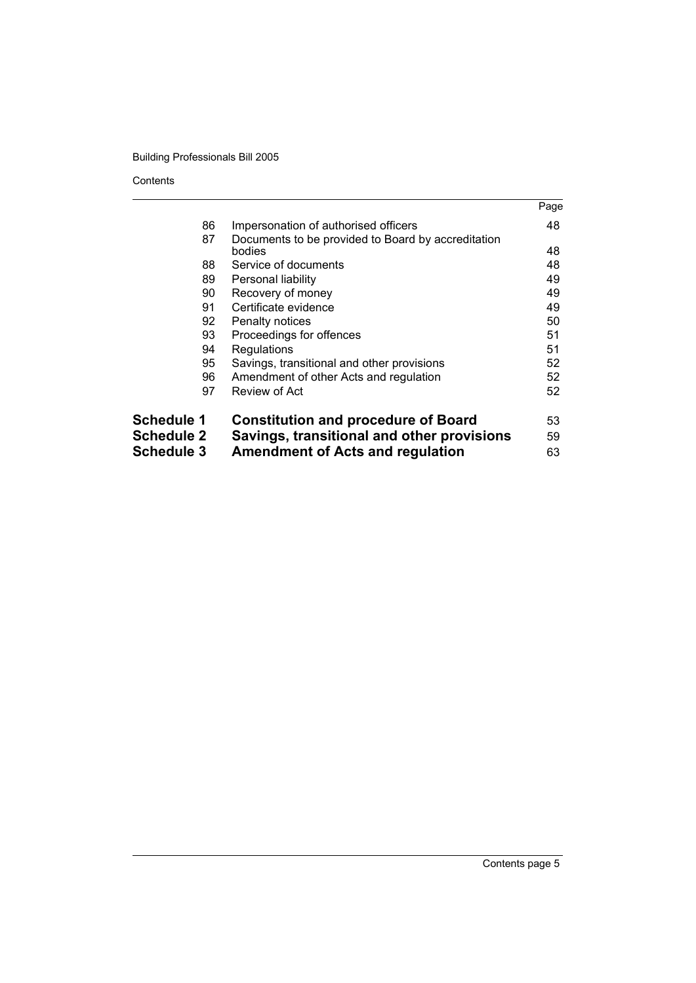## Contents

|                   |                                                    | Page |
|-------------------|----------------------------------------------------|------|
| 86                | Impersonation of authorised officers               | 48   |
| 87                | Documents to be provided to Board by accreditation |      |
|                   | bodies                                             | 48   |
| 88                | Service of documents                               | 48   |
| 89                | Personal liability                                 | 49   |
| 90                | Recovery of money                                  | 49   |
| 91                | Certificate evidence                               | 49   |
| 92                | Penalty notices                                    | 50   |
| 93                | Proceedings for offences                           | 51   |
| 94                | <b>Regulations</b>                                 | 51   |
| 95                | Savings, transitional and other provisions         | 52   |
| 96                | Amendment of other Acts and regulation             | 52   |
| 97                | Review of Act                                      | 52   |
| <b>Schedule 1</b> | <b>Constitution and procedure of Board</b>         | 53   |
| <b>Schedule 2</b> | Savings, transitional and other provisions         | 59   |
| <b>Schedule 3</b> | <b>Amendment of Acts and regulation</b>            | 63   |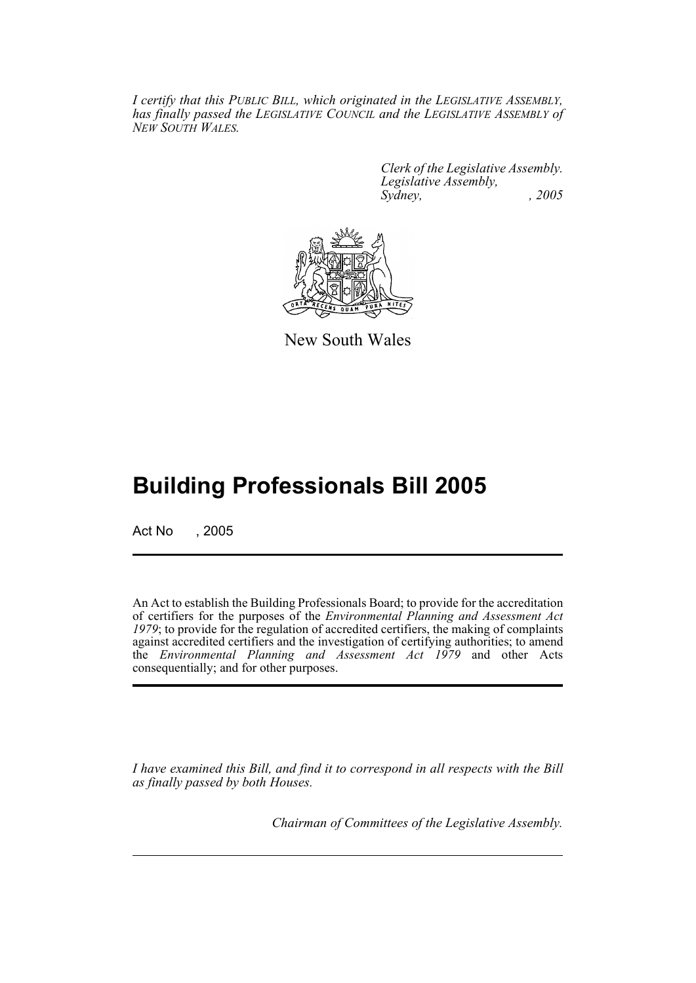*I certify that this PUBLIC BILL, which originated in the LEGISLATIVE ASSEMBLY, has finally passed the LEGISLATIVE COUNCIL and the LEGISLATIVE ASSEMBLY of NEW SOUTH WALES.*

> *Clerk of the Legislative Assembly. Legislative Assembly, Sydney, , 2005*



New South Wales

# **Building Professionals Bill 2005**

Act No , 2005

An Act to establish the Building Professionals Board; to provide for the accreditation of certifiers for the purposes of the *Environmental Planning and Assessment Act 1979*; to provide for the regulation of accredited certifiers, the making of complaints against accredited certifiers and the investigation of certifying authorities; to amend the *Environmental Planning and Assessment Act 1979* and other Acts consequentially; and for other purposes.

*I have examined this Bill, and find it to correspond in all respects with the Bill as finally passed by both Houses.*

*Chairman of Committees of the Legislative Assembly.*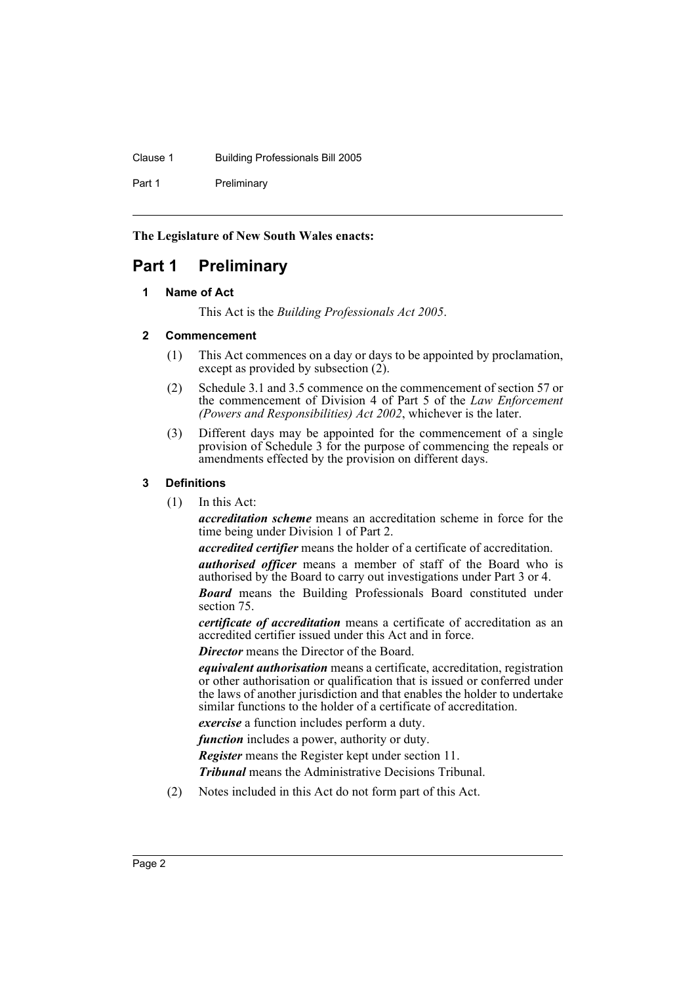#### Clause 1 Building Professionals Bill 2005

Part 1 Preliminary

**The Legislature of New South Wales enacts:**

# **Part 1 Preliminary**

## **1 Name of Act**

This Act is the *Building Professionals Act 2005*.

## **2 Commencement**

- (1) This Act commences on a day or days to be appointed by proclamation, except as provided by subsection (2).
- (2) Schedule 3.1 and 3.5 commence on the commencement of section 57 or the commencement of Division 4 of Part 5 of the *Law Enforcement (Powers and Responsibilities) Act 2002*, whichever is the later.
- (3) Different days may be appointed for the commencement of a single provision of Schedule 3 for the purpose of commencing the repeals or amendments effected by the provision on different days.

## **3 Definitions**

(1) In this Act:

*accreditation scheme* means an accreditation scheme in force for the time being under Division 1 of Part 2.

*accredited certifier* means the holder of a certificate of accreditation. *authorised officer* means a member of staff of the Board who is authorised by the Board to carry out investigations under Part 3 or 4.

*Board* means the Building Professionals Board constituted under section 75.

*certificate of accreditation* means a certificate of accreditation as an accredited certifier issued under this Act and in force.

*Director* means the Director of the Board.

*equivalent authorisation* means a certificate, accreditation, registration or other authorisation or qualification that is issued or conferred under the laws of another jurisdiction and that enables the holder to undertake similar functions to the holder of a certificate of accreditation.

*exercise* a function includes perform a duty.

*function* includes a power, authority or duty.

*Register* means the Register kept under section 11.

*Tribunal* means the Administrative Decisions Tribunal.

(2) Notes included in this Act do not form part of this Act.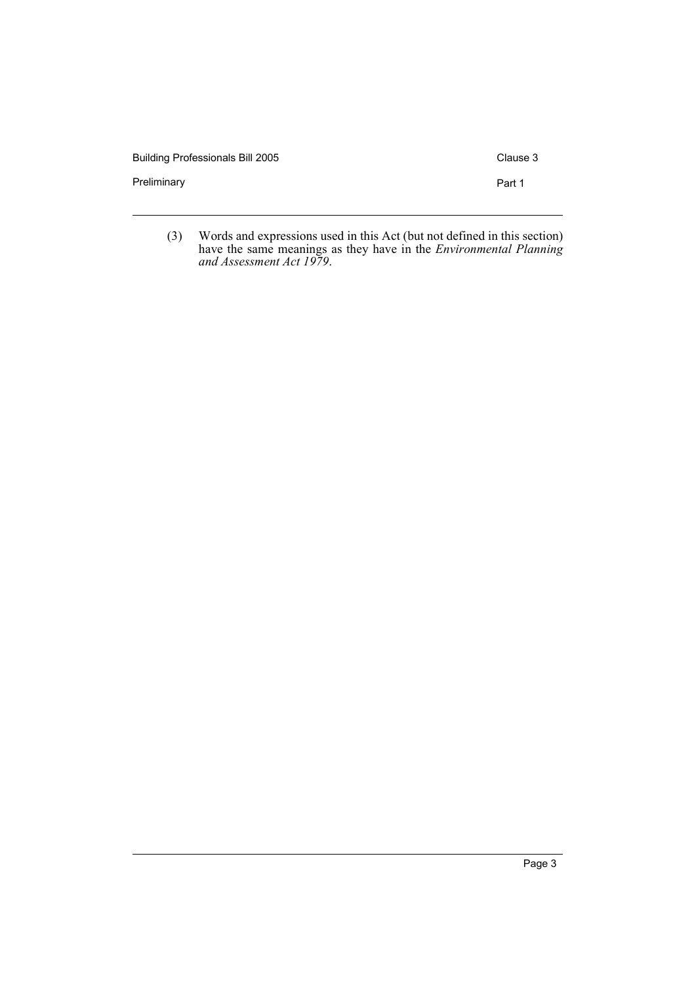| Building Professionals Bill 2005 | Clause 3 |
|----------------------------------|----------|
| Preliminary                      | Part 1   |
|                                  |          |

(3) Words and expressions used in this Act (but not defined in this section) have the same meanings as they have in the *Environmental Planning and Assessment Act 1979*.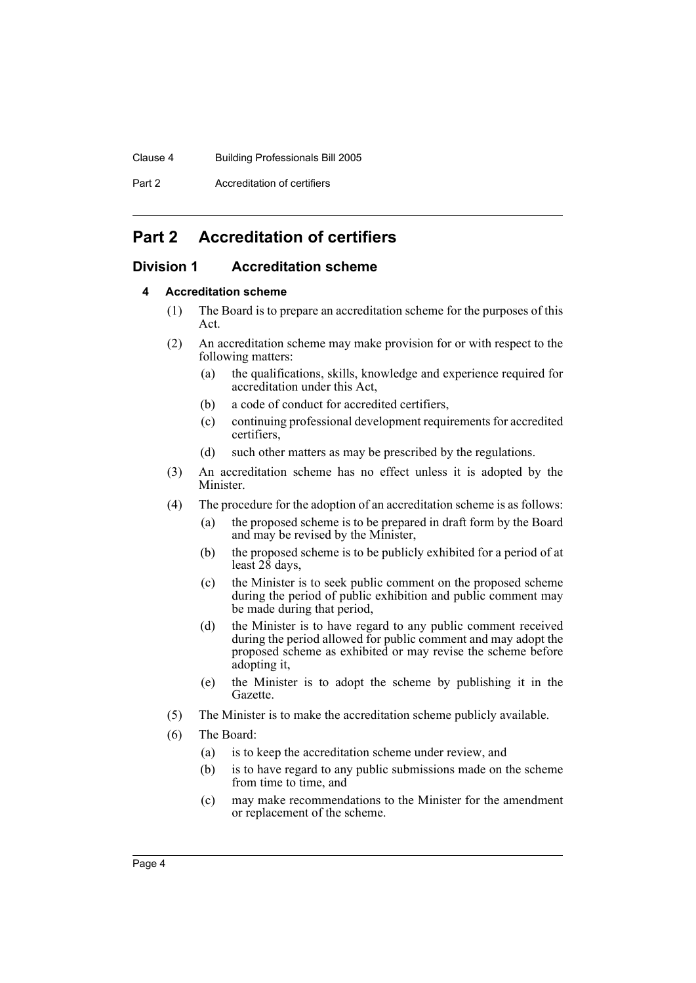#### Clause 4 Building Professionals Bill 2005

Part 2 Accreditation of certifiers

# **Part 2 Accreditation of certifiers**

# **Division 1 Accreditation scheme**

# **4 Accreditation scheme**

- (1) The Board is to prepare an accreditation scheme for the purposes of this Act.
- (2) An accreditation scheme may make provision for or with respect to the following matters:
	- (a) the qualifications, skills, knowledge and experience required for accreditation under this Act,
	- (b) a code of conduct for accredited certifiers,
	- (c) continuing professional development requirements for accredited certifiers,
	- (d) such other matters as may be prescribed by the regulations.
- (3) An accreditation scheme has no effect unless it is adopted by the Minister.
- (4) The procedure for the adoption of an accreditation scheme is as follows:
	- (a) the proposed scheme is to be prepared in draft form by the Board and may be revised by the Minister,
	- (b) the proposed scheme is to be publicly exhibited for a period of at least 28 days,
	- (c) the Minister is to seek public comment on the proposed scheme during the period of public exhibition and public comment may be made during that period,
	- (d) the Minister is to have regard to any public comment received during the period allowed for public comment and may adopt the proposed scheme as exhibited or may revise the scheme before adopting it,
	- (e) the Minister is to adopt the scheme by publishing it in the Gazette.
- (5) The Minister is to make the accreditation scheme publicly available.
- (6) The Board:
	- (a) is to keep the accreditation scheme under review, and
	- (b) is to have regard to any public submissions made on the scheme from time to time, and
	- (c) may make recommendations to the Minister for the amendment or replacement of the scheme.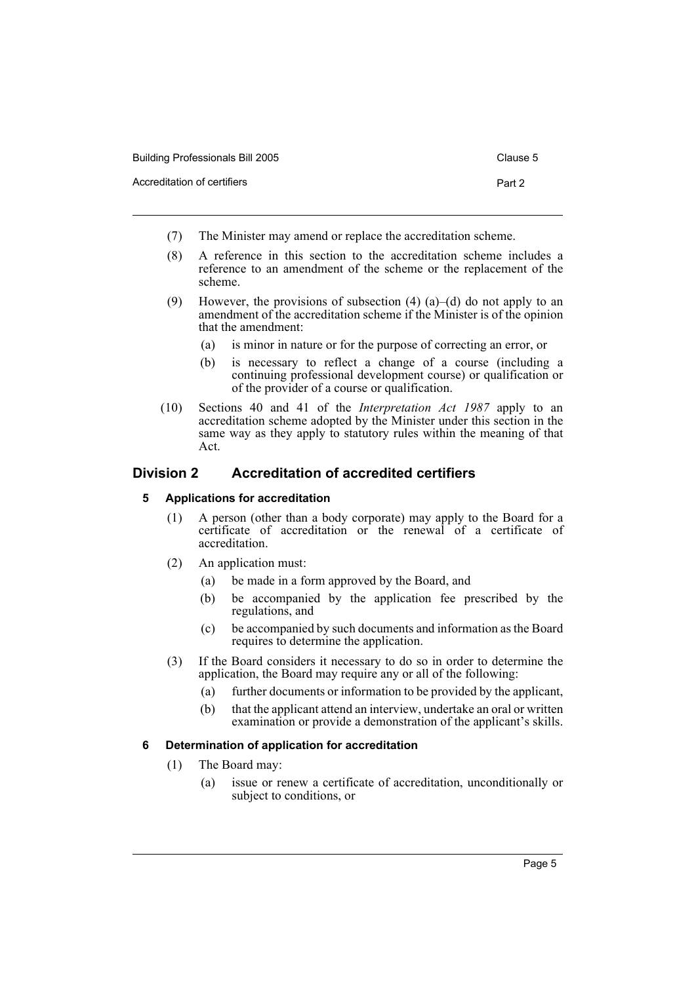| <b>Building Professionals Bill 2005</b> | Clause 5 |
|-----------------------------------------|----------|
| Accreditation of certifiers             | Part 2   |

- (7) The Minister may amend or replace the accreditation scheme.
- (8) A reference in this section to the accreditation scheme includes a reference to an amendment of the scheme or the replacement of the scheme.
- (9) However, the provisions of subsection  $(4)$   $(a)$ – $(d)$  do not apply to an amendment of the accreditation scheme if the Minister is of the opinion that the amendment:
	- (a) is minor in nature or for the purpose of correcting an error, or
	- (b) is necessary to reflect a change of a course (including a continuing professional development course) or qualification or of the provider of a course or qualification.
- (10) Sections 40 and 41 of the *Interpretation Act 1987* apply to an accreditation scheme adopted by the Minister under this section in the same way as they apply to statutory rules within the meaning of that Act.

# **Division 2 Accreditation of accredited certifiers**

# **5 Applications for accreditation**

- (1) A person (other than a body corporate) may apply to the Board for a certificate of accreditation or the renewal of a certificate of accreditation.
- (2) An application must:
	- (a) be made in a form approved by the Board, and
	- (b) be accompanied by the application fee prescribed by the regulations, and
	- (c) be accompanied by such documents and information as the Board requires to determine the application.
- (3) If the Board considers it necessary to do so in order to determine the application, the Board may require any or all of the following:
	- (a) further documents or information to be provided by the applicant,
	- (b) that the applicant attend an interview, undertake an oral or written examination or provide a demonstration of the applicant's skills.

# **6 Determination of application for accreditation**

- (1) The Board may:
	- (a) issue or renew a certificate of accreditation, unconditionally or subject to conditions, or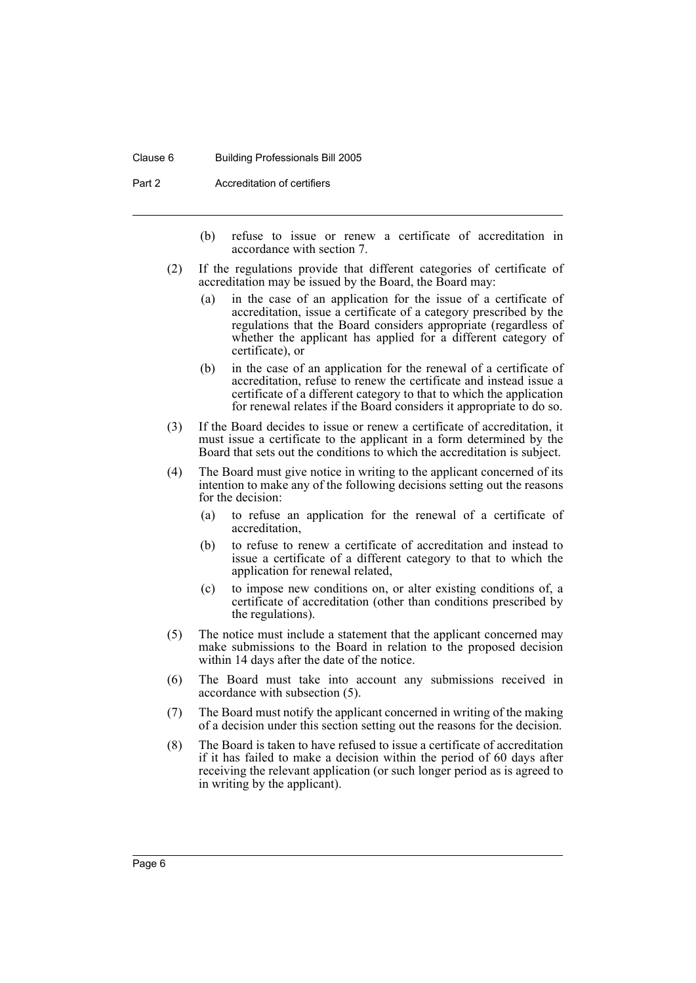#### Clause 6 Building Professionals Bill 2005

Part 2 Accreditation of certifiers

- (b) refuse to issue or renew a certificate of accreditation in accordance with section 7.
- (2) If the regulations provide that different categories of certificate of accreditation may be issued by the Board, the Board may:
	- (a) in the case of an application for the issue of a certificate of accreditation, issue a certificate of a category prescribed by the regulations that the Board considers appropriate (regardless of whether the applicant has applied for a different category of certificate), or
	- (b) in the case of an application for the renewal of a certificate of accreditation, refuse to renew the certificate and instead issue a certificate of a different category to that to which the application for renewal relates if the Board considers it appropriate to do so.
- (3) If the Board decides to issue or renew a certificate of accreditation, it must issue a certificate to the applicant in a form determined by the Board that sets out the conditions to which the accreditation is subject.
- (4) The Board must give notice in writing to the applicant concerned of its intention to make any of the following decisions setting out the reasons for the decision:
	- (a) to refuse an application for the renewal of a certificate of accreditation,
	- (b) to refuse to renew a certificate of accreditation and instead to issue a certificate of a different category to that to which the application for renewal related,
	- (c) to impose new conditions on, or alter existing conditions of, a certificate of accreditation (other than conditions prescribed by the regulations).
- (5) The notice must include a statement that the applicant concerned may make submissions to the Board in relation to the proposed decision within 14 days after the date of the notice.
- (6) The Board must take into account any submissions received in accordance with subsection (5).
- (7) The Board must notify the applicant concerned in writing of the making of a decision under this section setting out the reasons for the decision.
- (8) The Board is taken to have refused to issue a certificate of accreditation if it has failed to make a decision within the period of 60 days after receiving the relevant application (or such longer period as is agreed to in writing by the applicant).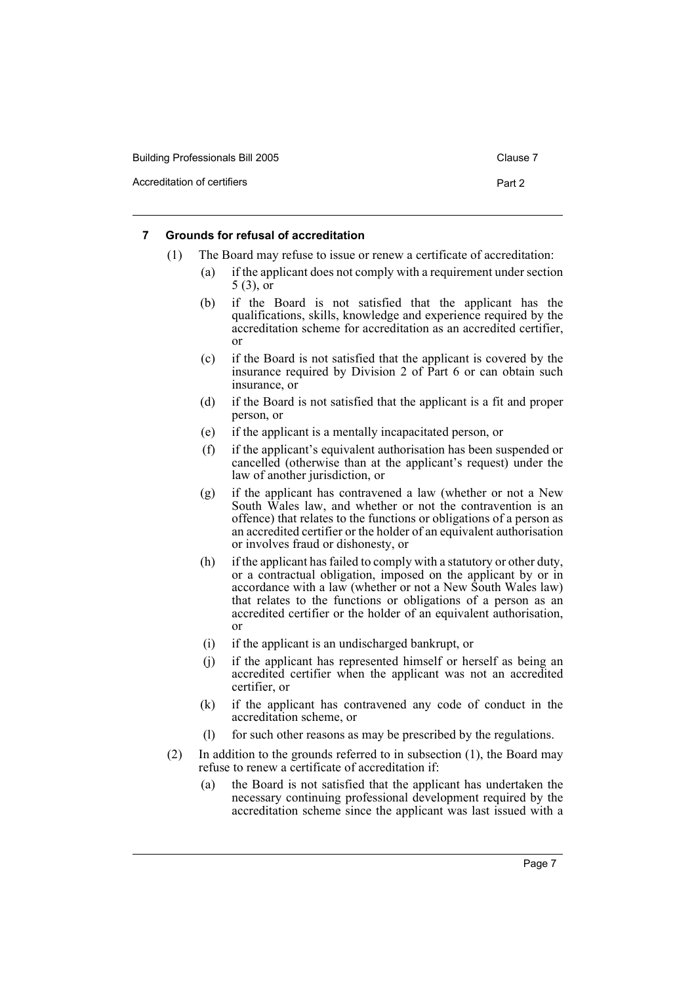| Building Professionals Bill 2005 | Clause 7 |
|----------------------------------|----------|
|                                  |          |

Accreditation of certifiers **Part 2** 

### **7 Grounds for refusal of accreditation**

- (1) The Board may refuse to issue or renew a certificate of accreditation:
	- (a) if the applicant does not comply with a requirement under section  $5(3)$ ,  $\overline{or}$
	- (b) if the Board is not satisfied that the applicant has the qualifications, skills, knowledge and experience required by the accreditation scheme for accreditation as an accredited certifier, or
	- (c) if the Board is not satisfied that the applicant is covered by the insurance required by Division 2 of Part 6 or can obtain such insurance, or
	- (d) if the Board is not satisfied that the applicant is a fit and proper person, or
	- (e) if the applicant is a mentally incapacitated person, or
	- (f) if the applicant's equivalent authorisation has been suspended or cancelled (otherwise than at the applicant's request) under the law of another jurisdiction, or
	- (g) if the applicant has contravened a law (whether or not a New South Wales law, and whether or not the contravention is an offence) that relates to the functions or obligations of a person as an accredited certifier or the holder of an equivalent authorisation or involves fraud or dishonesty, or
	- (h) if the applicant has failed to comply with a statutory or other duty, or a contractual obligation, imposed on the applicant by or in accordance with a law (whether or not a New South Wales law) that relates to the functions or obligations of a person as an accredited certifier or the holder of an equivalent authorisation, or
	- (i) if the applicant is an undischarged bankrupt, or
	- (j) if the applicant has represented himself or herself as being an accredited certifier when the applicant was not an accredited certifier, or
	- (k) if the applicant has contravened any code of conduct in the accreditation scheme, or
	- (l) for such other reasons as may be prescribed by the regulations.
- (2) In addition to the grounds referred to in subsection (1), the Board may refuse to renew a certificate of accreditation if:
	- (a) the Board is not satisfied that the applicant has undertaken the necessary continuing professional development required by the accreditation scheme since the applicant was last issued with a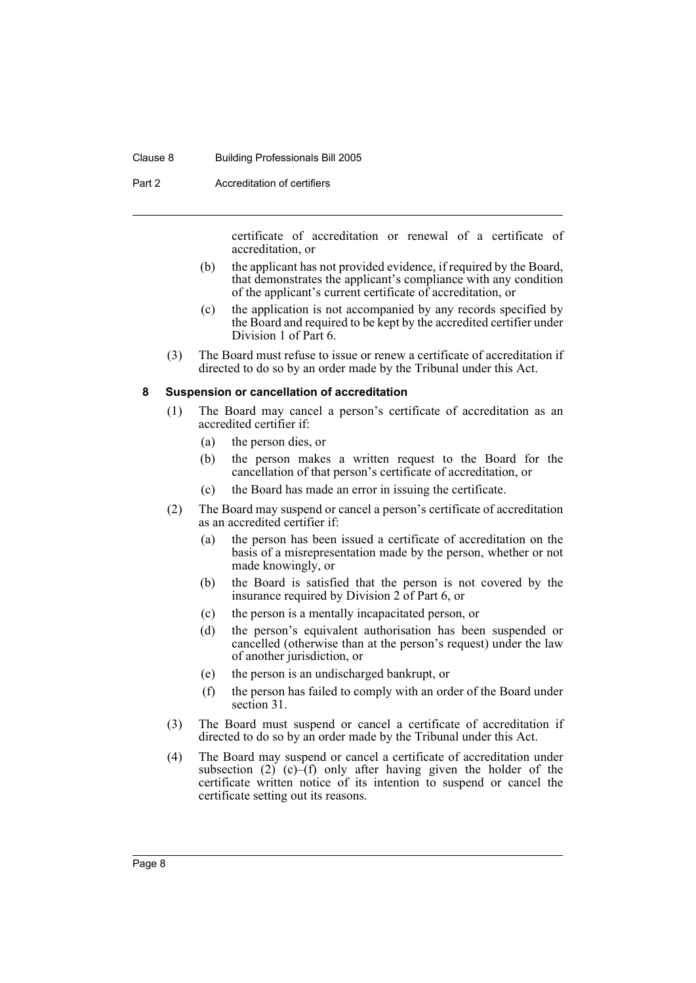#### Clause 8 Building Professionals Bill 2005

Part 2 Accreditation of certifiers

certificate of accreditation or renewal of a certificate of accreditation, or

- (b) the applicant has not provided evidence, if required by the Board, that demonstrates the applicant's compliance with any condition of the applicant's current certificate of accreditation, or
- (c) the application is not accompanied by any records specified by the Board and required to be kept by the accredited certifier under Division 1 of Part 6.
- (3) The Board must refuse to issue or renew a certificate of accreditation if directed to do so by an order made by the Tribunal under this Act.

### **8 Suspension or cancellation of accreditation**

- (1) The Board may cancel a person's certificate of accreditation as an accredited certifier if:
	- (a) the person dies, or
	- (b) the person makes a written request to the Board for the cancellation of that person's certificate of accreditation, or
	- (c) the Board has made an error in issuing the certificate.
- (2) The Board may suspend or cancel a person's certificate of accreditation as an accredited certifier if:
	- (a) the person has been issued a certificate of accreditation on the basis of a misrepresentation made by the person, whether or not made knowingly, or
	- (b) the Board is satisfied that the person is not covered by the insurance required by Division 2 of Part 6, or
	- (c) the person is a mentally incapacitated person, or
	- (d) the person's equivalent authorisation has been suspended or cancelled (otherwise than at the person's request) under the law of another jurisdiction, or
	- (e) the person is an undischarged bankrupt, or
	- (f) the person has failed to comply with an order of the Board under section 31.
- (3) The Board must suspend or cancel a certificate of accreditation if directed to do so by an order made by the Tribunal under this Act.
- (4) The Board may suspend or cancel a certificate of accreditation under subsection (2) (c)–(f) only after having given the holder of the certificate written notice of its intention to suspend or cancel the certificate setting out its reasons.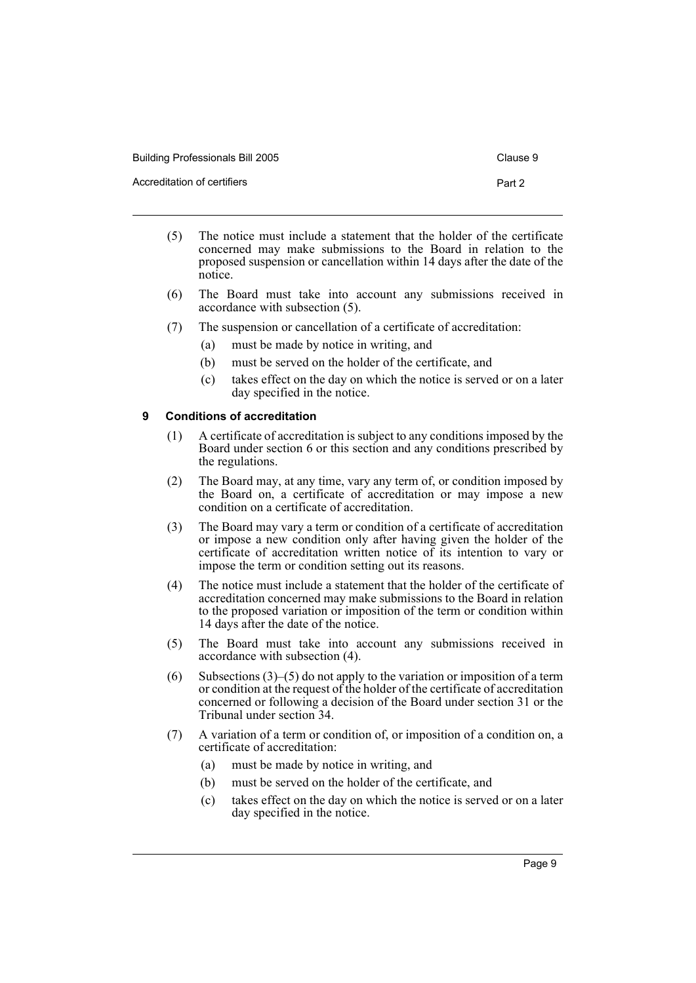| Building Professionals Bill 2005 | Clause 9 |
|----------------------------------|----------|
| Accreditation of certifiers      | Part 2   |

- (5) The notice must include a statement that the holder of the certificate concerned may make submissions to the Board in relation to the proposed suspension or cancellation within 14 days after the date of the notice.
- (6) The Board must take into account any submissions received in accordance with subsection (5).
- (7) The suspension or cancellation of a certificate of accreditation:
	- (a) must be made by notice in writing, and
	- (b) must be served on the holder of the certificate, and
	- (c) takes effect on the day on which the notice is served or on a later day specified in the notice.

# **9 Conditions of accreditation**

- (1) A certificate of accreditation is subject to any conditions imposed by the Board under section 6 or this section and any conditions prescribed by the regulations.
- (2) The Board may, at any time, vary any term of, or condition imposed by the Board on, a certificate of accreditation or may impose a new condition on a certificate of accreditation.
- (3) The Board may vary a term or condition of a certificate of accreditation or impose a new condition only after having given the holder of the certificate of accreditation written notice of its intention to vary or impose the term or condition setting out its reasons.
- (4) The notice must include a statement that the holder of the certificate of accreditation concerned may make submissions to the Board in relation to the proposed variation or imposition of the term or condition within 14 days after the date of the notice.
- (5) The Board must take into account any submissions received in accordance with subsection (4).
- (6) Subsections (3)–(5) do not apply to the variation or imposition of a term or condition at the request of the holder of the certificate of accreditation concerned or following a decision of the Board under section 31 or the Tribunal under section 34.
- (7) A variation of a term or condition of, or imposition of a condition on, a certificate of accreditation:
	- (a) must be made by notice in writing, and
	- (b) must be served on the holder of the certificate, and
	- (c) takes effect on the day on which the notice is served or on a later day specified in the notice.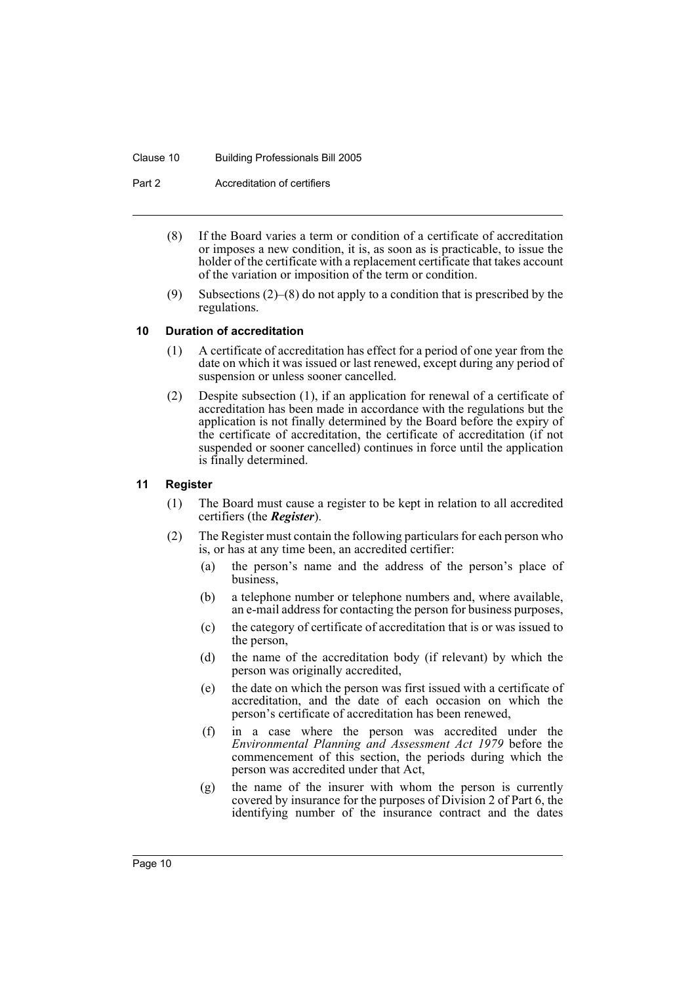#### Clause 10 Building Professionals Bill 2005

Part 2 Accreditation of certifiers

- (8) If the Board varies a term or condition of a certificate of accreditation or imposes a new condition, it is, as soon as is practicable, to issue the holder of the certificate with a replacement certificate that takes account of the variation or imposition of the term or condition.
- (9) Subsections (2)–(8) do not apply to a condition that is prescribed by the regulations.

### **10 Duration of accreditation**

- (1) A certificate of accreditation has effect for a period of one year from the date on which it was issued or last renewed, except during any period of suspension or unless sooner cancelled.
- (2) Despite subsection (1), if an application for renewal of a certificate of accreditation has been made in accordance with the regulations but the application is not finally determined by the Board before the expiry of the certificate of accreditation, the certificate of accreditation (if not suspended or sooner cancelled) continues in force until the application is finally determined.

## **11 Register**

- (1) The Board must cause a register to be kept in relation to all accredited certifiers (the *Register*).
- (2) The Register must contain the following particulars for each person who is, or has at any time been, an accredited certifier:
	- (a) the person's name and the address of the person's place of business,
	- (b) a telephone number or telephone numbers and, where available, an e-mail address for contacting the person for business purposes,
	- (c) the category of certificate of accreditation that is or was issued to the person,
	- (d) the name of the accreditation body (if relevant) by which the person was originally accredited,
	- (e) the date on which the person was first issued with a certificate of accreditation, and the date of each occasion on which the person's certificate of accreditation has been renewed,
	- (f) in a case where the person was accredited under the *Environmental Planning and Assessment Act 1979* before the commencement of this section, the periods during which the person was accredited under that Act,
	- (g) the name of the insurer with whom the person is currently covered by insurance for the purposes of Division 2 of Part 6, the identifying number of the insurance contract and the dates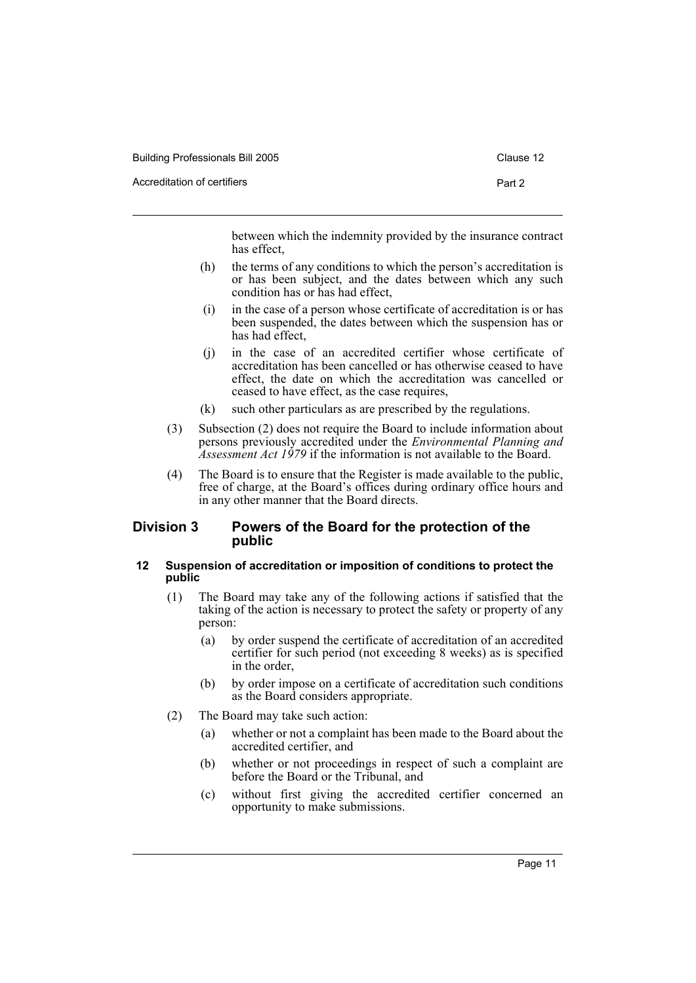| <b>Building Professionals Bill 2005</b> | Clause 12 |
|-----------------------------------------|-----------|
| Accreditation of certifiers             | Part 2    |

between which the indemnity provided by the insurance contract has effect,

- (h) the terms of any conditions to which the person's accreditation is or has been subject, and the dates between which any such condition has or has had effect,
- (i) in the case of a person whose certificate of accreditation is or has been suspended, the dates between which the suspension has or has had effect,
- (j) in the case of an accredited certifier whose certificate of accreditation has been cancelled or has otherwise ceased to have effect, the date on which the accreditation was cancelled or ceased to have effect, as the case requires,
- (k) such other particulars as are prescribed by the regulations.
- (3) Subsection (2) does not require the Board to include information about persons previously accredited under the *Environmental Planning and Assessment Act 1979* if the information is not available to the Board.
- (4) The Board is to ensure that the Register is made available to the public, free of charge, at the Board's offices during ordinary office hours and in any other manner that the Board directs.

# **Division 3 Powers of the Board for the protection of the public**

# **12 Suspension of accreditation or imposition of conditions to protect the public**

- (1) The Board may take any of the following actions if satisfied that the taking of the action is necessary to protect the safety or property of any person:
	- (a) by order suspend the certificate of accreditation of an accredited certifier for such period (not exceeding 8 weeks) as is specified in the order
	- (b) by order impose on a certificate of accreditation such conditions as the Board considers appropriate.
- (2) The Board may take such action:
	- (a) whether or not a complaint has been made to the Board about the accredited certifier, and
	- (b) whether or not proceedings in respect of such a complaint are before the Board or the Tribunal, and
	- (c) without first giving the accredited certifier concerned an opportunity to make submissions.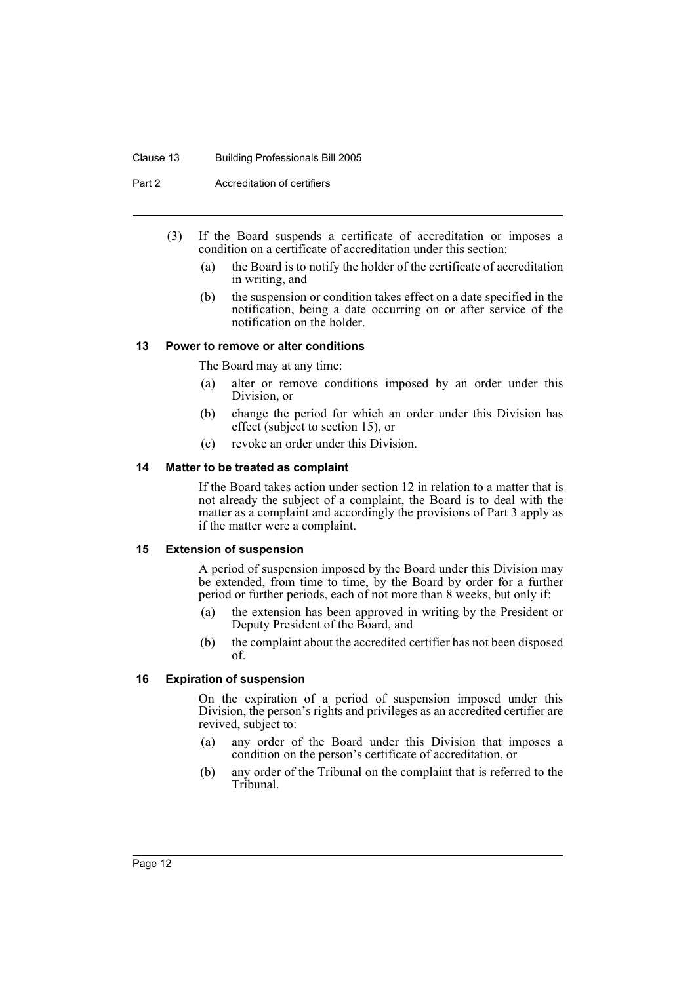### Clause 13 Building Professionals Bill 2005

Part 2 Accreditation of certifiers

- (3) If the Board suspends a certificate of accreditation or imposes a condition on a certificate of accreditation under this section:
	- (a) the Board is to notify the holder of the certificate of accreditation in writing, and
	- (b) the suspension or condition takes effect on a date specified in the notification, being a date occurring on or after service of the notification on the holder.

#### **13 Power to remove or alter conditions**

The Board may at any time:

- (a) alter or remove conditions imposed by an order under this Division, or
- (b) change the period for which an order under this Division has effect (subject to section 15), or
- (c) revoke an order under this Division.

#### **14 Matter to be treated as complaint**

If the Board takes action under section 12 in relation to a matter that is not already the subject of a complaint, the Board is to deal with the matter as a complaint and accordingly the provisions of Part 3 apply as if the matter were a complaint.

### **15 Extension of suspension**

A period of suspension imposed by the Board under this Division may be extended, from time to time, by the Board by order for a further period or further periods, each of not more than 8 weeks, but only if:

- (a) the extension has been approved in writing by the President or Deputy President of the Board, and
- (b) the complaint about the accredited certifier has not been disposed of.

### **16 Expiration of suspension**

On the expiration of a period of suspension imposed under this Division, the person's rights and privileges as an accredited certifier are revived, subject to:

- (a) any order of the Board under this Division that imposes a condition on the person's certificate of accreditation, or
- (b) any order of the Tribunal on the complaint that is referred to the Tribunal.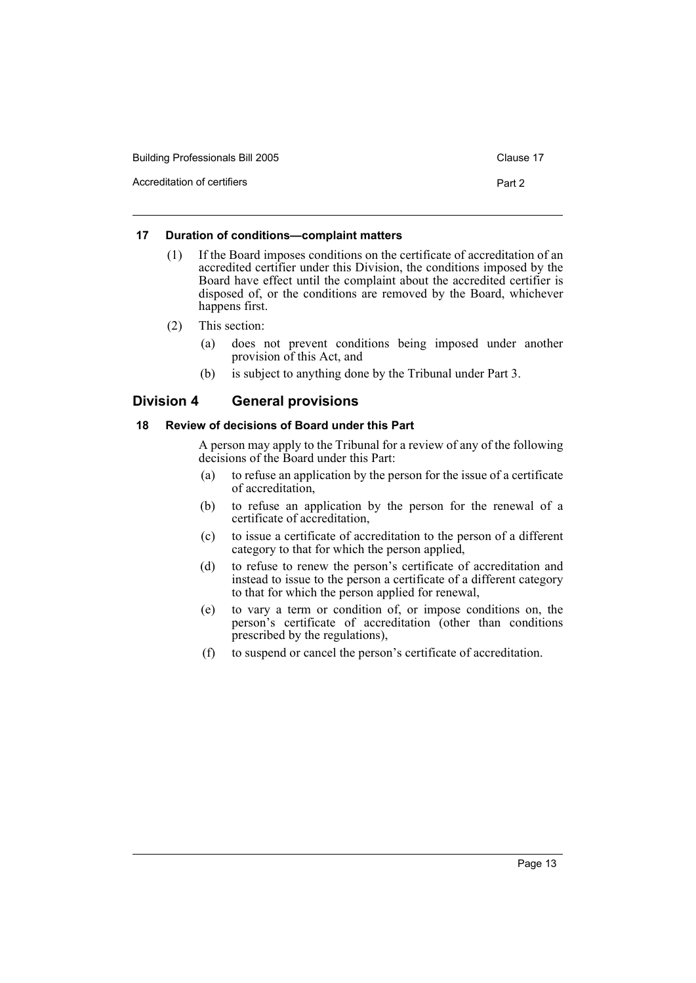| <b>Building Professionals Bill 2005</b> | Clause 17 |
|-----------------------------------------|-----------|
| Accreditation of certifiers             | Part 2    |

## **17 Duration of conditions—complaint matters**

- (1) If the Board imposes conditions on the certificate of accreditation of an accredited certifier under this Division, the conditions imposed by the Board have effect until the complaint about the accredited certifier is disposed of, or the conditions are removed by the Board, whichever happens first.
- (2) This section:
	- (a) does not prevent conditions being imposed under another provision of this Act, and
	- (b) is subject to anything done by the Tribunal under Part 3.

# **Division 4 General provisions**

# **18 Review of decisions of Board under this Part**

A person may apply to the Tribunal for a review of any of the following decisions of the Board under this Part:

- (a) to refuse an application by the person for the issue of a certificate of accreditation,
- (b) to refuse an application by the person for the renewal of a certificate of accreditation,
- (c) to issue a certificate of accreditation to the person of a different category to that for which the person applied,
- (d) to refuse to renew the person's certificate of accreditation and instead to issue to the person a certificate of a different category to that for which the person applied for renewal,
- (e) to vary a term or condition of, or impose conditions on, the person's certificate of accreditation (other than conditions prescribed by the regulations),
- (f) to suspend or cancel the person's certificate of accreditation.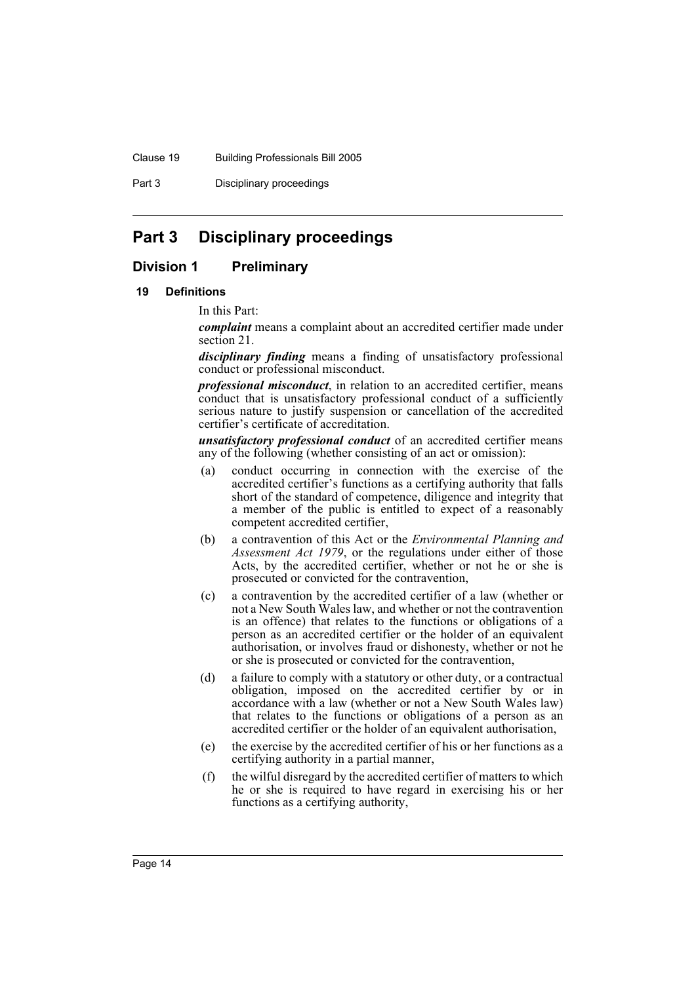#### Clause 19 Building Professionals Bill 2005

Part 3 Disciplinary proceedings

# **Part 3 Disciplinary proceedings**

# **Division 1 Preliminary**

#### **19 Definitions**

In this Part:

*complaint* means a complaint about an accredited certifier made under section 21.

*disciplinary finding* means a finding of unsatisfactory professional conduct or professional misconduct.

*professional misconduct*, in relation to an accredited certifier, means conduct that is unsatisfactory professional conduct of a sufficiently serious nature to justify suspension or cancellation of the accredited certifier's certificate of accreditation.

*unsatisfactory professional conduct* of an accredited certifier means any of the following (whether consisting of an act or omission):

- (a) conduct occurring in connection with the exercise of the accredited certifier's functions as a certifying authority that falls short of the standard of competence, diligence and integrity that a member of the public is entitled to expect of a reasonably competent accredited certifier,
- (b) a contravention of this Act or the *Environmental Planning and Assessment Act 1979*, or the regulations under either of those Acts, by the accredited certifier, whether or not he or she is prosecuted or convicted for the contravention,
- (c) a contravention by the accredited certifier of a law (whether or not a New South Wales law, and whether or not the contravention is an offence) that relates to the functions or obligations of a person as an accredited certifier or the holder of an equivalent authorisation, or involves fraud or dishonesty, whether or not he or she is prosecuted or convicted for the contravention,
- (d) a failure to comply with a statutory or other duty, or a contractual obligation, imposed on the accredited certifier by or in accordance with a law (whether or not a New South Wales law) that relates to the functions or obligations of a person as an accredited certifier or the holder of an equivalent authorisation,
- (e) the exercise by the accredited certifier of his or her functions as a certifying authority in a partial manner,
- (f) the wilful disregard by the accredited certifier of matters to which he or she is required to have regard in exercising his or her functions as a certifying authority,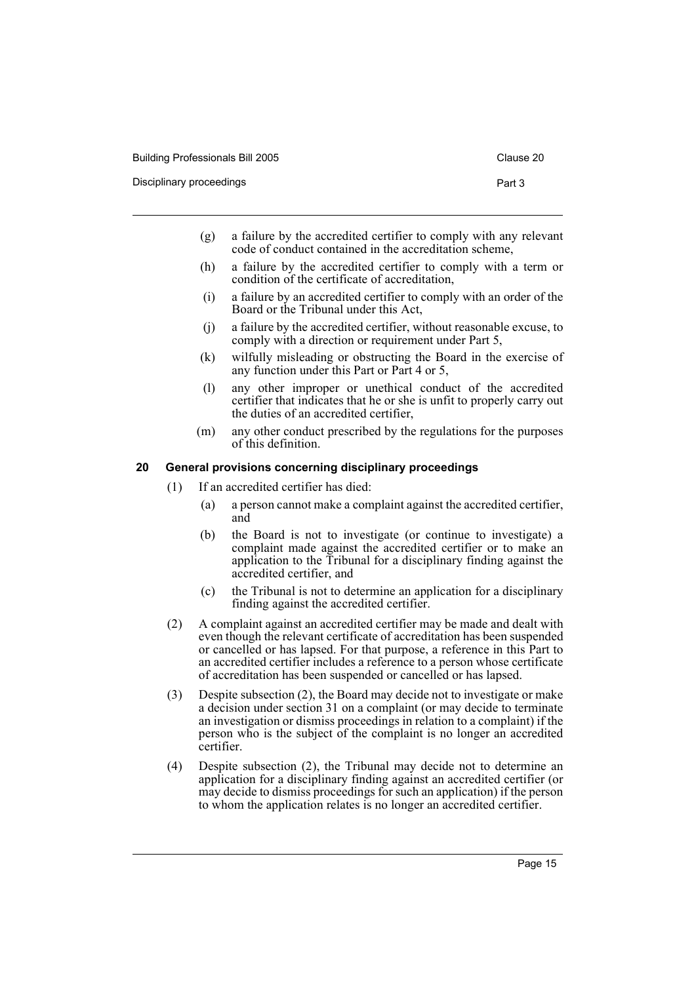| Building Professionals Bill 2005 | Claus  |
|----------------------------------|--------|
| Disciplinary proceedings         | Part 3 |

- (g) a failure by the accredited certifier to comply with any relevant code of conduct contained in the accreditation scheme,
- (h) a failure by the accredited certifier to comply with a term or condition of the certificate of accreditation,
- (i) a failure by an accredited certifier to comply with an order of the Board or the Tribunal under this Act,
- (j) a failure by the accredited certifier, without reasonable excuse, to comply with a direction or requirement under Part 5,
- (k) wilfully misleading or obstructing the Board in the exercise of any function under this Part or Part 4 or 5,
- (l) any other improper or unethical conduct of the accredited certifier that indicates that he or she is unfit to properly carry out the duties of an accredited certifier,
- (m) any other conduct prescribed by the regulations for the purposes of this definition.

# **20 General provisions concerning disciplinary proceedings**

- (1) If an accredited certifier has died:
	- (a) a person cannot make a complaint against the accredited certifier, and
	- (b) the Board is not to investigate (or continue to investigate) a complaint made against the accredited certifier or to make an application to the Tribunal for a disciplinary finding against the accredited certifier, and
	- (c) the Tribunal is not to determine an application for a disciplinary finding against the accredited certifier.
- (2) A complaint against an accredited certifier may be made and dealt with even though the relevant certificate of accreditation has been suspended or cancelled or has lapsed. For that purpose, a reference in this Part to an accredited certifier includes a reference to a person whose certificate of accreditation has been suspended or cancelled or has lapsed.
- (3) Despite subsection (2), the Board may decide not to investigate or make a decision under section 31 on a complaint (or may decide to terminate an investigation or dismiss proceedings in relation to a complaint) if the person who is the subject of the complaint is no longer an accredited certifier.
- (4) Despite subsection (2), the Tribunal may decide not to determine an application for a disciplinary finding against an accredited certifier (or may decide to dismiss proceedings for such an application) if the person to whom the application relates is no longer an accredited certifier.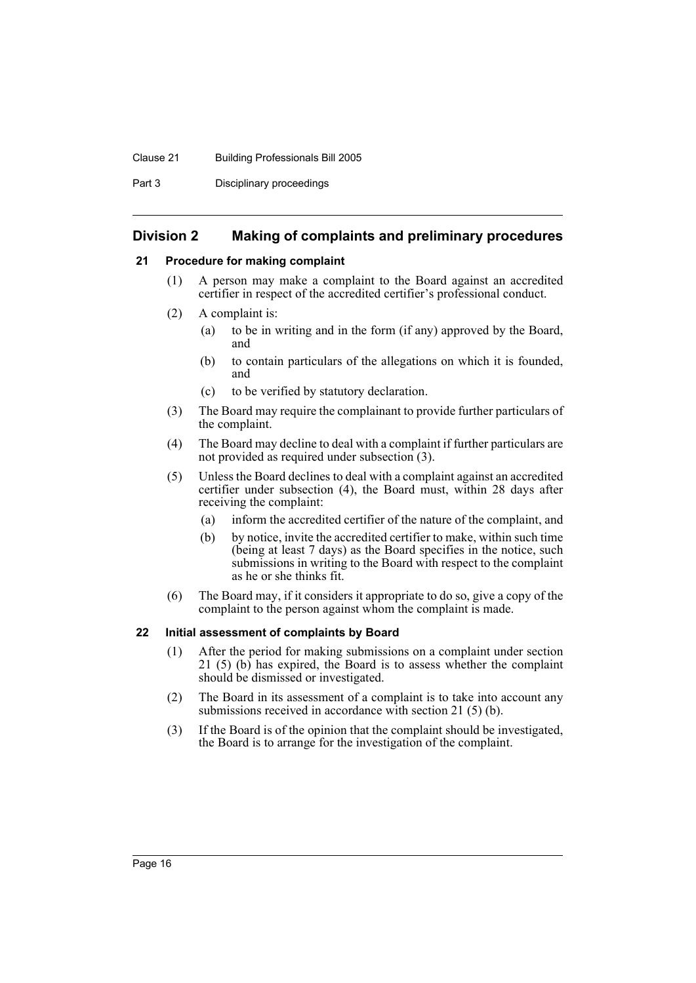#### Clause 21 Building Professionals Bill 2005

Part 3 Disciplinary proceedings

# **Division 2 Making of complaints and preliminary procedures**

### **21 Procedure for making complaint**

- (1) A person may make a complaint to the Board against an accredited certifier in respect of the accredited certifier's professional conduct.
- (2) A complaint is:
	- (a) to be in writing and in the form (if any) approved by the Board, and
	- (b) to contain particulars of the allegations on which it is founded, and
	- (c) to be verified by statutory declaration.
- (3) The Board may require the complainant to provide further particulars of the complaint.
- (4) The Board may decline to deal with a complaint if further particulars are not provided as required under subsection (3).
- (5) Unless the Board declines to deal with a complaint against an accredited certifier under subsection (4), the Board must, within 28 days after receiving the complaint:
	- (a) inform the accredited certifier of the nature of the complaint, and
	- (b) by notice, invite the accredited certifier to make, within such time (being at least 7 days) as the Board specifies in the notice, such submissions in writing to the Board with respect to the complaint as he or she thinks fit.
- (6) The Board may, if it considers it appropriate to do so, give a copy of the complaint to the person against whom the complaint is made.

### **22 Initial assessment of complaints by Board**

- (1) After the period for making submissions on a complaint under section 21 (5) (b) has expired, the Board is to assess whether the complaint should be dismissed or investigated.
- (2) The Board in its assessment of a complaint is to take into account any submissions received in accordance with section 21 (5) (b).
- (3) If the Board is of the opinion that the complaint should be investigated, the Board is to arrange for the investigation of the complaint.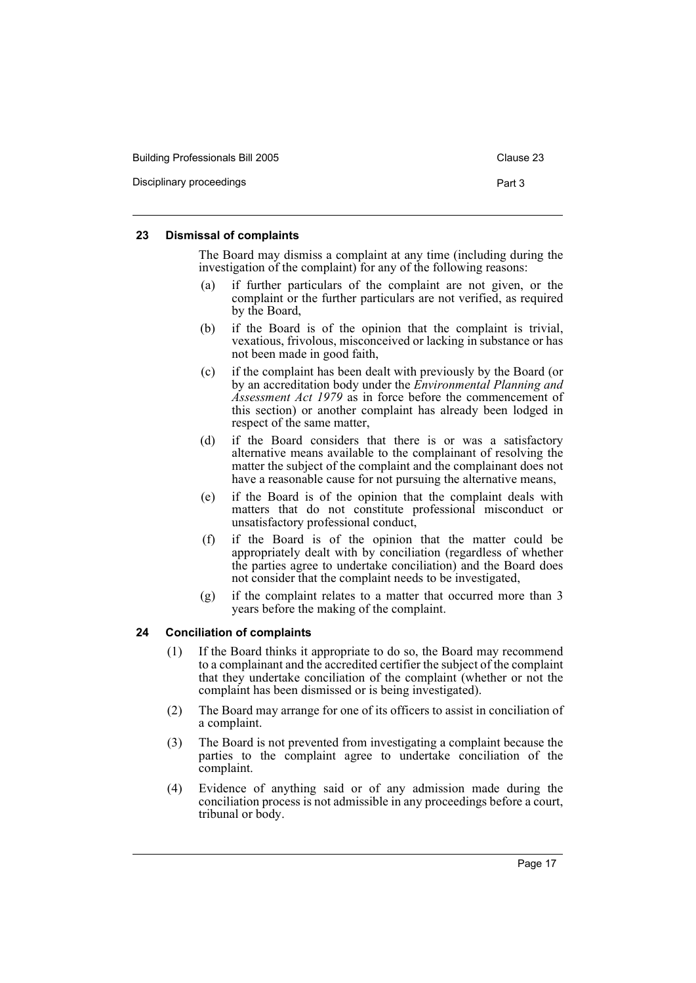| <b>Building Professionals Bill 2005</b> | Clause 23 |
|-----------------------------------------|-----------|
| Disciplinary proceedings                | Part 3    |

## **23 Dismissal of complaints**

The Board may dismiss a complaint at any time (including during the investigation of the complaint) for any of the following reasons:

- (a) if further particulars of the complaint are not given, or the complaint or the further particulars are not verified, as required by the Board,
- (b) if the Board is of the opinion that the complaint is trivial, vexatious, frivolous, misconceived or lacking in substance or has not been made in good faith,
- (c) if the complaint has been dealt with previously by the Board (or by an accreditation body under the *Environmental Planning and Assessment Act 1979* as in force before the commencement of this section) or another complaint has already been lodged in respect of the same matter,
- (d) if the Board considers that there is or was a satisfactory alternative means available to the complainant of resolving the matter the subject of the complaint and the complainant does not have a reasonable cause for not pursuing the alternative means,
- (e) if the Board is of the opinion that the complaint deals with matters that do not constitute professional misconduct or unsatisfactory professional conduct,
- (f) if the Board is of the opinion that the matter could be appropriately dealt with by conciliation (regardless of whether the parties agree to undertake conciliation) and the Board does not consider that the complaint needs to be investigated,
- (g) if the complaint relates to a matter that occurred more than 3 years before the making of the complaint.

# **24 Conciliation of complaints**

- (1) If the Board thinks it appropriate to do so, the Board may recommend to a complainant and the accredited certifier the subject of the complaint that they undertake conciliation of the complaint (whether or not the complaint has been dismissed or is being investigated).
- (2) The Board may arrange for one of its officers to assist in conciliation of a complaint.
- (3) The Board is not prevented from investigating a complaint because the parties to the complaint agree to undertake conciliation of the complaint.
- (4) Evidence of anything said or of any admission made during the conciliation process is not admissible in any proceedings before a court, tribunal or body.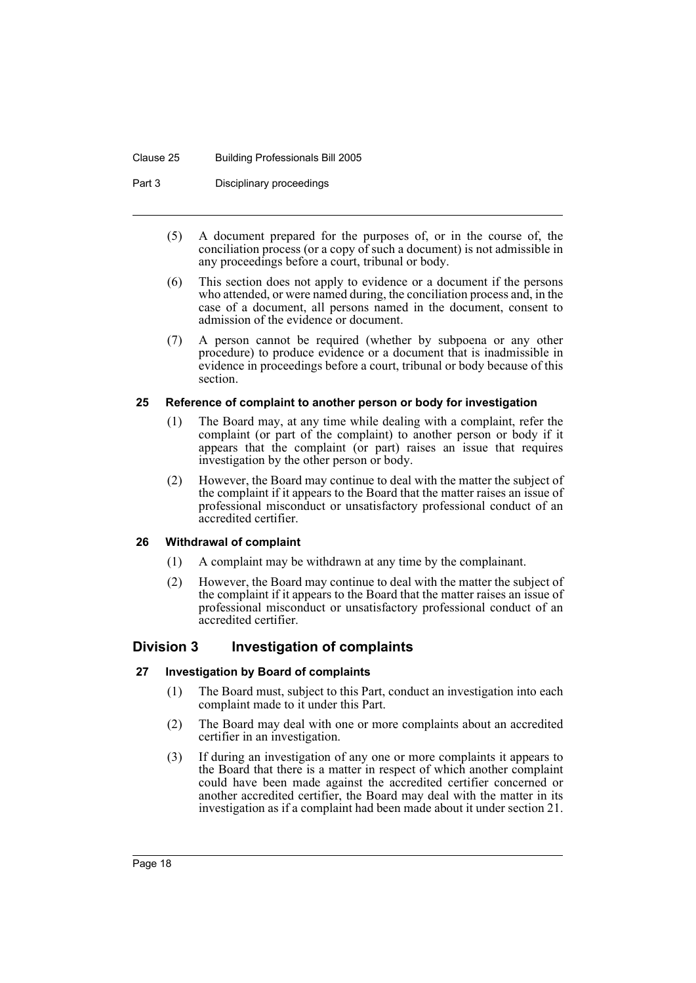### Clause 25 Building Professionals Bill 2005

Part 3 Disciplinary proceedings

- (5) A document prepared for the purposes of, or in the course of, the conciliation process (or a copy of such a document) is not admissible in any proceedings before a court, tribunal or body.
- (6) This section does not apply to evidence or a document if the persons who attended, or were named during, the conciliation process and, in the case of a document, all persons named in the document, consent to admission of the evidence or document.
- (7) A person cannot be required (whether by subpoena or any other procedure) to produce evidence or a document that is inadmissible in evidence in proceedings before a court, tribunal or body because of this section.

## **25 Reference of complaint to another person or body for investigation**

- (1) The Board may, at any time while dealing with a complaint, refer the complaint (or part of the complaint) to another person or body if it appears that the complaint (or part) raises an issue that requires investigation by the other person or body.
- (2) However, the Board may continue to deal with the matter the subject of the complaint if it appears to the Board that the matter raises an issue of professional misconduct or unsatisfactory professional conduct of an accredited certifier.

# **26 Withdrawal of complaint**

- (1) A complaint may be withdrawn at any time by the complainant.
- (2) However, the Board may continue to deal with the matter the subject of the complaint if it appears to the Board that the matter raises an issue of professional misconduct or unsatisfactory professional conduct of an accredited certifier.

# **Division 3 Investigation of complaints**

# **27 Investigation by Board of complaints**

- (1) The Board must, subject to this Part, conduct an investigation into each complaint made to it under this Part.
- (2) The Board may deal with one or more complaints about an accredited certifier in an investigation.
- (3) If during an investigation of any one or more complaints it appears to the Board that there is a matter in respect of which another complaint could have been made against the accredited certifier concerned or another accredited certifier, the Board may deal with the matter in its investigation as if a complaint had been made about it under section 21.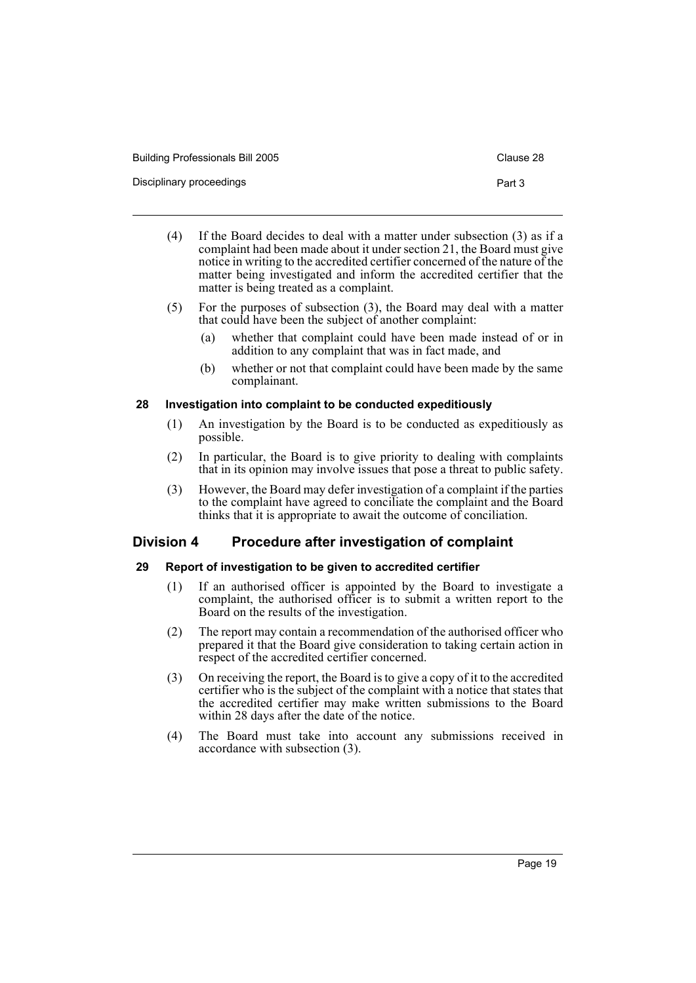| Building Professionals Bill 2005 | Clause 28 |
|----------------------------------|-----------|
| Disciplinary proceedings         | Part 3    |

- (4) If the Board decides to deal with a matter under subsection (3) as if a complaint had been made about it under section 21, the Board must give notice in writing to the accredited certifier concerned of the nature of the matter being investigated and inform the accredited certifier that the matter is being treated as a complaint.
- (5) For the purposes of subsection (3), the Board may deal with a matter that could have been the subject of another complaint:
	- (a) whether that complaint could have been made instead of or in addition to any complaint that was in fact made, and
	- (b) whether or not that complaint could have been made by the same complainant.

## **28 Investigation into complaint to be conducted expeditiously**

- (1) An investigation by the Board is to be conducted as expeditiously as possible.
- (2) In particular, the Board is to give priority to dealing with complaints that in its opinion may involve issues that pose a threat to public safety.
- (3) However, the Board may defer investigation of a complaint if the parties to the complaint have agreed to conciliate the complaint and the Board thinks that it is appropriate to await the outcome of conciliation.

# **Division 4 Procedure after investigation of complaint**

# **29 Report of investigation to be given to accredited certifier**

- (1) If an authorised officer is appointed by the Board to investigate a complaint, the authorised officer is to submit a written report to the Board on the results of the investigation.
- (2) The report may contain a recommendation of the authorised officer who prepared it that the Board give consideration to taking certain action in respect of the accredited certifier concerned.
- (3) On receiving the report, the Board is to give a copy of it to the accredited certifier who is the subject of the complaint with a notice that states that the accredited certifier may make written submissions to the Board within 28 days after the date of the notice.
- (4) The Board must take into account any submissions received in accordance with subsection (3).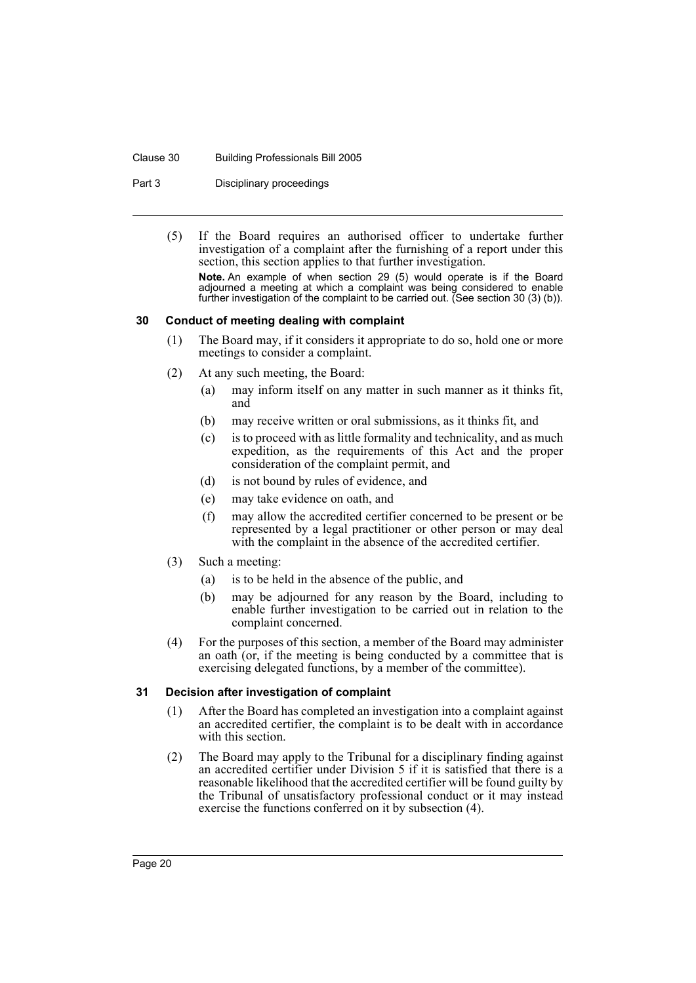#### Clause 30 Building Professionals Bill 2005

#### Part 3 Disciplinary proceedings

(5) If the Board requires an authorised officer to undertake further investigation of a complaint after the furnishing of a report under this section, this section applies to that further investigation.

**Note.** An example of when section 29 (5) would operate is if the Board adjourned a meeting at which a complaint was being considered to enable further investigation of the complaint to be carried out. (See section 30 (3) (b)).

#### **30 Conduct of meeting dealing with complaint**

- (1) The Board may, if it considers it appropriate to do so, hold one or more meetings to consider a complaint.
- (2) At any such meeting, the Board:
	- (a) may inform itself on any matter in such manner as it thinks fit, and
	- (b) may receive written or oral submissions, as it thinks fit, and
	- (c) is to proceed with as little formality and technicality, and as much expedition, as the requirements of this Act and the proper consideration of the complaint permit, and
	- (d) is not bound by rules of evidence, and
	- (e) may take evidence on oath, and
	- (f) may allow the accredited certifier concerned to be present or be represented by a legal practitioner or other person or may deal with the complaint in the absence of the accredited certifier.
- (3) Such a meeting:
	- (a) is to be held in the absence of the public, and
	- (b) may be adjourned for any reason by the Board, including to enable further investigation to be carried out in relation to the complaint concerned.
- (4) For the purposes of this section, a member of the Board may administer an oath (or, if the meeting is being conducted by a committee that is exercising delegated functions, by a member of the committee).

### **31 Decision after investigation of complaint**

- (1) After the Board has completed an investigation into a complaint against an accredited certifier, the complaint is to be dealt with in accordance with this section.
- (2) The Board may apply to the Tribunal for a disciplinary finding against an accredited certifier under Division 5 if it is satisfied that there is a reasonable likelihood that the accredited certifier will be found guilty by the Tribunal of unsatisfactory professional conduct or it may instead exercise the functions conferred on it by subsection (4).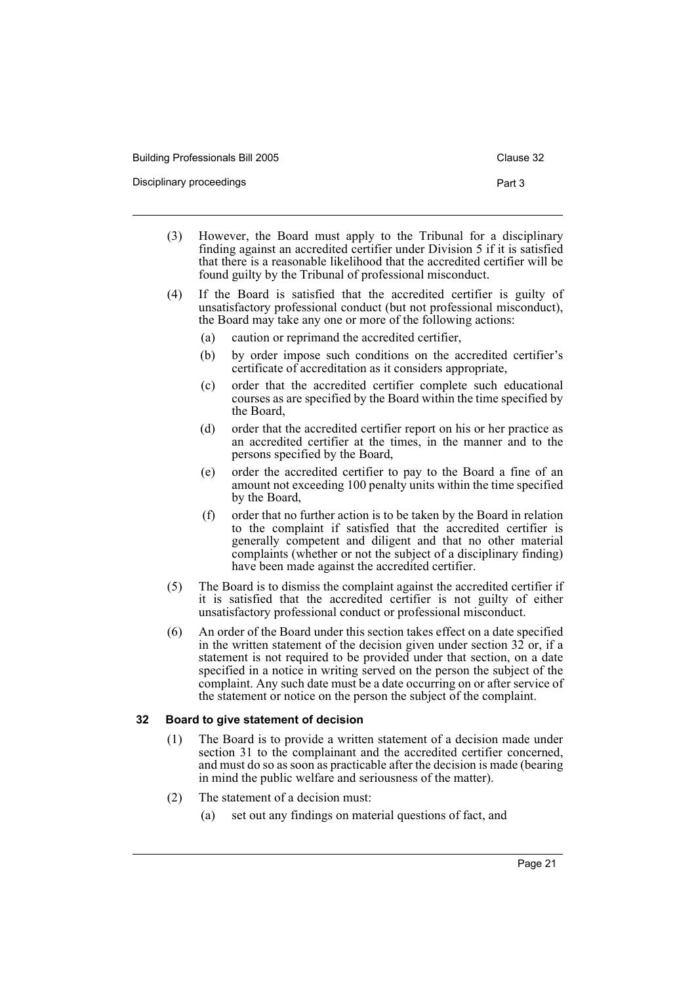|  | Building Professionals Bill 2005 |  |  |
|--|----------------------------------|--|--|
|--|----------------------------------|--|--|

Disciplinary proceedings **Part 3** 

- (3) However, the Board must apply to the Tribunal for a disciplinary finding against an accredited certifier under Division 5 if it is satisfied that there is a reasonable likelihood that the accredited certifier will be found guilty by the Tribunal of professional misconduct.
- (4) If the Board is satisfied that the accredited certifier is guilty of unsatisfactory professional conduct (but not professional misconduct), the Board may take any one or more of the following actions:
	- (a) caution or reprimand the accredited certifier,
	- (b) by order impose such conditions on the accredited certifier's certificate of accreditation as it considers appropriate,
	- (c) order that the accredited certifier complete such educational courses as are specified by the Board within the time specified by the Board,
	- (d) order that the accredited certifier report on his or her practice as an accredited certifier at the times, in the manner and to the persons specified by the Board,
	- (e) order the accredited certifier to pay to the Board a fine of an amount not exceeding 100 penalty units within the time specified by the Board,
	- (f) order that no further action is to be taken by the Board in relation to the complaint if satisfied that the accredited certifier is generally competent and diligent and that no other material complaints (whether or not the subject of a disciplinary finding) have been made against the accredited certifier.
- (5) The Board is to dismiss the complaint against the accredited certifier if it is satisfied that the accredited certifier is not guilty of either unsatisfactory professional conduct or professional misconduct.
- (6) An order of the Board under this section takes effect on a date specified in the written statement of the decision given under section  $32$  or, if a statement is not required to be provided under that section, on a date specified in a notice in writing served on the person the subject of the complaint. Any such date must be a date occurring on or after service of the statement or notice on the person the subject of the complaint.

### **32 Board to give statement of decision**

- (1) The Board is to provide a written statement of a decision made under section 31 to the complainant and the accredited certifier concerned, and must do so as soon as practicable after the decision is made (bearing in mind the public welfare and seriousness of the matter).
- (2) The statement of a decision must:
	- (a) set out any findings on material questions of fact, and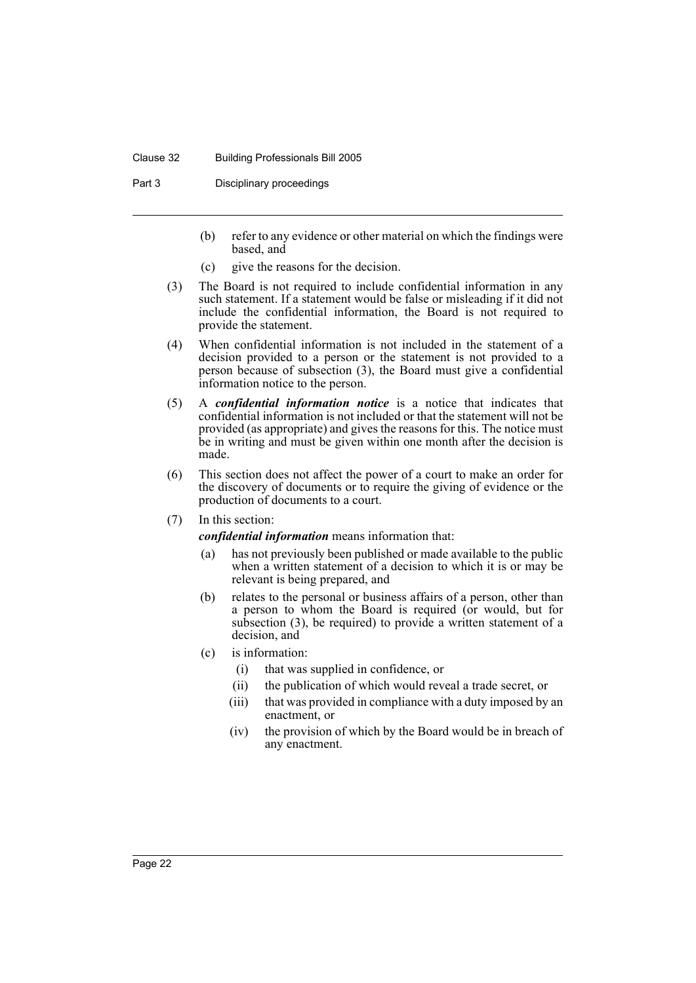#### Clause 32 Building Professionals Bill 2005

Part 3 Disciplinary proceedings

- (b) refer to any evidence or other material on which the findings were based, and
- (c) give the reasons for the decision.
- (3) The Board is not required to include confidential information in any such statement. If a statement would be false or misleading if it did not include the confidential information, the Board is not required to provide the statement.
- (4) When confidential information is not included in the statement of a decision provided to a person or the statement is not provided to a person because of subsection (3), the Board must give a confidential information notice to the person.
- (5) A *confidential information notice* is a notice that indicates that confidential information is not included or that the statement will not be provided (as appropriate) and gives the reasons for this. The notice must be in writing and must be given within one month after the decision is made.
- (6) This section does not affect the power of a court to make an order for the discovery of documents or to require the giving of evidence or the production of documents to a court.

(7) In this section:

*confidential information* means information that:

- (a) has not previously been published or made available to the public when a written statement of a decision to which it is or may be relevant is being prepared, and
- (b) relates to the personal or business affairs of a person, other than a person to whom the Board is required (or would, but for subsection (3), be required) to provide a written statement of a decision, and
- (c) is information:
	- (i) that was supplied in confidence, or
	- (ii) the publication of which would reveal a trade secret, or
	- (iii) that was provided in compliance with a duty imposed by an enactment, or
	- (iv) the provision of which by the Board would be in breach of any enactment.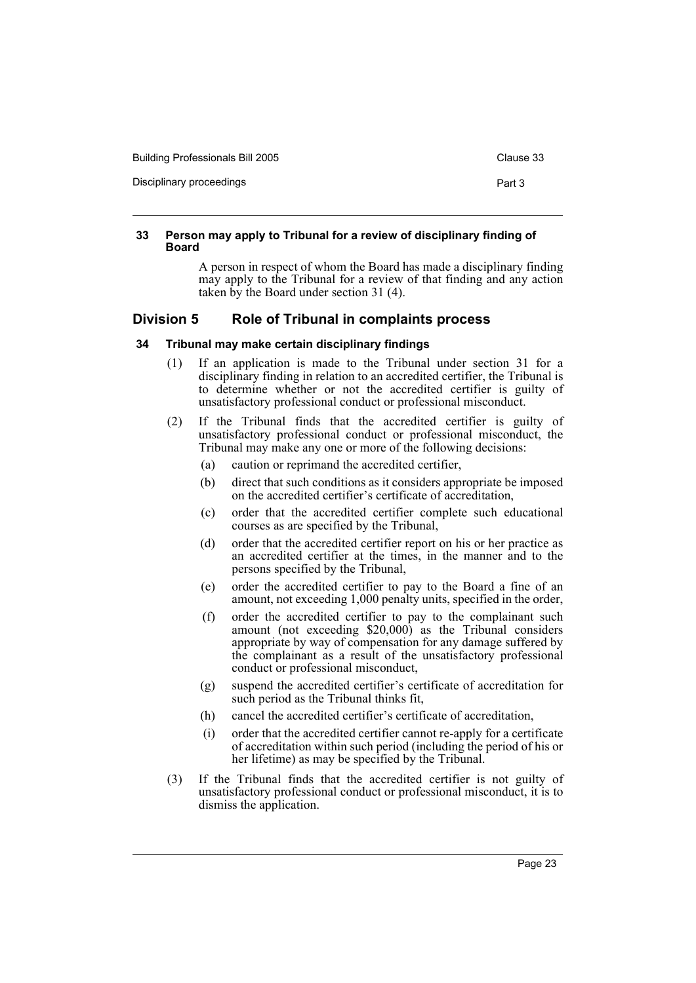| <b>Building Professionals Bill 2005</b> | Clause 33 |
|-----------------------------------------|-----------|
| Disciplinary proceedings                | Part 3    |

### **33 Person may apply to Tribunal for a review of disciplinary finding of Board**

A person in respect of whom the Board has made a disciplinary finding may apply to the Tribunal for a review of that finding and any action taken by the Board under section 31 (4).

# **Division 5 Role of Tribunal in complaints process**

# **34 Tribunal may make certain disciplinary findings**

- (1) If an application is made to the Tribunal under section 31 for a disciplinary finding in relation to an accredited certifier, the Tribunal is to determine whether or not the accredited certifier is guilty of unsatisfactory professional conduct or professional misconduct.
- (2) If the Tribunal finds that the accredited certifier is guilty of unsatisfactory professional conduct or professional misconduct, the Tribunal may make any one or more of the following decisions:
	- (a) caution or reprimand the accredited certifier,
	- (b) direct that such conditions as it considers appropriate be imposed on the accredited certifier's certificate of accreditation,
	- (c) order that the accredited certifier complete such educational courses as are specified by the Tribunal,
	- (d) order that the accredited certifier report on his or her practice as an accredited certifier at the times, in the manner and to the persons specified by the Tribunal,
	- (e) order the accredited certifier to pay to the Board a fine of an amount, not exceeding 1,000 penalty units, specified in the order,
	- (f) order the accredited certifier to pay to the complainant such amount (not exceeding \$20,000) as the Tribunal considers appropriate by way of compensation for any damage suffered by the complainant as a result of the unsatisfactory professional conduct or professional misconduct,
	- (g) suspend the accredited certifier's certificate of accreditation for such period as the Tribunal thinks fit,
	- (h) cancel the accredited certifier's certificate of accreditation,
	- (i) order that the accredited certifier cannot re-apply for a certificate of accreditation within such period (including the period of his or her lifetime) as may be specified by the Tribunal.
- (3) If the Tribunal finds that the accredited certifier is not guilty of unsatisfactory professional conduct or professional misconduct, it is to dismiss the application.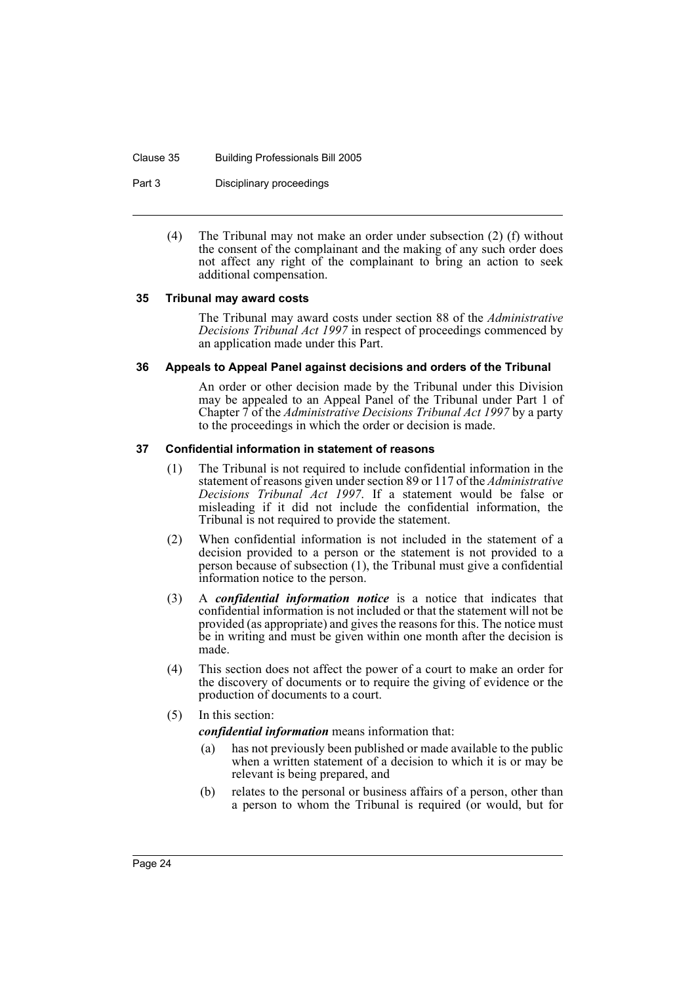#### Clause 35 Building Professionals Bill 2005

Part 3 Disciplinary proceedings

(4) The Tribunal may not make an order under subsection (2) (f) without the consent of the complainant and the making of any such order does not affect any right of the complainant to bring an action to seek additional compensation.

### **35 Tribunal may award costs**

The Tribunal may award costs under section 88 of the *Administrative Decisions Tribunal Act 1997* in respect of proceedings commenced by an application made under this Part.

### **36 Appeals to Appeal Panel against decisions and orders of the Tribunal**

An order or other decision made by the Tribunal under this Division may be appealed to an Appeal Panel of the Tribunal under Part 1 of Chapter 7 of the *Administrative Decisions Tribunal Act 1997* by a party to the proceedings in which the order or decision is made.

## **37 Confidential information in statement of reasons**

- (1) The Tribunal is not required to include confidential information in the statement of reasons given under section 89 or 117 of the *Administrative Decisions Tribunal Act 1997*. If a statement would be false or misleading if it did not include the confidential information, the Tribunal is not required to provide the statement.
- (2) When confidential information is not included in the statement of a decision provided to a person or the statement is not provided to a person because of subsection (1), the Tribunal must give a confidential information notice to the person.
- (3) A *confidential information notice* is a notice that indicates that confidential information is not included or that the statement will not be provided (as appropriate) and gives the reasons for this. The notice must be in writing and must be given within one month after the decision is made.
- (4) This section does not affect the power of a court to make an order for the discovery of documents or to require the giving of evidence or the production of documents to a court.
- (5) In this section:
	- *confidential information* means information that:
	- (a) has not previously been published or made available to the public when a written statement of a decision to which it is or may be relevant is being prepared, and
	- (b) relates to the personal or business affairs of a person, other than a person to whom the Tribunal is required (or would, but for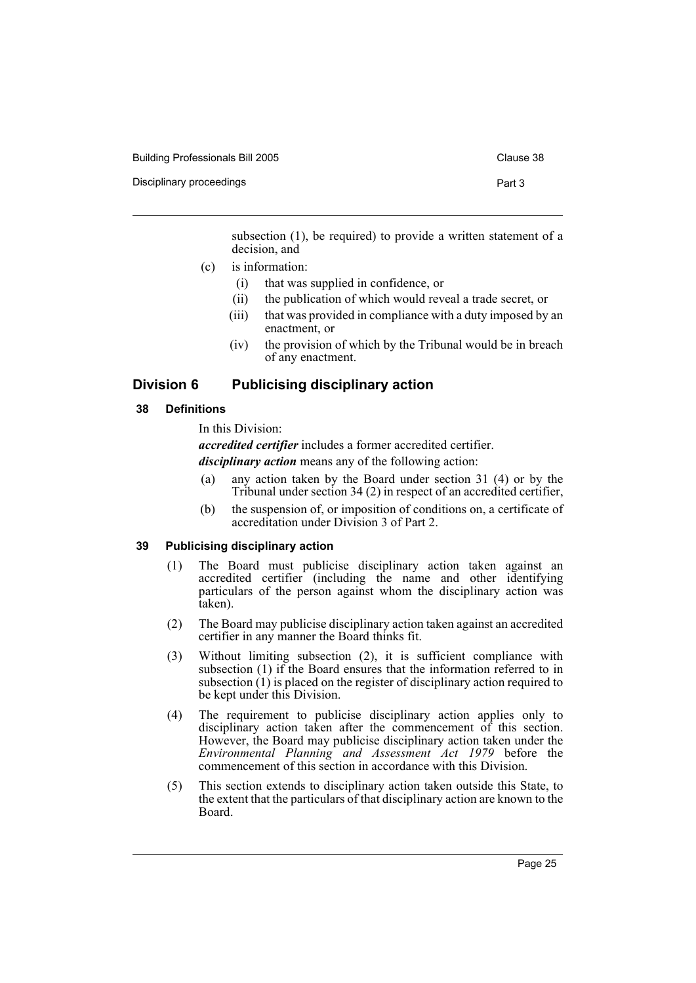Disciplinary proceedings **Part 3** 

subsection (1), be required) to provide a written statement of a decision, and

- (c) is information:
	- (i) that was supplied in confidence, or
	- (ii) the publication of which would reveal a trade secret, or
	- (iii) that was provided in compliance with a duty imposed by an enactment, or
	- (iv) the provision of which by the Tribunal would be in breach of any enactment.

# **Division 6 Publicising disciplinary action**

### **38 Definitions**

In this Division:

*accredited certifier* includes a former accredited certifier.

*disciplinary action* means any of the following action:

- (a) any action taken by the Board under section 31 (4) or by the Tribunal under section 34 (2) in respect of an accredited certifier,
- (b) the suspension of, or imposition of conditions on, a certificate of accreditation under Division 3 of Part 2.

## **39 Publicising disciplinary action**

- (1) The Board must publicise disciplinary action taken against an accredited certifier (including the name and other identifying particulars of the person against whom the disciplinary action was taken).
- (2) The Board may publicise disciplinary action taken against an accredited certifier in any manner the Board thinks fit.
- (3) Without limiting subsection (2), it is sufficient compliance with subsection (1) if the Board ensures that the information referred to in subsection  $(1)$  is placed on the register of disciplinary action required to be kept under this Division.
- (4) The requirement to publicise disciplinary action applies only to disciplinary action taken after the commencement of this section. However, the Board may publicise disciplinary action taken under the *Environmental Planning and Assessment Act 1979* before the commencement of this section in accordance with this Division.
- (5) This section extends to disciplinary action taken outside this State, to the extent that the particulars of that disciplinary action are known to the Board.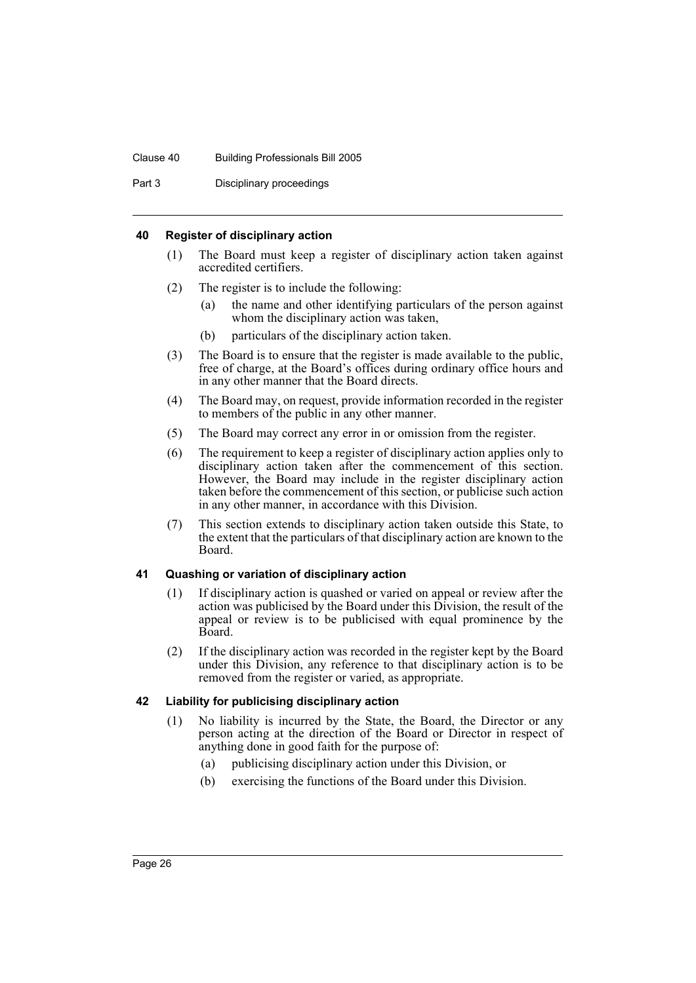#### Clause 40 Building Professionals Bill 2005

Part 3 Disciplinary proceedings

### **40 Register of disciplinary action**

- (1) The Board must keep a register of disciplinary action taken against accredited certifiers.
- (2) The register is to include the following:
	- (a) the name and other identifying particulars of the person against whom the disciplinary action was taken,
	- (b) particulars of the disciplinary action taken.
- (3) The Board is to ensure that the register is made available to the public, free of charge, at the Board's offices during ordinary office hours and in any other manner that the Board directs.
- (4) The Board may, on request, provide information recorded in the register to members of the public in any other manner.
- (5) The Board may correct any error in or omission from the register.
- (6) The requirement to keep a register of disciplinary action applies only to disciplinary action taken after the commencement of this section. However, the Board may include in the register disciplinary action taken before the commencement of this section, or publicise such action in any other manner, in accordance with this Division.
- (7) This section extends to disciplinary action taken outside this State, to the extent that the particulars of that disciplinary action are known to the Board.

### **41 Quashing or variation of disciplinary action**

- (1) If disciplinary action is quashed or varied on appeal or review after the action was publicised by the Board under this Division, the result of the appeal or review is to be publicised with equal prominence by the Board.
- (2) If the disciplinary action was recorded in the register kept by the Board under this Division, any reference to that disciplinary action is to be removed from the register or varied, as appropriate.

# **42 Liability for publicising disciplinary action**

- (1) No liability is incurred by the State, the Board, the Director or any person acting at the direction of the Board or Director in respect of anything done in good faith for the purpose of:
	- (a) publicising disciplinary action under this Division, or
	- (b) exercising the functions of the Board under this Division.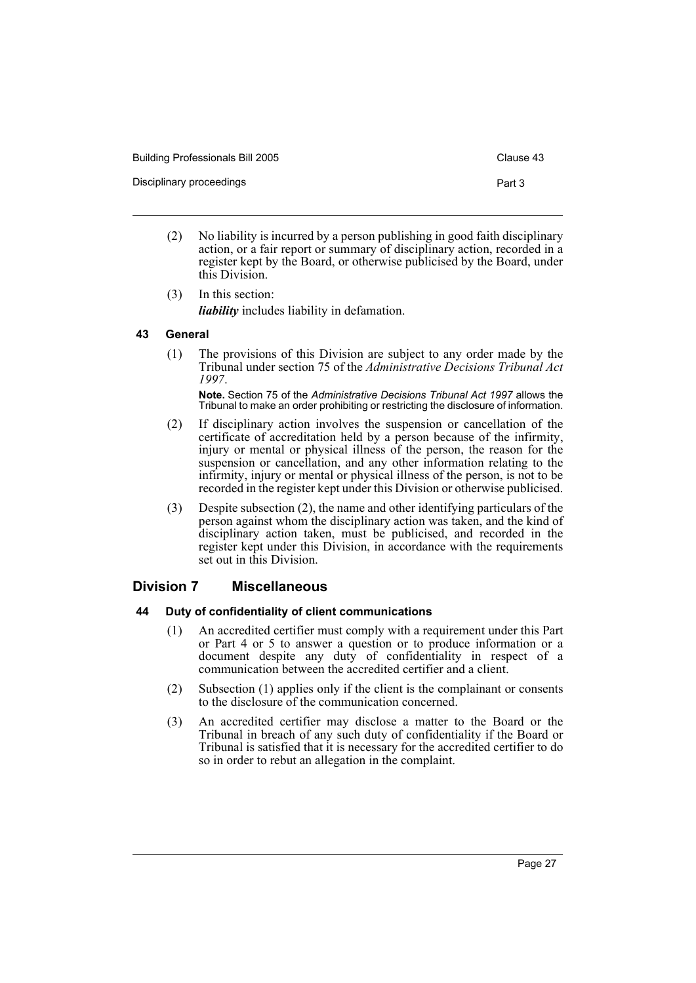Building Professionals Bill 2005 Clause 43

Disciplinary proceedings **Part 3** 

- (2) No liability is incurred by a person publishing in good faith disciplinary action, or a fair report or summary of disciplinary action, recorded in a register kept by the Board, or otherwise publicised by the Board, under this Division.
- (3) In this section: *liability* includes liability in defamation.

## **43 General**

(1) The provisions of this Division are subject to any order made by the Tribunal under section 75 of the *Administrative Decisions Tribunal Act 1997*.

**Note.** Section 75 of the *Administrative Decisions Tribunal Act 1997* allows the Tribunal to make an order prohibiting or restricting the disclosure of information.

- (2) If disciplinary action involves the suspension or cancellation of the certificate of accreditation held by a person because of the infirmity, injury or mental or physical illness of the person, the reason for the suspension or cancellation, and any other information relating to the infirmity, injury or mental or physical illness of the person, is not to be recorded in the register kept under this Division or otherwise publicised.
- (3) Despite subsection (2), the name and other identifying particulars of the person against whom the disciplinary action was taken, and the kind of disciplinary action taken, must be publicised, and recorded in the register kept under this Division, in accordance with the requirements set out in this Division.

# **Division 7 Miscellaneous**

### **44 Duty of confidentiality of client communications**

- (1) An accredited certifier must comply with a requirement under this Part or Part 4 or 5 to answer a question or to produce information or a document despite any duty of confidentiality in respect of a communication between the accredited certifier and a client.
- (2) Subsection (1) applies only if the client is the complainant or consents to the disclosure of the communication concerned.
- (3) An accredited certifier may disclose a matter to the Board or the Tribunal in breach of any such duty of confidentiality if the Board or Tribunal is satisfied that it is necessary for the accredited certifier to do so in order to rebut an allegation in the complaint.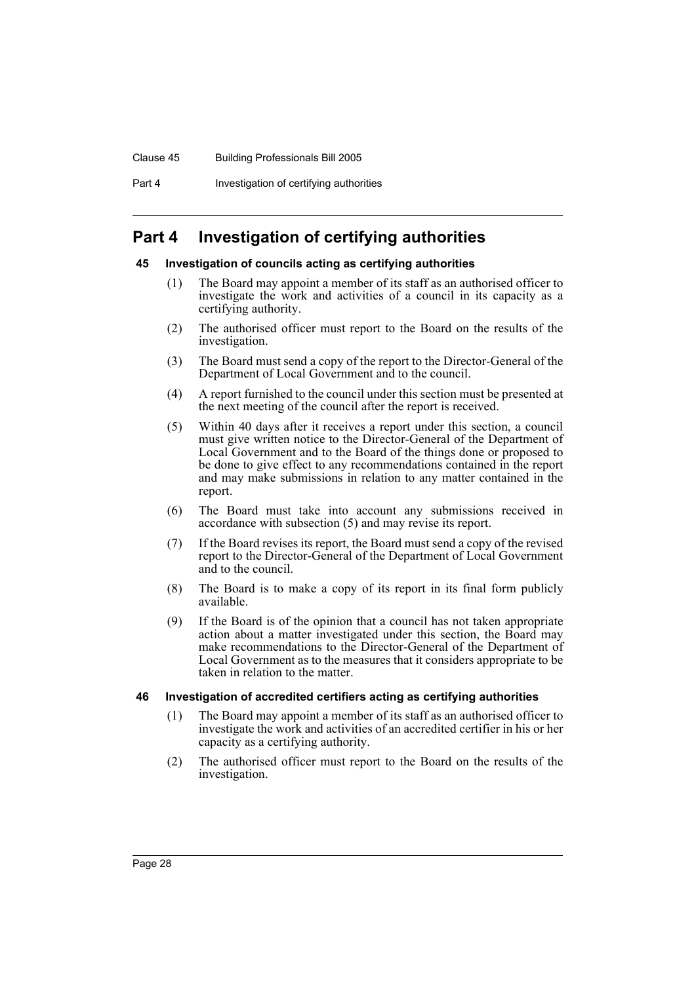#### Clause 45 Building Professionals Bill 2005

Part 4 **Investigation of certifying authorities** 

# **Part 4 Investigation of certifying authorities**

# **45 Investigation of councils acting as certifying authorities**

- (1) The Board may appoint a member of its staff as an authorised officer to investigate the work and activities of a council in its capacity as a certifying authority.
- (2) The authorised officer must report to the Board on the results of the investigation.
- (3) The Board must send a copy of the report to the Director-General of the Department of Local Government and to the council.
- (4) A report furnished to the council under this section must be presented at the next meeting of the council after the report is received.
- (5) Within 40 days after it receives a report under this section, a council must give written notice to the Director-General of the Department of Local Government and to the Board of the things done or proposed to be done to give effect to any recommendations contained in the report and may make submissions in relation to any matter contained in the report.
- (6) The Board must take into account any submissions received in accordance with subsection (5) and may revise its report.
- (7) If the Board revises its report, the Board must send a copy of the revised report to the Director-General of the Department of Local Government and to the council.
- (8) The Board is to make a copy of its report in its final form publicly available.
- (9) If the Board is of the opinion that a council has not taken appropriate action about a matter investigated under this section, the Board may make recommendations to the Director-General of the Department of Local Government as to the measures that it considers appropriate to be taken in relation to the matter.

### **46 Investigation of accredited certifiers acting as certifying authorities**

- (1) The Board may appoint a member of its staff as an authorised officer to investigate the work and activities of an accredited certifier in his or her capacity as a certifying authority.
- (2) The authorised officer must report to the Board on the results of the investigation.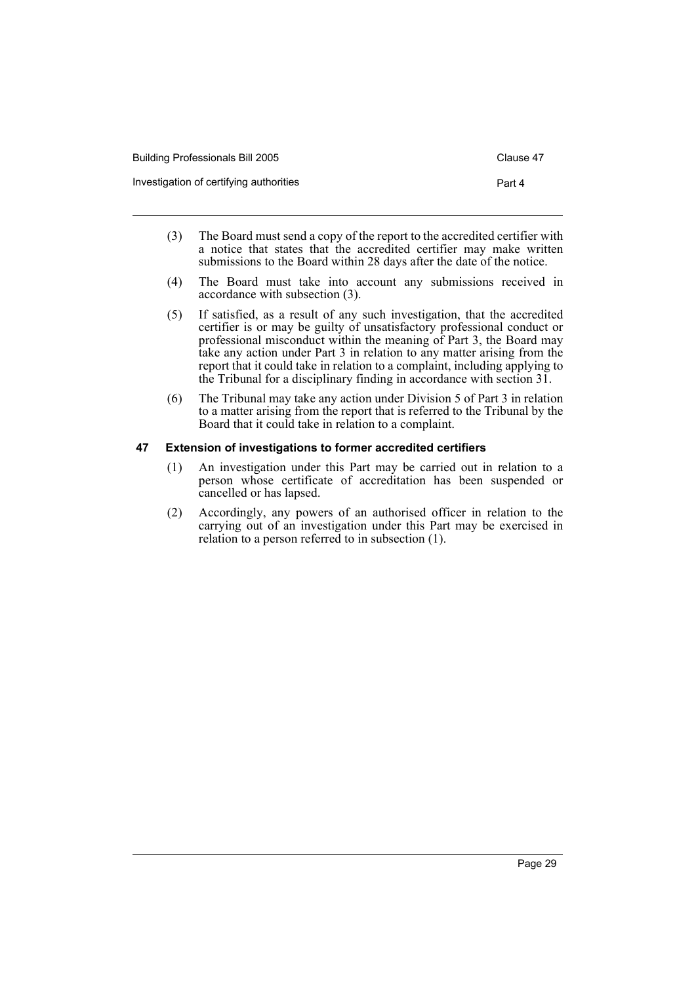| Building Professionals Bill 2005        | Clause 47 |
|-----------------------------------------|-----------|
| Investigation of certifying authorities | Part 4    |

- (3) The Board must send a copy of the report to the accredited certifier with a notice that states that the accredited certifier may make written submissions to the Board within 28 days after the date of the notice.
- (4) The Board must take into account any submissions received in accordance with subsection (3).
- (5) If satisfied, as a result of any such investigation, that the accredited certifier is or may be guilty of unsatisfactory professional conduct or professional misconduct within the meaning of Part 3, the Board may take any action under Part 3 in relation to any matter arising from the report that it could take in relation to a complaint, including applying to the Tribunal for a disciplinary finding in accordance with section 31.
- (6) The Tribunal may take any action under Division 5 of Part 3 in relation to a matter arising from the report that is referred to the Tribunal by the Board that it could take in relation to a complaint.

# **47 Extension of investigations to former accredited certifiers**

- (1) An investigation under this Part may be carried out in relation to a person whose certificate of accreditation has been suspended or cancelled or has lapsed.
- (2) Accordingly, any powers of an authorised officer in relation to the carrying out of an investigation under this Part may be exercised in relation to a person referred to in subsection (1).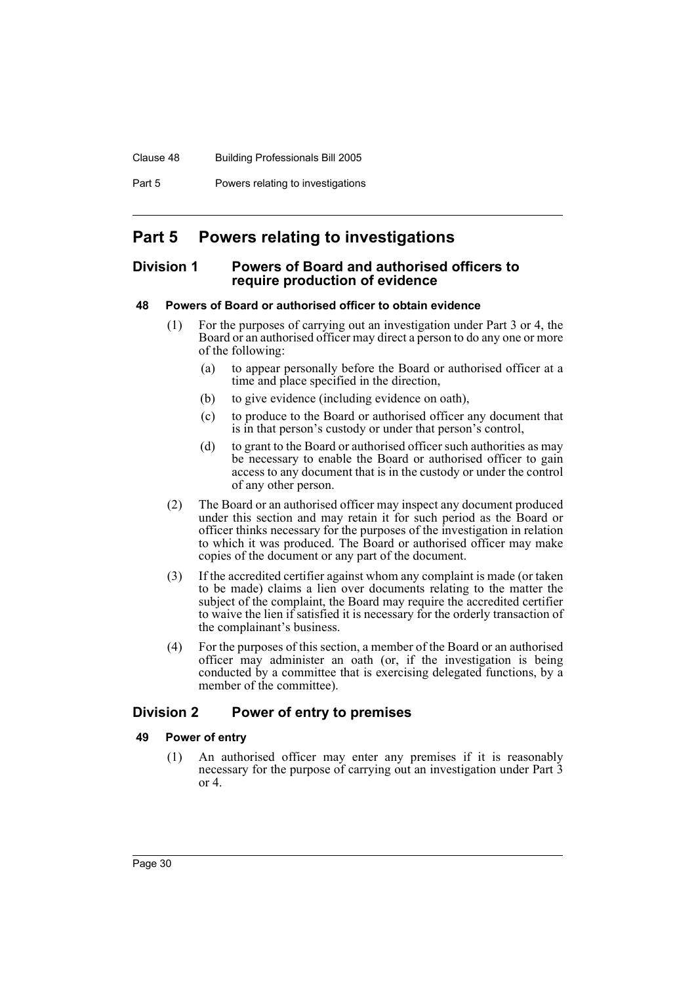#### Clause 48 Building Professionals Bill 2005

Part 5 Powers relating to investigations

# **Part 5 Powers relating to investigations**

# **Division 1 Powers of Board and authorised officers to require production of evidence**

## **48 Powers of Board or authorised officer to obtain evidence**

- (1) For the purposes of carrying out an investigation under Part 3 or 4, the Board or an authorised officer may direct a person to do any one or more of the following:
	- (a) to appear personally before the Board or authorised officer at a time and place specified in the direction,
	- (b) to give evidence (including evidence on oath),
	- (c) to produce to the Board or authorised officer any document that is in that person's custody or under that person's control,
	- (d) to grant to the Board or authorised officer such authorities as may be necessary to enable the Board or authorised officer to gain access to any document that is in the custody or under the control of any other person.
- (2) The Board or an authorised officer may inspect any document produced under this section and may retain it for such period as the Board or officer thinks necessary for the purposes of the investigation in relation to which it was produced. The Board or authorised officer may make copies of the document or any part of the document.
- (3) If the accredited certifier against whom any complaint is made (or taken to be made) claims a lien over documents relating to the matter the subject of the complaint, the Board may require the accredited certifier to waive the lien if satisfied it is necessary for the orderly transaction of the complainant's business.
- (4) For the purposes of this section, a member of the Board or an authorised officer may administer an oath (or, if the investigation is being conducted by a committee that is exercising delegated functions, by a member of the committee).

# **Division 2 Power of entry to premises**

# **49 Power of entry**

(1) An authorised officer may enter any premises if it is reasonably necessary for the purpose of carrying out an investigation under Part 3 or 4.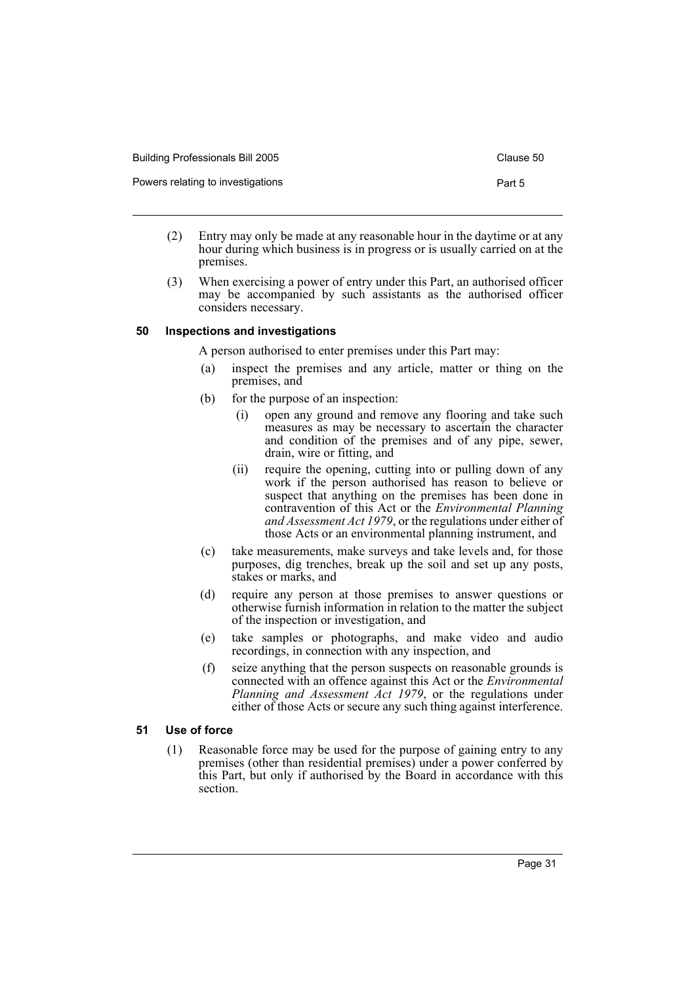| Building Professionals Bill 2005  | Clause 50 |
|-----------------------------------|-----------|
| Powers relating to investigations | Part 5    |

- (2) Entry may only be made at any reasonable hour in the daytime or at any hour during which business is in progress or is usually carried on at the premises.
- (3) When exercising a power of entry under this Part, an authorised officer may be accompanied by such assistants as the authorised officer considers necessary.

## **50 Inspections and investigations**

A person authorised to enter premises under this Part may:

- (a) inspect the premises and any article, matter or thing on the premises, and
- (b) for the purpose of an inspection:
	- (i) open any ground and remove any flooring and take such measures as may be necessary to ascertain the character and condition of the premises and of any pipe, sewer, drain, wire or fitting, and
	- (ii) require the opening, cutting into or pulling down of any work if the person authorised has reason to believe or suspect that anything on the premises has been done in contravention of this Act or the *Environmental Planning and Assessment Act 1979*, or the regulations under either of those Acts or an environmental planning instrument, and
- (c) take measurements, make surveys and take levels and, for those purposes, dig trenches, break up the soil and set up any posts, stakes or marks, and
- (d) require any person at those premises to answer questions or otherwise furnish information in relation to the matter the subject of the inspection or investigation, and
- (e) take samples or photographs, and make video and audio recordings, in connection with any inspection, and
- (f) seize anything that the person suspects on reasonable grounds is connected with an offence against this Act or the *Environmental Planning and Assessment Act 1979*, or the regulations under either of those Acts or secure any such thing against interference.

# **51 Use of force**

(1) Reasonable force may be used for the purpose of gaining entry to any premises (other than residential premises) under a power conferred by this Part, but only if authorised by the Board in accordance with this section.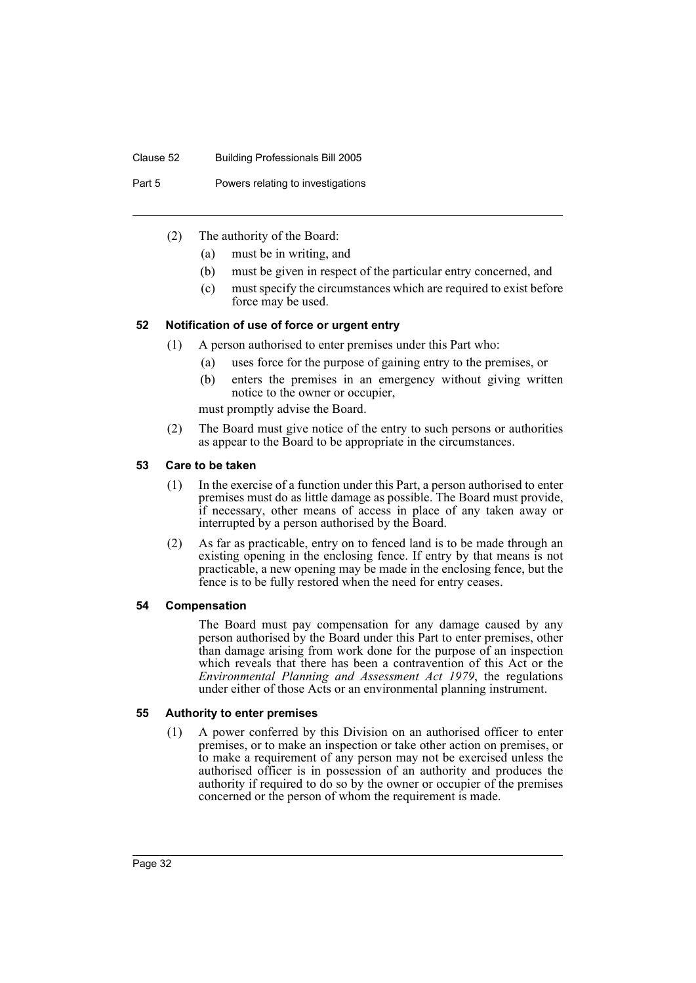#### Clause 52 Building Professionals Bill 2005

Part 5 Powers relating to investigations

- (2) The authority of the Board:
	- (a) must be in writing, and
	- (b) must be given in respect of the particular entry concerned, and
	- (c) must specify the circumstances which are required to exist before force may be used.

## **52 Notification of use of force or urgent entry**

- (1) A person authorised to enter premises under this Part who:
	- (a) uses force for the purpose of gaining entry to the premises, or
	- (b) enters the premises in an emergency without giving written notice to the owner or occupier,

must promptly advise the Board.

(2) The Board must give notice of the entry to such persons or authorities as appear to the Board to be appropriate in the circumstances.

#### **53 Care to be taken**

- (1) In the exercise of a function under this Part, a person authorised to enter premises must do as little damage as possible. The Board must provide, if necessary, other means of access in place of any taken away or interrupted by a person authorised by the Board.
- (2) As far as practicable, entry on to fenced land is to be made through an existing opening in the enclosing fence. If entry by that means is not practicable, a new opening may be made in the enclosing fence, but the fence is to be fully restored when the need for entry ceases.

#### **54 Compensation**

The Board must pay compensation for any damage caused by any person authorised by the Board under this Part to enter premises, other than damage arising from work done for the purpose of an inspection which reveals that there has been a contravention of this Act or the *Environmental Planning and Assessment Act 1979*, the regulations under either of those Acts or an environmental planning instrument.

#### **55 Authority to enter premises**

(1) A power conferred by this Division on an authorised officer to enter premises, or to make an inspection or take other action on premises, or to make a requirement of any person may not be exercised unless the authorised officer is in possession of an authority and produces the authority if required to do so by the owner or occupier of the premises concerned or the person of whom the requirement is made.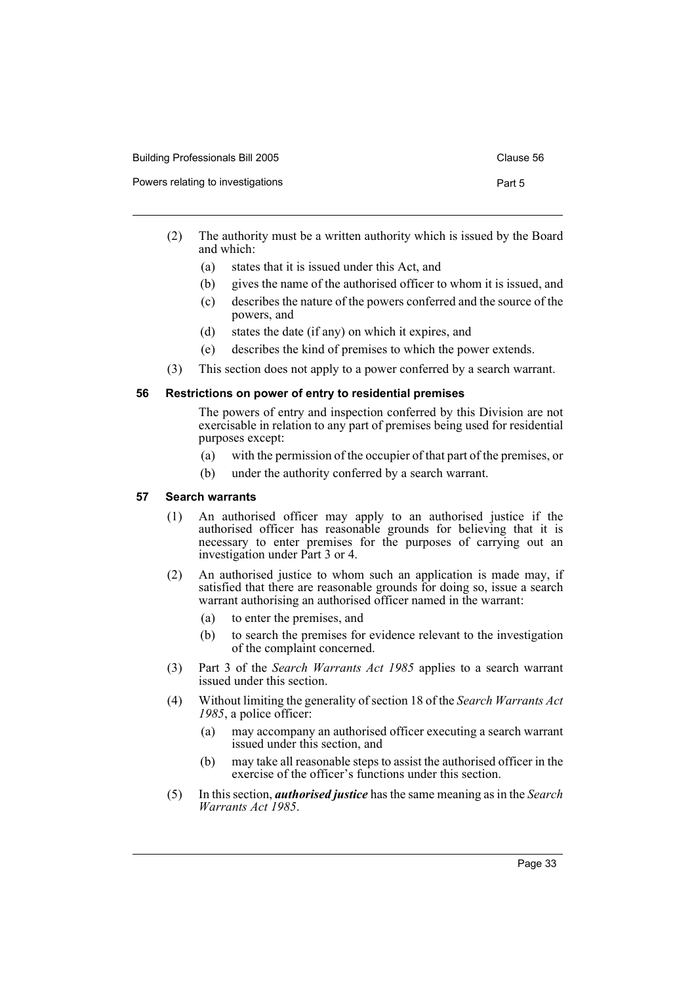| Building Professionals Bill 2005  | Clause 56 |
|-----------------------------------|-----------|
| Powers relating to investigations | Part 5    |

- (2) The authority must be a written authority which is issued by the Board and which:
	- (a) states that it is issued under this Act, and
	- (b) gives the name of the authorised officer to whom it is issued, and
	- (c) describes the nature of the powers conferred and the source of the powers, and
	- (d) states the date (if any) on which it expires, and
	- (e) describes the kind of premises to which the power extends.
- (3) This section does not apply to a power conferred by a search warrant.

## **56 Restrictions on power of entry to residential premises**

The powers of entry and inspection conferred by this Division are not exercisable in relation to any part of premises being used for residential purposes except:

- (a) with the permission of the occupier of that part of the premises, or
- (b) under the authority conferred by a search warrant.

## **57 Search warrants**

- (1) An authorised officer may apply to an authorised justice if the authorised officer has reasonable grounds for believing that it is necessary to enter premises for the purposes of carrying out an investigation under Part 3 or 4.
- (2) An authorised justice to whom such an application is made may, if satisfied that there are reasonable grounds for doing so, issue a search warrant authorising an authorised officer named in the warrant:
	- (a) to enter the premises, and
	- (b) to search the premises for evidence relevant to the investigation of the complaint concerned.
- (3) Part 3 of the *Search Warrants Act 1985* applies to a search warrant issued under this section.
- (4) Without limiting the generality of section 18 of the *Search Warrants Act 1985*, a police officer:
	- (a) may accompany an authorised officer executing a search warrant issued under this section, and
	- (b) may take all reasonable steps to assist the authorised officer in the exercise of the officer's functions under this section.
- (5) In this section, *authorised justice* has the same meaning as in the *Search Warrants Act 1985*.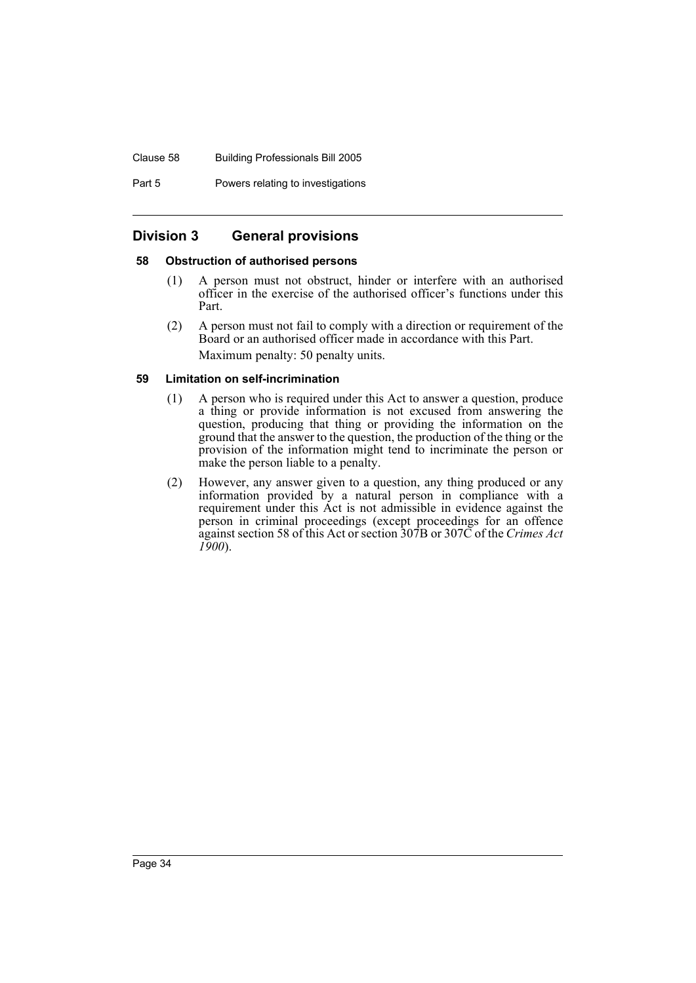#### Clause 58 Building Professionals Bill 2005

Part 5 Powers relating to investigations

## **Division 3 General provisions**

#### **58 Obstruction of authorised persons**

- (1) A person must not obstruct, hinder or interfere with an authorised officer in the exercise of the authorised officer's functions under this Part.
- (2) A person must not fail to comply with a direction or requirement of the Board or an authorised officer made in accordance with this Part. Maximum penalty: 50 penalty units.

## **59 Limitation on self-incrimination**

- (1) A person who is required under this Act to answer a question, produce a thing or provide information is not excused from answering the question, producing that thing or providing the information on the ground that the answer to the question, the production of the thing or the provision of the information might tend to incriminate the person or make the person liable to a penalty.
- (2) However, any answer given to a question, any thing produced or any information provided by a natural person in compliance with a requirement under this Act is not admissible in evidence against the person in criminal proceedings (except proceedings for an offence against section 58 of this Act or section 307B or 307C of the *Crimes Act 1900*).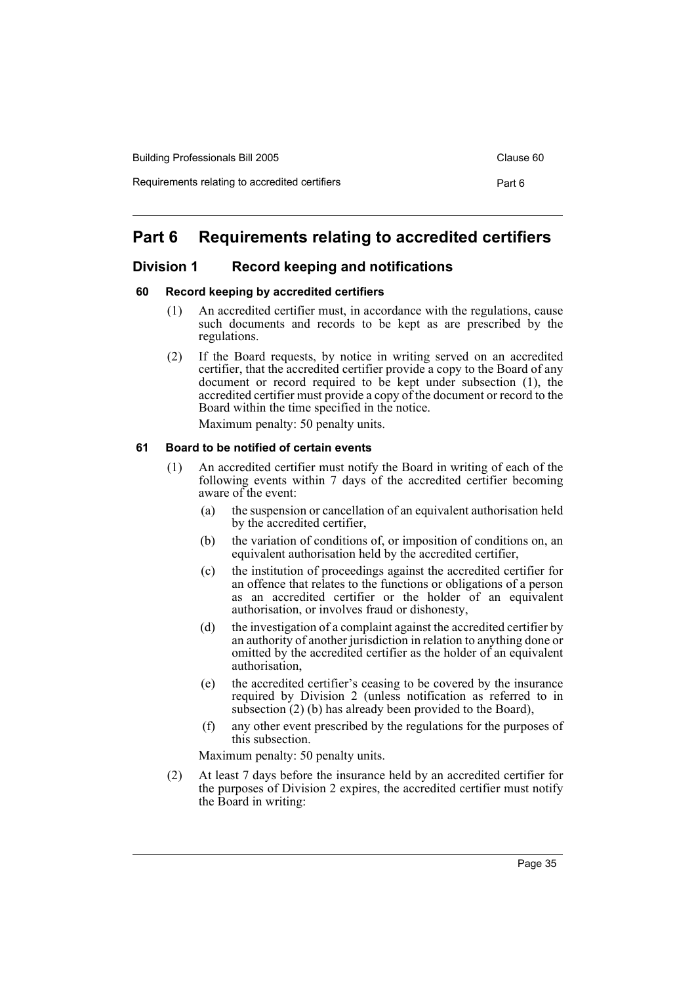| Building Professionals Bill 2005               | Clause 60 |
|------------------------------------------------|-----------|
| Requirements relating to accredited certifiers | Part 6    |

# **Part 6 Requirements relating to accredited certifiers**

## **Division 1 Record keeping and notifications**

## **60 Record keeping by accredited certifiers**

- (1) An accredited certifier must, in accordance with the regulations, cause such documents and records to be kept as are prescribed by the regulations.
- (2) If the Board requests, by notice in writing served on an accredited certifier, that the accredited certifier provide a copy to the Board of any document or record required to be kept under subsection (1), the accredited certifier must provide a copy of the document or record to the Board within the time specified in the notice.

Maximum penalty: 50 penalty units.

## **61 Board to be notified of certain events**

- (1) An accredited certifier must notify the Board in writing of each of the following events within 7 days of the accredited certifier becoming aware of the event:
	- (a) the suspension or cancellation of an equivalent authorisation held by the accredited certifier,
	- (b) the variation of conditions of, or imposition of conditions on, an equivalent authorisation held by the accredited certifier,
	- (c) the institution of proceedings against the accredited certifier for an offence that relates to the functions or obligations of a person as an accredited certifier or the holder of an equivalent authorisation, or involves fraud or dishonesty,
	- (d) the investigation of a complaint against the accredited certifier by an authority of another jurisdiction in relation to anything done or omitted by the accredited certifier as the holder of an equivalent authorisation,
	- (e) the accredited certifier's ceasing to be covered by the insurance required by Division 2 (unless notification as referred to in subsection (2) (b) has already been provided to the Board),
	- (f) any other event prescribed by the regulations for the purposes of this subsection.

Maximum penalty: 50 penalty units.

(2) At least 7 days before the insurance held by an accredited certifier for the purposes of Division 2 expires, the accredited certifier must notify the Board in writing: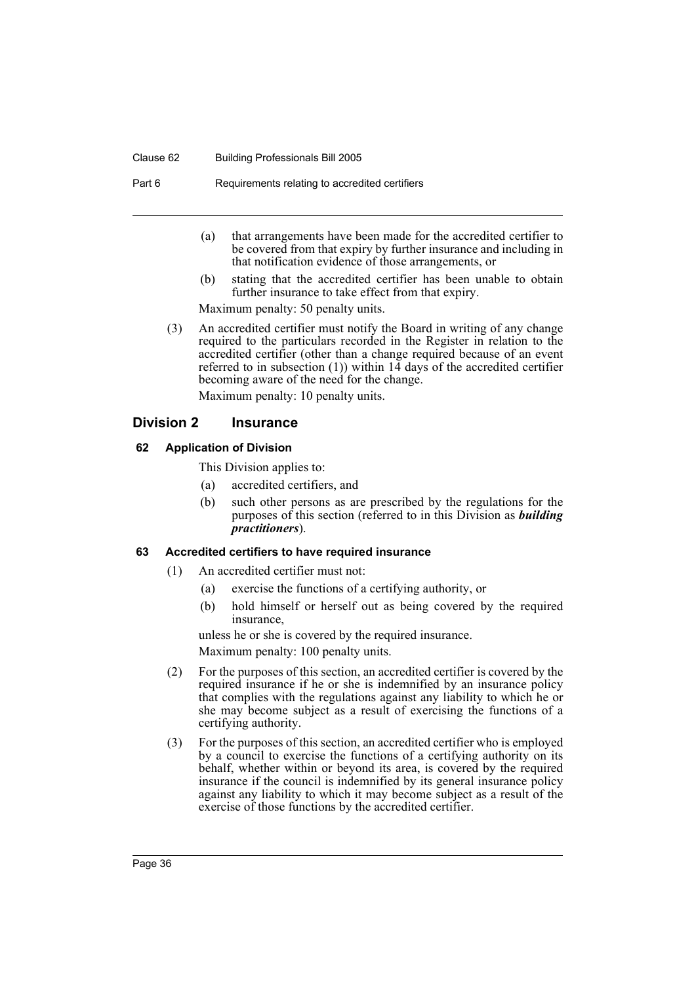#### Clause 62 Building Professionals Bill 2005

Part 6 Requirements relating to accredited certifiers

- (a) that arrangements have been made for the accredited certifier to be covered from that expiry by further insurance and including in that notification evidence of those arrangements, or
- (b) stating that the accredited certifier has been unable to obtain further insurance to take effect from that expiry.

Maximum penalty: 50 penalty units.

(3) An accredited certifier must notify the Board in writing of any change required to the particulars recorded in the Register in relation to the accredited certifier (other than a change required because of an event referred to in subsection (1)) within  $14$  days of the accredited certifier becoming aware of the need for the change. Maximum penalty: 10 penalty units.

**Division 2 Insurance**

## **62 Application of Division**

This Division applies to:

- (a) accredited certifiers, and
- (b) such other persons as are prescribed by the regulations for the purposes of this section (referred to in this Division as *building practitioners*).

## **63 Accredited certifiers to have required insurance**

- (1) An accredited certifier must not:
	- (a) exercise the functions of a certifying authority, or
	- (b) hold himself or herself out as being covered by the required insurance,

unless he or she is covered by the required insurance. Maximum penalty: 100 penalty units.

- (2) For the purposes of this section, an accredited certifier is covered by the required insurance if he or she is indemnified by an insurance policy that complies with the regulations against any liability to which he or she may become subject as a result of exercising the functions of a certifying authority.
- (3) For the purposes of this section, an accredited certifier who is employed by a council to exercise the functions of a certifying authority on its behalf, whether within or beyond its area, is covered by the required insurance if the council is indemnified by its general insurance policy against any liability to which it may become subject as a result of the exercise of those functions by the accredited certifier.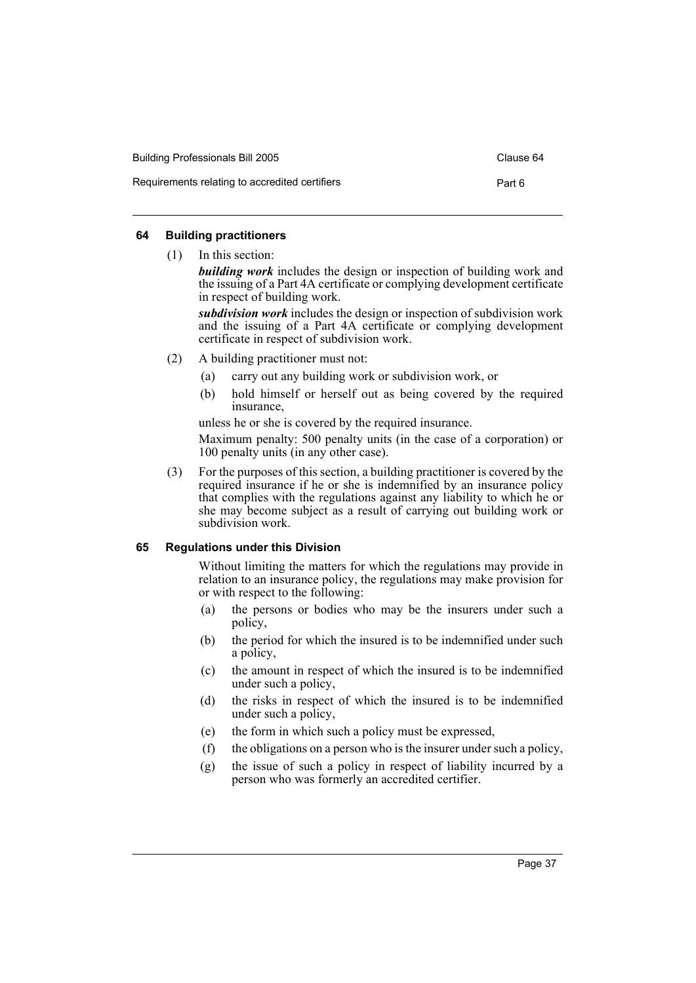| Building Professionals Bill 2005               | Clause 64 |
|------------------------------------------------|-----------|
| Requirements relating to accredited certifiers | Part 6    |

#### **64 Building practitioners**

(1) In this section:

*building work* includes the design or inspection of building work and the issuing of a Part 4A certificate or complying development certificate in respect of building work.

*subdivision work* includes the design or inspection of subdivision work and the issuing of a Part 4A certificate or complying development certificate in respect of subdivision work.

- (2) A building practitioner must not:
	- (a) carry out any building work or subdivision work, or
	- (b) hold himself or herself out as being covered by the required insurance,

unless he or she is covered by the required insurance.

Maximum penalty: 500 penalty units (in the case of a corporation) or 100 penalty units (in any other case).

(3) For the purposes of this section, a building practitioner is covered by the required insurance if he or she is indemnified by an insurance policy that complies with the regulations against any liability to which he or she may become subject as a result of carrying out building work or subdivision work.

## **65 Regulations under this Division**

Without limiting the matters for which the regulations may provide in relation to an insurance policy, the regulations may make provision for or with respect to the following:

- (a) the persons or bodies who may be the insurers under such a policy,
- (b) the period for which the insured is to be indemnified under such a policy,
- (c) the amount in respect of which the insured is to be indemnified under such a policy,
- (d) the risks in respect of which the insured is to be indemnified under such a policy,
- (e) the form in which such a policy must be expressed,
- (f) the obligations on a person who is the insurer under such a policy,
- (g) the issue of such a policy in respect of liability incurred by a person who was formerly an accredited certifier.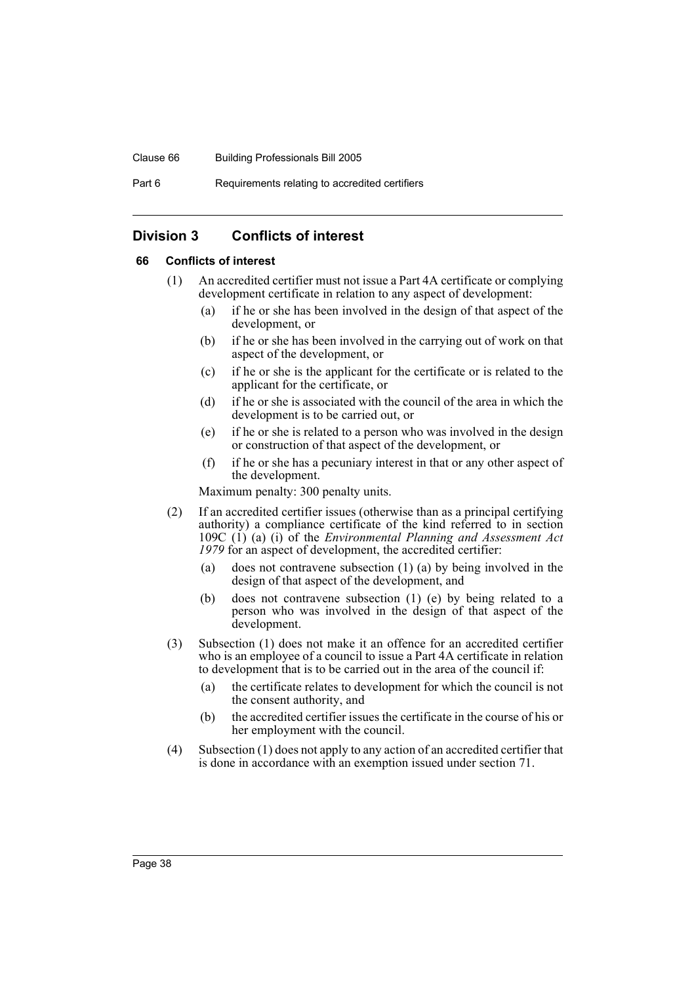#### Clause 66 Building Professionals Bill 2005

Part 6 Requirements relating to accredited certifiers

## **Division 3 Conflicts of interest**

## **66 Conflicts of interest**

- (1) An accredited certifier must not issue a Part 4A certificate or complying development certificate in relation to any aspect of development:
	- (a) if he or she has been involved in the design of that aspect of the development, or
	- (b) if he or she has been involved in the carrying out of work on that aspect of the development, or
	- (c) if he or she is the applicant for the certificate or is related to the applicant for the certificate, or
	- (d) if he or she is associated with the council of the area in which the development is to be carried out, or
	- (e) if he or she is related to a person who was involved in the design or construction of that aspect of the development, or
	- (f) if he or she has a pecuniary interest in that or any other aspect of the development.

Maximum penalty: 300 penalty units.

- (2) If an accredited certifier issues (otherwise than as a principal certifying authority) a compliance certificate of the kind referred to in section 109C (1) (a) (i) of the *Environmental Planning and Assessment Act 1979* for an aspect of development, the accredited certifier:
	- (a) does not contravene subsection (1) (a) by being involved in the design of that aspect of the development, and
	- (b) does not contravene subsection (1) (e) by being related to a person who was involved in the design of that aspect of the development.
- (3) Subsection (1) does not make it an offence for an accredited certifier who is an employee of a council to issue a Part 4A certificate in relation to development that is to be carried out in the area of the council if:
	- (a) the certificate relates to development for which the council is not the consent authority, and
	- (b) the accredited certifier issues the certificate in the course of his or her employment with the council.
- (4) Subsection (1) does not apply to any action of an accredited certifier that is done in accordance with an exemption issued under section 71.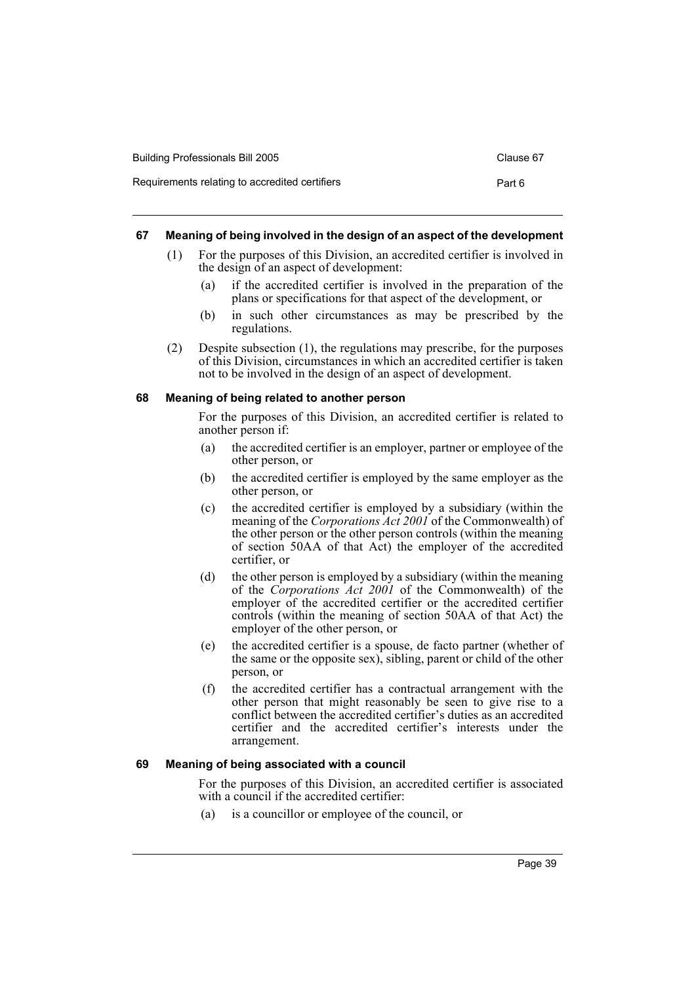| Building Professionals Bill 2005               | Clause 67 |
|------------------------------------------------|-----------|
| Requirements relating to accredited certifiers | Part 6    |

#### **67 Meaning of being involved in the design of an aspect of the development**

- (1) For the purposes of this Division, an accredited certifier is involved in the design of an aspect of development:
	- (a) if the accredited certifier is involved in the preparation of the plans or specifications for that aspect of the development, or
	- (b) in such other circumstances as may be prescribed by the regulations.
- (2) Despite subsection (1), the regulations may prescribe, for the purposes of this Division, circumstances in which an accredited certifier is taken not to be involved in the design of an aspect of development.

## **68 Meaning of being related to another person**

For the purposes of this Division, an accredited certifier is related to another person if:

- (a) the accredited certifier is an employer, partner or employee of the other person, or
- (b) the accredited certifier is employed by the same employer as the other person, or
- (c) the accredited certifier is employed by a subsidiary (within the meaning of the *Corporations Act 2001* of the Commonwealth) of the other person or the other person controls (within the meaning of section 50AA of that Act) the employer of the accredited certifier, or
- (d) the other person is employed by a subsidiary (within the meaning of the *Corporations Act 2001* of the Commonwealth) of the employer of the accredited certifier or the accredited certifier controls (within the meaning of section 50AA of that Act) the employer of the other person, or
- (e) the accredited certifier is a spouse, de facto partner (whether of the same or the opposite sex), sibling, parent or child of the other person, or
- (f) the accredited certifier has a contractual arrangement with the other person that might reasonably be seen to give rise to a conflict between the accredited certifier's duties as an accredited certifier and the accredited certifier's interests under the arrangement.

## **69 Meaning of being associated with a council**

For the purposes of this Division, an accredited certifier is associated with a council if the accredited certifier:

(a) is a councillor or employee of the council, or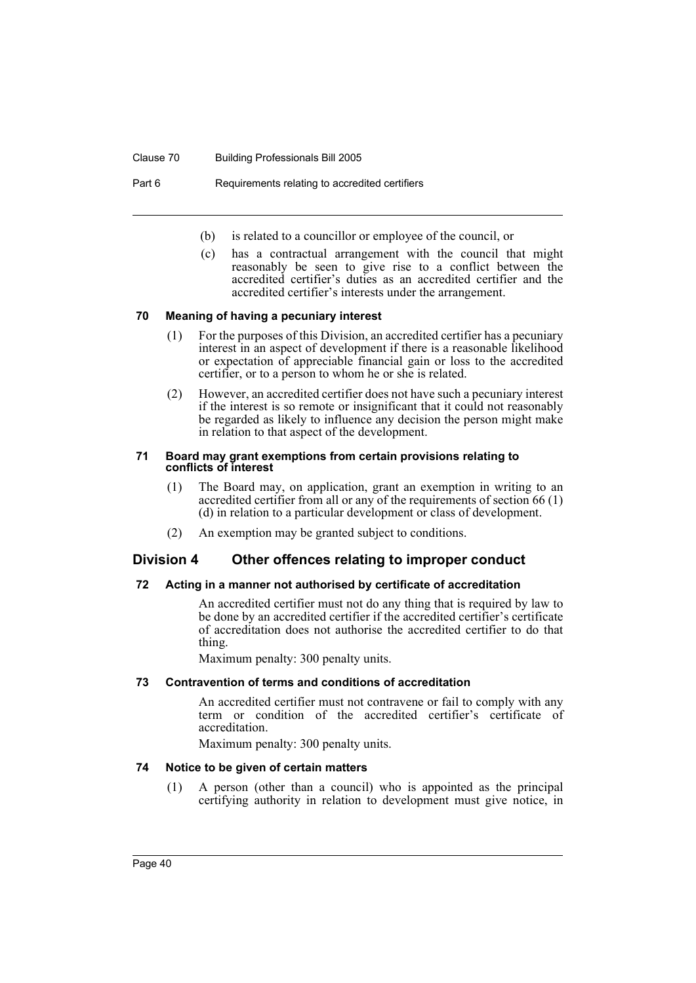#### Clause 70 Building Professionals Bill 2005

Part 6 Requirements relating to accredited certifiers

- (b) is related to a councillor or employee of the council, or
- (c) has a contractual arrangement with the council that might reasonably be seen to give rise to a conflict between the accredited certifier's duties as an accredited certifier and the accredited certifier's interests under the arrangement.

#### **70 Meaning of having a pecuniary interest**

- (1) For the purposes of this Division, an accredited certifier has a pecuniary interest in an aspect of development if there is a reasonable likelihood or expectation of appreciable financial gain or loss to the accredited certifier, or to a person to whom he or she is related.
- (2) However, an accredited certifier does not have such a pecuniary interest if the interest is so remote or insignificant that it could not reasonably be regarded as likely to influence any decision the person might make in relation to that aspect of the development.

#### **71 Board may grant exemptions from certain provisions relating to conflicts of interest**

- (1) The Board may, on application, grant an exemption in writing to an accredited certifier from all or any of the requirements of section 66 (1) (d) in relation to a particular development or class of development.
- (2) An exemption may be granted subject to conditions.

## **Division 4 Other offences relating to improper conduct**

## **72 Acting in a manner not authorised by certificate of accreditation**

An accredited certifier must not do any thing that is required by law to be done by an accredited certifier if the accredited certifier's certificate of accreditation does not authorise the accredited certifier to do that thing.

Maximum penalty: 300 penalty units.

## **73 Contravention of terms and conditions of accreditation**

An accredited certifier must not contravene or fail to comply with any term or condition of the accredited certifier's certificate of accreditation.

Maximum penalty: 300 penalty units.

#### **74 Notice to be given of certain matters**

(1) A person (other than a council) who is appointed as the principal certifying authority in relation to development must give notice, in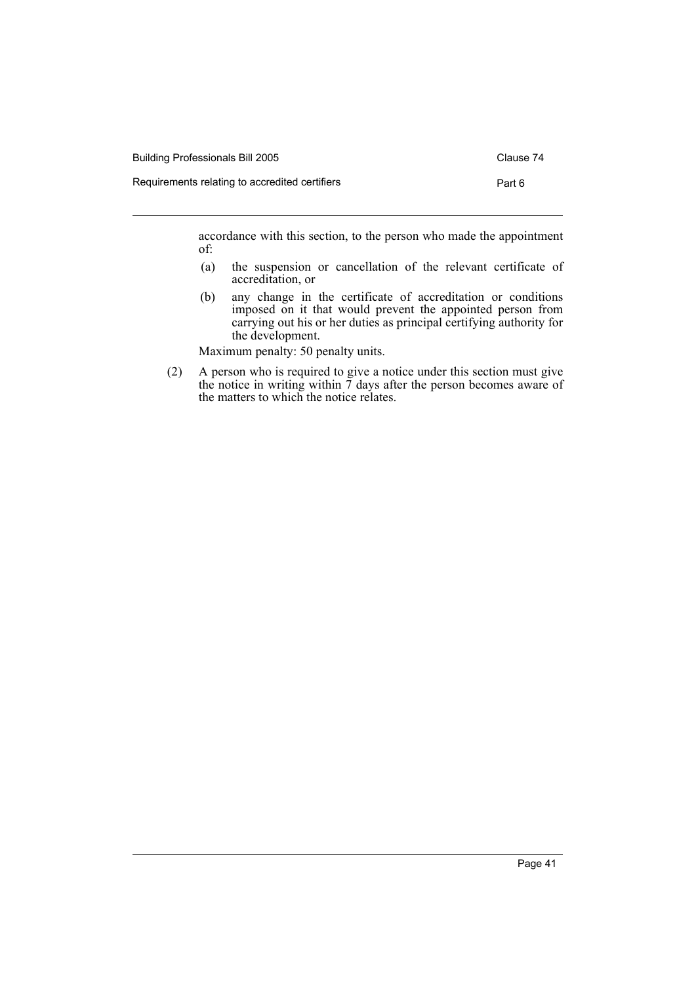Building Professionals Bill 2005 Clause 74

Requirements relating to accredited certifiers example of the Part 6

accordance with this section, to the person who made the appointment of:

- (a) the suspension or cancellation of the relevant certificate of accreditation, or
- (b) any change in the certificate of accreditation or conditions imposed on it that would prevent the appointed person from carrying out his or her duties as principal certifying authority for the development.

Maximum penalty: 50 penalty units.

(2) A person who is required to give a notice under this section must give the notice in writing within 7 days after the person becomes aware of the matters to which the notice relates.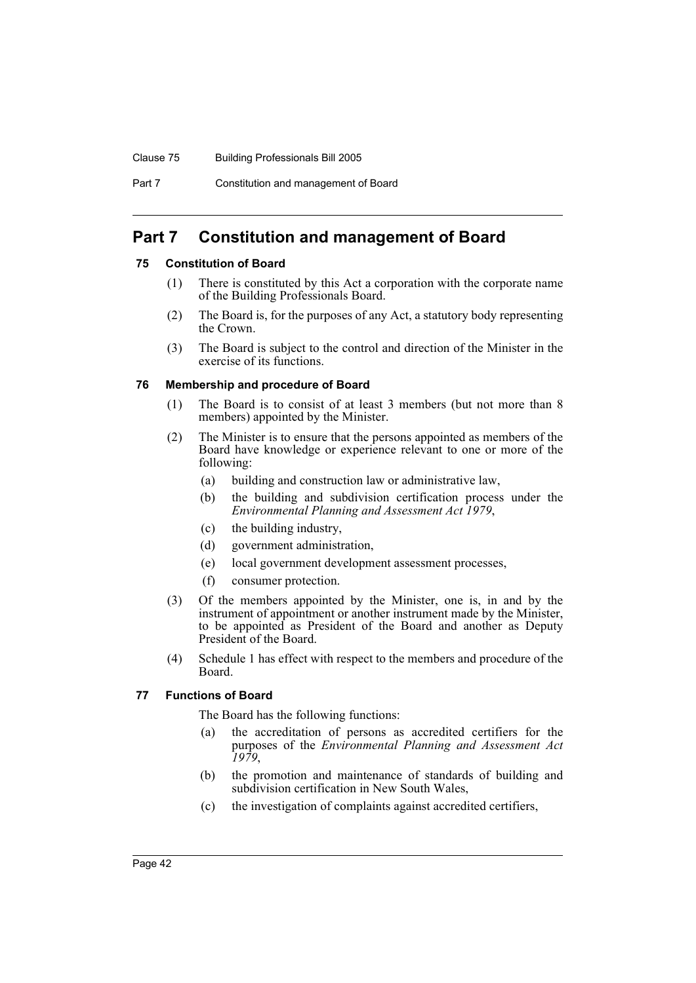#### Clause 75 Building Professionals Bill 2005

Part 7 Constitution and management of Board

# **Part 7 Constitution and management of Board**

## **75 Constitution of Board**

- (1) There is constituted by this Act a corporation with the corporate name of the Building Professionals Board.
- (2) The Board is, for the purposes of any Act, a statutory body representing the Crown.
- (3) The Board is subject to the control and direction of the Minister in the exercise of its functions.

## **76 Membership and procedure of Board**

- (1) The Board is to consist of at least 3 members (but not more than 8 members) appointed by the Minister.
- (2) The Minister is to ensure that the persons appointed as members of the Board have knowledge or experience relevant to one or more of the following:
	- (a) building and construction law or administrative law,
	- (b) the building and subdivision certification process under the *Environmental Planning and Assessment Act 1979*,
	- (c) the building industry,
	- (d) government administration,
	- (e) local government development assessment processes,
	- (f) consumer protection.
- (3) Of the members appointed by the Minister, one is, in and by the instrument of appointment or another instrument made by the Minister, to be appointed as President of the Board and another as Deputy President of the Board.
- (4) Schedule 1 has effect with respect to the members and procedure of the Board.

## **77 Functions of Board**

The Board has the following functions:

- (a) the accreditation of persons as accredited certifiers for the purposes of the *Environmental Planning and Assessment Act 1979*,
- (b) the promotion and maintenance of standards of building and subdivision certification in New South Wales,
- (c) the investigation of complaints against accredited certifiers,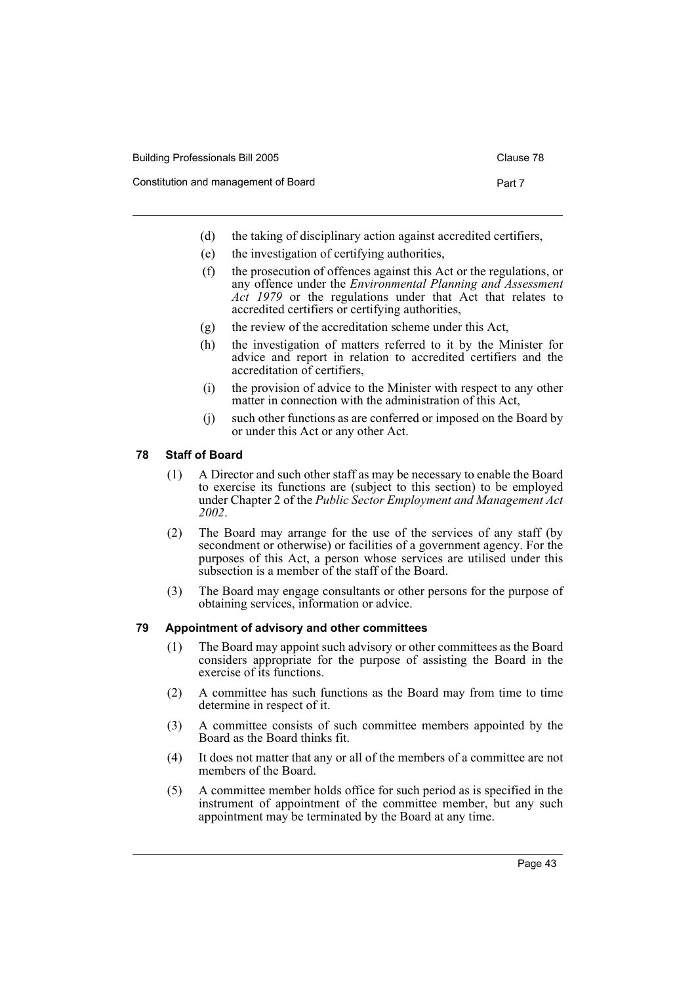| Building Professionals Bill 2005 |  |
|----------------------------------|--|
|----------------------------------|--|

- Constitution and management of Board **Part 7** Part 7
- - (d) the taking of disciplinary action against accredited certifiers,
	- (e) the investigation of certifying authorities,
	- (f) the prosecution of offences against this Act or the regulations, or any offence under the *Environmental Planning and Assessment Act 1979* or the regulations under that Act that relates to accredited certifiers or certifying authorities,
	- (g) the review of the accreditation scheme under this Act,
	- (h) the investigation of matters referred to it by the Minister for advice and report in relation to accredited certifiers and the accreditation of certifiers,
	- (i) the provision of advice to the Minister with respect to any other matter in connection with the administration of this Act,
	- (j) such other functions as are conferred or imposed on the Board by or under this Act or any other Act.

## **78 Staff of Board**

- (1) A Director and such other staff as may be necessary to enable the Board to exercise its functions are (subject to this section) to be employed under Chapter 2 of the *Public Sector Employment and Management Act 2002*.
- (2) The Board may arrange for the use of the services of any staff (by secondment or otherwise) or facilities of a government agency. For the purposes of this Act, a person whose services are utilised under this subsection is a member of the staff of the Board.
- (3) The Board may engage consultants or other persons for the purpose of obtaining services, information or advice.

## **79 Appointment of advisory and other committees**

- (1) The Board may appoint such advisory or other committees as the Board considers appropriate for the purpose of assisting the Board in the exercise of its functions.
- (2) A committee has such functions as the Board may from time to time determine in respect of it.
- (3) A committee consists of such committee members appointed by the Board as the Board thinks fit.
- (4) It does not matter that any or all of the members of a committee are not members of the Board.
- (5) A committee member holds office for such period as is specified in the instrument of appointment of the committee member, but any such appointment may be terminated by the Board at any time.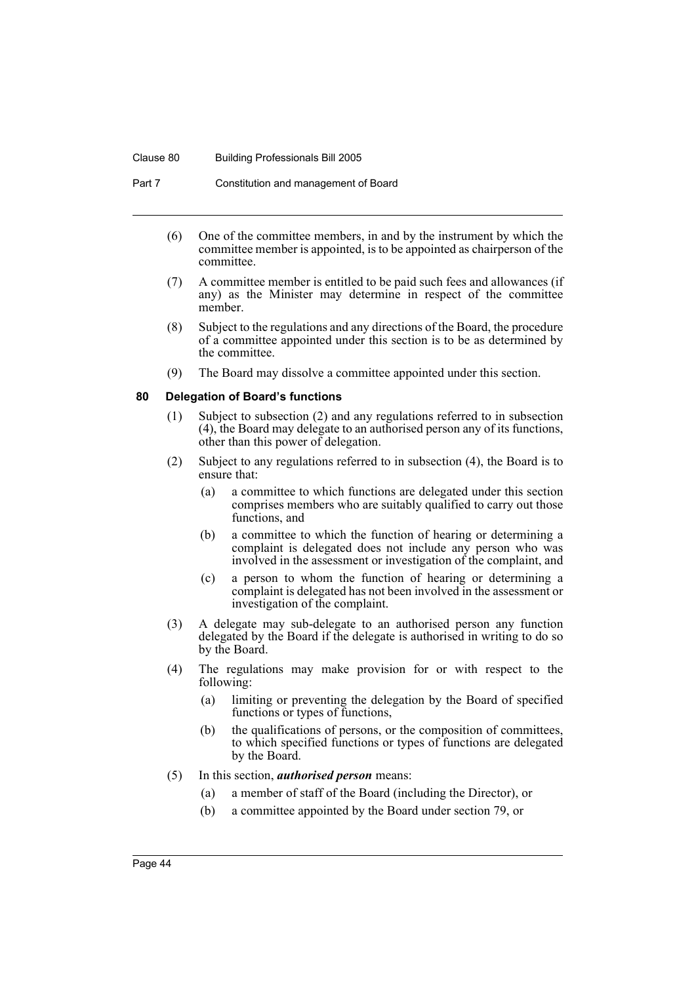#### Clause 80 Building Professionals Bill 2005

Part 7 Constitution and management of Board

- (6) One of the committee members, in and by the instrument by which the committee member is appointed, is to be appointed as chairperson of the committee.
- (7) A committee member is entitled to be paid such fees and allowances (if any) as the Minister may determine in respect of the committee member.
- (8) Subject to the regulations and any directions of the Board, the procedure of a committee appointed under this section is to be as determined by the committee.
- (9) The Board may dissolve a committee appointed under this section.

#### **80 Delegation of Board's functions**

- (1) Subject to subsection (2) and any regulations referred to in subsection (4), the Board may delegate to an authorised person any of its functions, other than this power of delegation.
- (2) Subject to any regulations referred to in subsection (4), the Board is to ensure that:
	- (a) a committee to which functions are delegated under this section comprises members who are suitably qualified to carry out those functions, and
	- (b) a committee to which the function of hearing or determining a complaint is delegated does not include any person who was involved in the assessment or investigation of the complaint, and
	- (c) a person to whom the function of hearing or determining a complaint is delegated has not been involved in the assessment or investigation of the complaint.
- (3) A delegate may sub-delegate to an authorised person any function delegated by the Board if the delegate is authorised in writing to do so by the Board.
- (4) The regulations may make provision for or with respect to the following:
	- (a) limiting or preventing the delegation by the Board of specified functions or types of functions,
	- (b) the qualifications of persons, or the composition of committees, to which specified functions or types of functions are delegated by the Board.
- (5) In this section, *authorised person* means:
	- (a) a member of staff of the Board (including the Director), or
	- (b) a committee appointed by the Board under section 79, or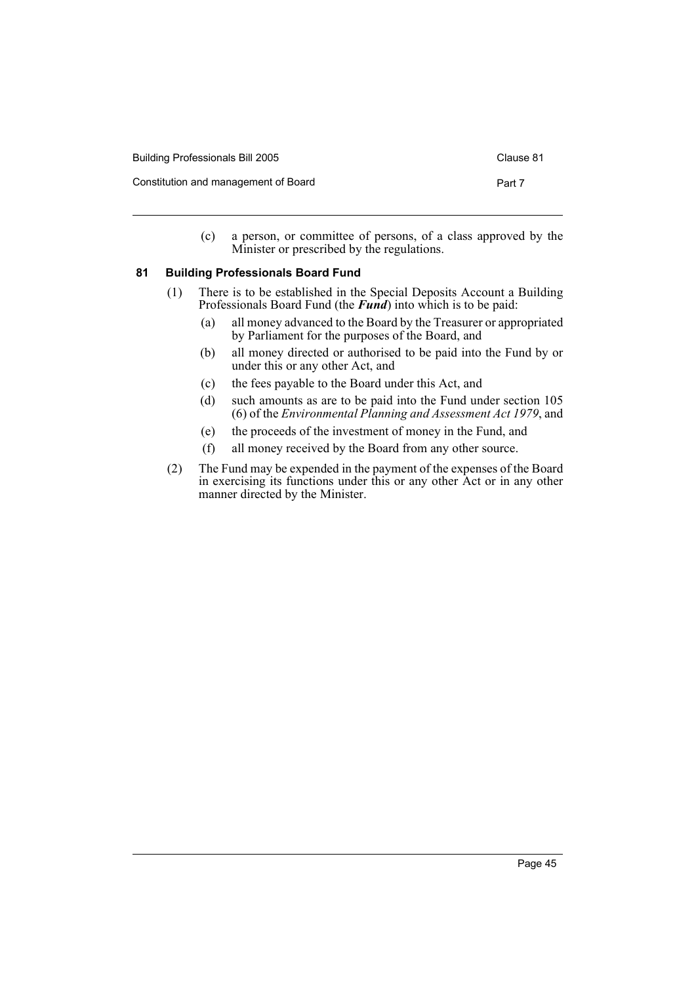| Building Professionals Bill 2005     | Clause 81 |
|--------------------------------------|-----------|
| Constitution and management of Board | Part 7    |

(c) a person, or committee of persons, of a class approved by the Minister or prescribed by the regulations.

## **81 Building Professionals Board Fund**

- (1) There is to be established in the Special Deposits Account a Building Professionals Board Fund (the *Fund*) into which is to be paid:
	- (a) all money advanced to the Board by the Treasurer or appropriated by Parliament for the purposes of the Board, and
	- (b) all money directed or authorised to be paid into the Fund by or under this or any other Act, and
	- (c) the fees payable to the Board under this Act, and
	- (d) such amounts as are to be paid into the Fund under section 105 (6) of the *Environmental Planning and Assessment Act 1979*, and
	- (e) the proceeds of the investment of money in the Fund, and
	- (f) all money received by the Board from any other source.
- (2) The Fund may be expended in the payment of the expenses of the Board in exercising its functions under this or any other Act or in any other manner directed by the Minister.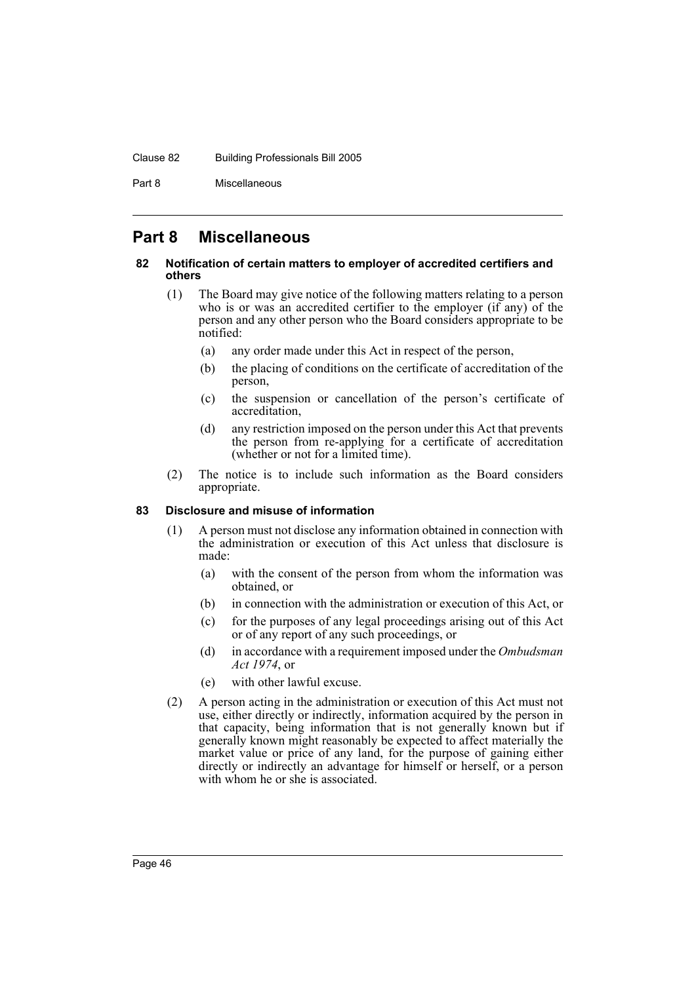#### Clause 82 Building Professionals Bill 2005

Part 8 Miscellaneous

## **Part 8 Miscellaneous**

#### **82 Notification of certain matters to employer of accredited certifiers and others**

- (1) The Board may give notice of the following matters relating to a person who is or was an accredited certifier to the employer (if any) of the person and any other person who the Board considers appropriate to be notified:
	- (a) any order made under this Act in respect of the person,
	- (b) the placing of conditions on the certificate of accreditation of the person,
	- (c) the suspension or cancellation of the person's certificate of accreditation,
	- (d) any restriction imposed on the person under this Act that prevents the person from re-applying for a certificate of accreditation (whether or not for a limited time).
- (2) The notice is to include such information as the Board considers appropriate.

#### **83 Disclosure and misuse of information**

- (1) A person must not disclose any information obtained in connection with the administration or execution of this Act unless that disclosure is made:
	- (a) with the consent of the person from whom the information was obtained, or
	- (b) in connection with the administration or execution of this Act, or
	- (c) for the purposes of any legal proceedings arising out of this Act or of any report of any such proceedings, or
	- (d) in accordance with a requirement imposed under the *Ombudsman Act 1974*, or
	- (e) with other lawful excuse.
- (2) A person acting in the administration or execution of this Act must not use, either directly or indirectly, information acquired by the person in that capacity, being information that is not generally known but if generally known might reasonably be expected to affect materially the market value or price of any land, for the purpose of gaining either directly or indirectly an advantage for himself or herself, or a person with whom he or she is associated.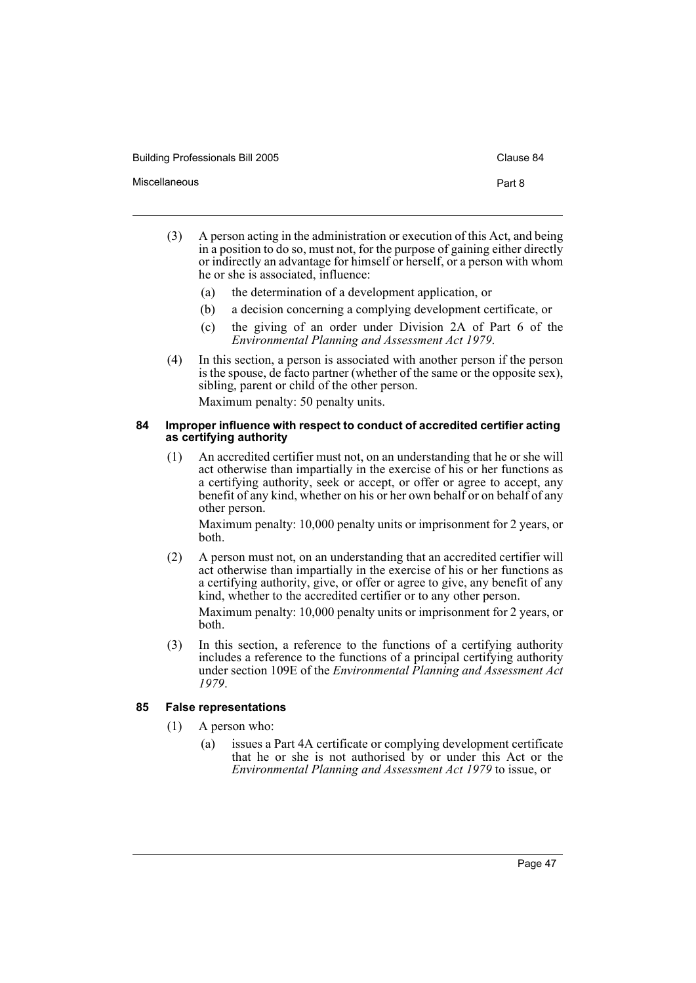- (3) A person acting in the administration or execution of this Act, and being in a position to do so, must not, for the purpose of gaining either directly or indirectly an advantage for himself or herself, or a person with whom he or she is associated, influence:
	- (a) the determination of a development application, or

Miscellaneous **Part 8** 

- (b) a decision concerning a complying development certificate, or
- (c) the giving of an order under Division 2A of Part 6 of the *Environmental Planning and Assessment Act 1979*.
- (4) In this section, a person is associated with another person if the person is the spouse, de facto partner (whether of the same or the opposite sex), sibling, parent or child of the other person. Maximum penalty: 50 penalty units.

#### **84 Improper influence with respect to conduct of accredited certifier acting as certifying authority**

(1) An accredited certifier must not, on an understanding that he or she will act otherwise than impartially in the exercise of his or her functions as a certifying authority, seek or accept, or offer or agree to accept, any benefit of any kind, whether on his or her own behalf or on behalf of any other person.

Maximum penalty: 10,000 penalty units or imprisonment for 2 years, or both.

(2) A person must not, on an understanding that an accredited certifier will act otherwise than impartially in the exercise of his or her functions as a certifying authority, give, or offer or agree to give, any benefit of any kind, whether to the accredited certifier or to any other person.

Maximum penalty: 10,000 penalty units or imprisonment for 2 years, or both.

(3) In this section, a reference to the functions of a certifying authority includes a reference to the functions of a principal certifying authority under section 109E of the *Environmental Planning and Assessment Act 1979*.

## **85 False representations**

- (1) A person who:
	- (a) issues a Part 4A certificate or complying development certificate that he or she is not authorised by or under this Act or the *Environmental Planning and Assessment Act 1979* to issue, or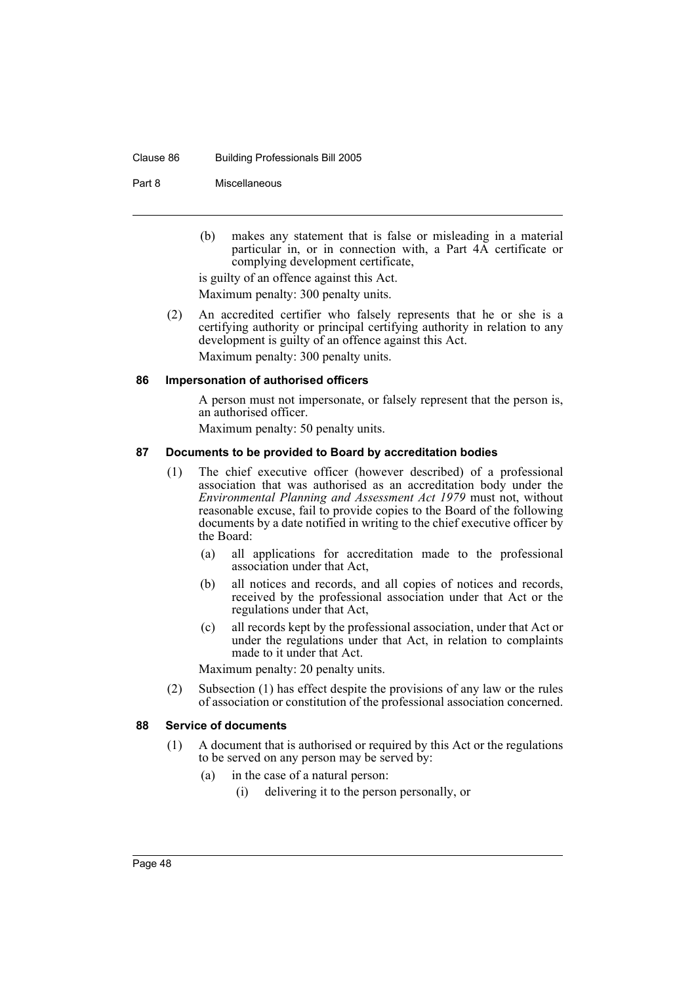#### Clause 86 Building Professionals Bill 2005

Part 8 Miscellaneous

(b) makes any statement that is false or misleading in a material particular in, or in connection with, a Part 4A certificate or complying development certificate,

is guilty of an offence against this Act.

Maximum penalty: 300 penalty units.

(2) An accredited certifier who falsely represents that he or she is a certifying authority or principal certifying authority in relation to any development is guilty of an offence against this Act.

Maximum penalty: 300 penalty units.

#### **86 Impersonation of authorised officers**

A person must not impersonate, or falsely represent that the person is, an authorised officer.

Maximum penalty: 50 penalty units.

## **87 Documents to be provided to Board by accreditation bodies**

- (1) The chief executive officer (however described) of a professional association that was authorised as an accreditation body under the *Environmental Planning and Assessment Act 1979* must not, without reasonable excuse, fail to provide copies to the Board of the following documents by a date notified in writing to the chief executive officer by the Board:
	- (a) all applications for accreditation made to the professional association under that Act,
	- (b) all notices and records, and all copies of notices and records, received by the professional association under that Act or the regulations under that Act,
	- (c) all records kept by the professional association, under that Act or under the regulations under that Act, in relation to complaints made to it under that Act.

Maximum penalty: 20 penalty units.

(2) Subsection (1) has effect despite the provisions of any law or the rules of association or constitution of the professional association concerned.

## **88 Service of documents**

- (1) A document that is authorised or required by this Act or the regulations to be served on any person may be served by:
	- (a) in the case of a natural person:
		- (i) delivering it to the person personally, or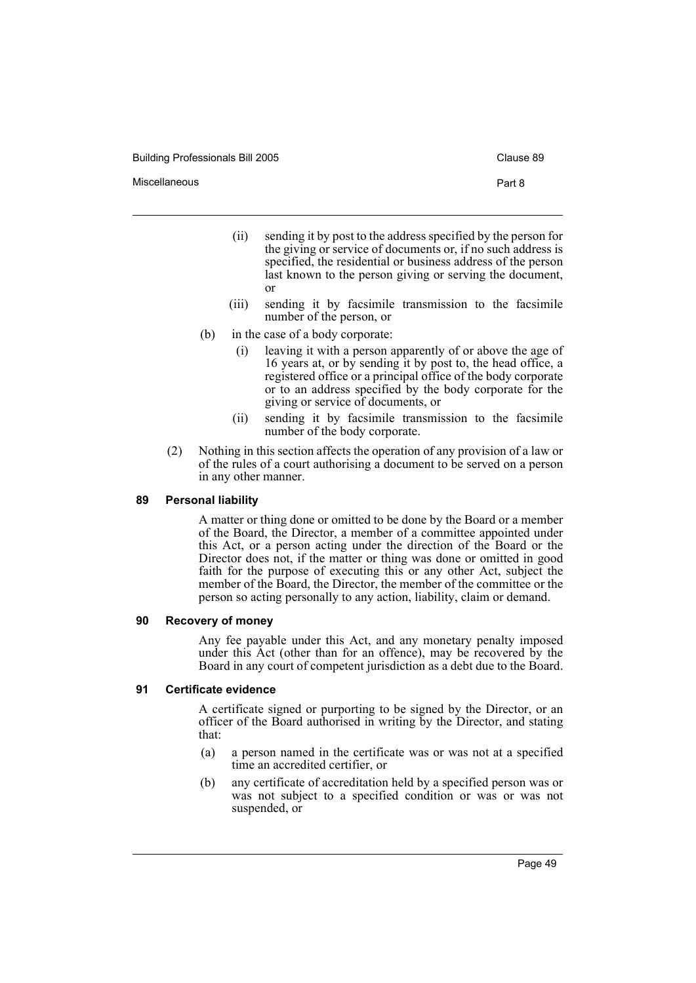Building Professionals Bill 2005 Clause 89

Miscellaneous **Part 8** 

- (ii) sending it by post to the address specified by the person for the giving or service of documents or, if no such address is specified, the residential or business address of the person last known to the person giving or serving the document, or
- (iii) sending it by facsimile transmission to the facsimile number of the person, or
- (b) in the case of a body corporate:
	- (i) leaving it with a person apparently of or above the age of 16 years at, or by sending it by post to, the head office, a registered office or a principal office of the body corporate or to an address specified by the body corporate for the giving or service of documents, or
	- (ii) sending it by facsimile transmission to the facsimile number of the body corporate.
- (2) Nothing in this section affects the operation of any provision of a law or of the rules of a court authorising a document to be served on a person in any other manner.

#### **89 Personal liability**

A matter or thing done or omitted to be done by the Board or a member of the Board, the Director, a member of a committee appointed under this Act, or a person acting under the direction of the Board or the Director does not, if the matter or thing was done or omitted in good faith for the purpose of executing this or any other Act, subject the member of the Board, the Director, the member of the committee or the person so acting personally to any action, liability, claim or demand.

## **90 Recovery of money**

Any fee payable under this Act, and any monetary penalty imposed under this Act (other than for an offence), may be recovered by the Board in any court of competent jurisdiction as a debt due to the Board.

#### **91 Certificate evidence**

A certificate signed or purporting to be signed by the Director, or an officer of the Board authorised in writing by the Director, and stating that:

- (a) a person named in the certificate was or was not at a specified time an accredited certifier, or
- (b) any certificate of accreditation held by a specified person was or was not subject to a specified condition or was or was not suspended, or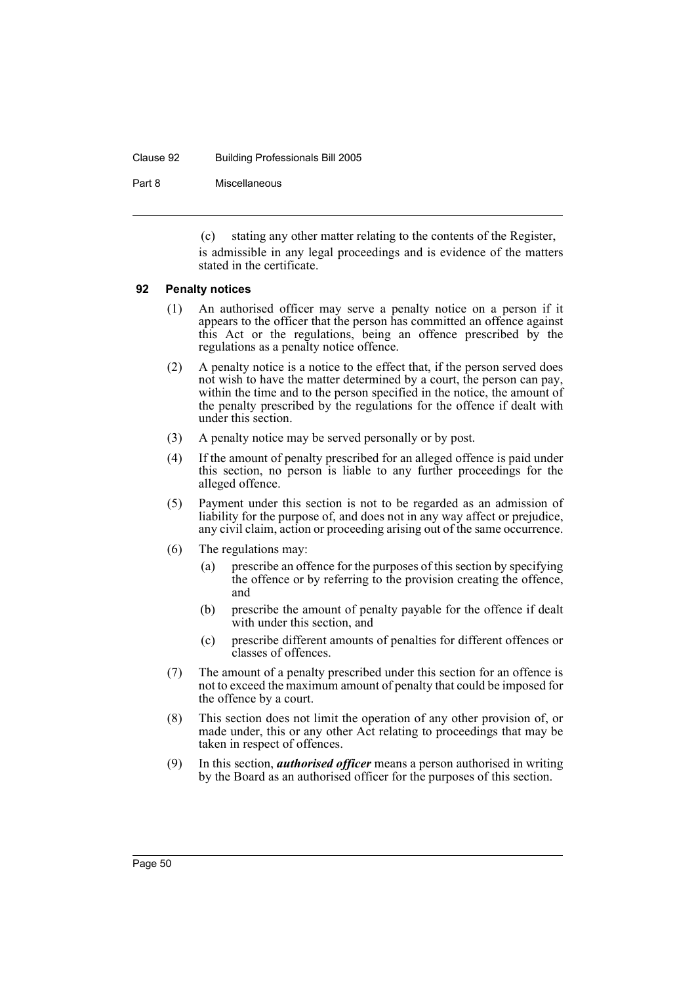#### Clause 92 Building Professionals Bill 2005

Part 8 Miscellaneous

(c) stating any other matter relating to the contents of the Register, is admissible in any legal proceedings and is evidence of the matters stated in the certificate.

#### **92 Penalty notices**

- (1) An authorised officer may serve a penalty notice on a person if it appears to the officer that the person has committed an offence against this Act or the regulations, being an offence prescribed by the regulations as a penalty notice offence.
- (2) A penalty notice is a notice to the effect that, if the person served does not wish to have the matter determined by a court, the person can pay, within the time and to the person specified in the notice, the amount of the penalty prescribed by the regulations for the offence if dealt with under this section.
- (3) A penalty notice may be served personally or by post.
- (4) If the amount of penalty prescribed for an alleged offence is paid under this section, no person is liable to any further proceedings for the alleged offence.
- (5) Payment under this section is not to be regarded as an admission of liability for the purpose of, and does not in any way affect or prejudice, any civil claim, action or proceeding arising out of the same occurrence.
- (6) The regulations may:
	- (a) prescribe an offence for the purposes of this section by specifying the offence or by referring to the provision creating the offence, and
	- (b) prescribe the amount of penalty payable for the offence if dealt with under this section, and
	- (c) prescribe different amounts of penalties for different offences or classes of offences.
- (7) The amount of a penalty prescribed under this section for an offence is not to exceed the maximum amount of penalty that could be imposed for the offence by a court.
- (8) This section does not limit the operation of any other provision of, or made under, this or any other Act relating to proceedings that may be taken in respect of offences.
- (9) In this section, *authorised officer* means a person authorised in writing by the Board as an authorised officer for the purposes of this section.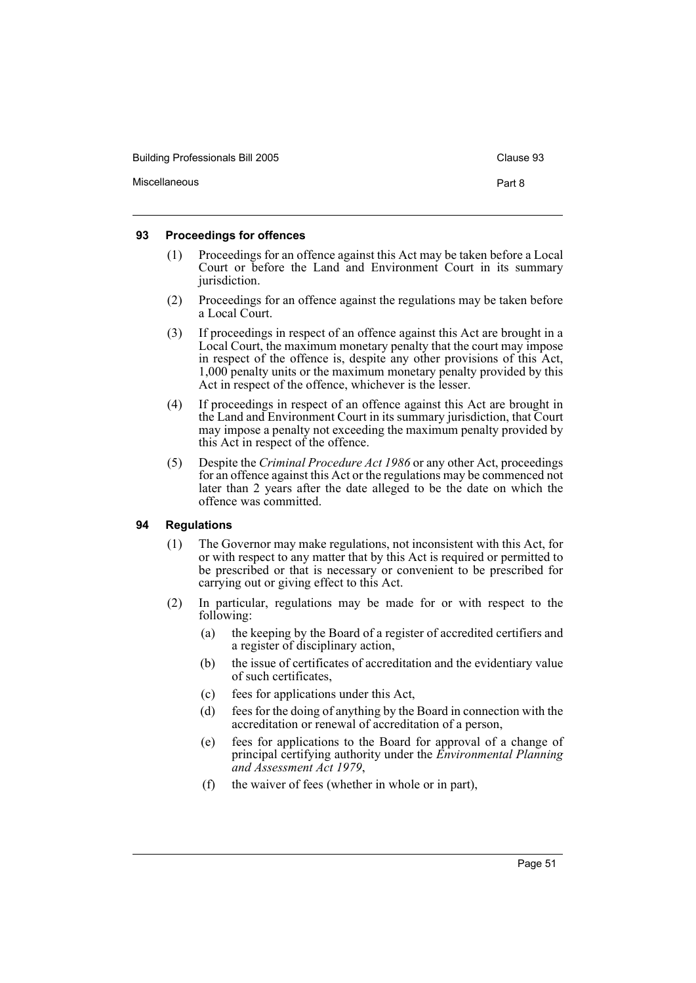Building Professionals Bill 2005 Clause 93

#### **93 Proceedings for offences**

- (1) Proceedings for an offence against this Act may be taken before a Local Court or before the Land and Environment Court in its summary jurisdiction.
- (2) Proceedings for an offence against the regulations may be taken before a Local Court.
- (3) If proceedings in respect of an offence against this Act are brought in a Local Court, the maximum monetary penalty that the court may impose in respect of the offence is, despite any other provisions of this Act, 1,000 penalty units or the maximum monetary penalty provided by this Act in respect of the offence, whichever is the lesser.
- (4) If proceedings in respect of an offence against this Act are brought in the Land and Environment Court in its summary jurisdiction, that Court may impose a penalty not exceeding the maximum penalty provided by this Act in respect of the offence.
- (5) Despite the *Criminal Procedure Act 1986* or any other Act, proceedings for an offence against this Act or the regulations may be commenced not later than 2 years after the date alleged to be the date on which the offence was committed.

#### **94 Regulations**

- (1) The Governor may make regulations, not inconsistent with this Act, for or with respect to any matter that by this Act is required or permitted to be prescribed or that is necessary or convenient to be prescribed for carrying out or giving effect to this Act.
- (2) In particular, regulations may be made for or with respect to the following:
	- (a) the keeping by the Board of a register of accredited certifiers and a register of disciplinary action,
	- (b) the issue of certificates of accreditation and the evidentiary value of such certificates,
	- (c) fees for applications under this Act,
	- (d) fees for the doing of anything by the Board in connection with the accreditation or renewal of accreditation of a person,
	- (e) fees for applications to the Board for approval of a change of principal certifying authority under the *Environmental Planning and Assessment Act 1979*,
	- (f) the waiver of fees (whether in whole or in part),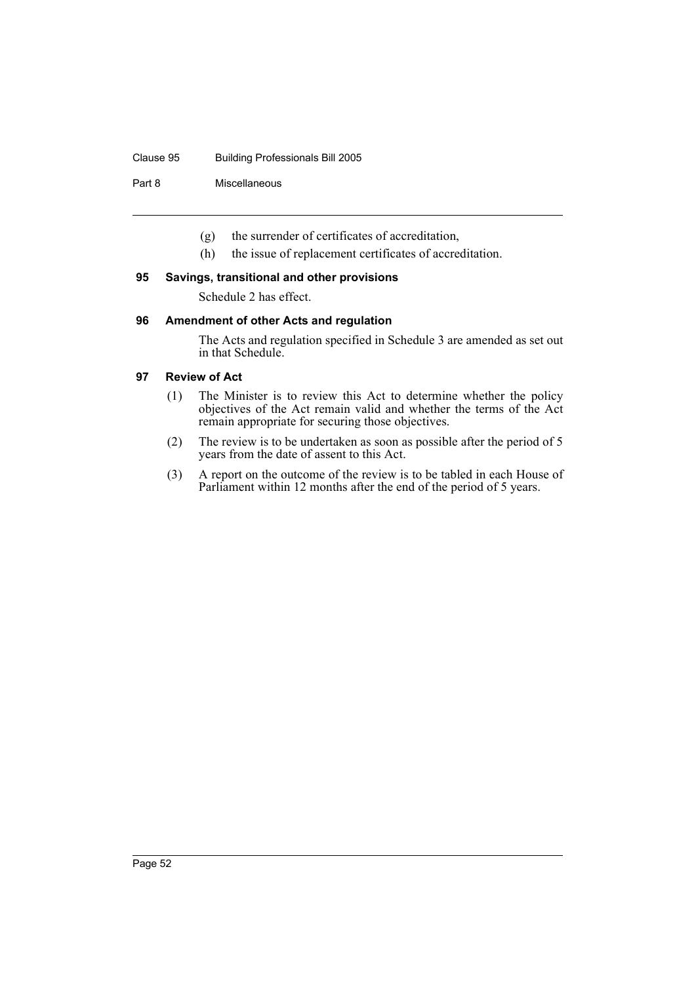## Clause 95 Building Professionals Bill 2005

Part 8 Miscellaneous

- (g) the surrender of certificates of accreditation,
- (h) the issue of replacement certificates of accreditation.

## **95 Savings, transitional and other provisions**

Schedule 2 has effect.

## **96 Amendment of other Acts and regulation**

The Acts and regulation specified in Schedule 3 are amended as set out in that Schedule.

## **97 Review of Act**

- (1) The Minister is to review this Act to determine whether the policy objectives of the Act remain valid and whether the terms of the Act remain appropriate for securing those objectives.
- (2) The review is to be undertaken as soon as possible after the period of 5 years from the date of assent to this Act.
- (3) A report on the outcome of the review is to be tabled in each House of Parliament within 12 months after the end of the period of 5 years.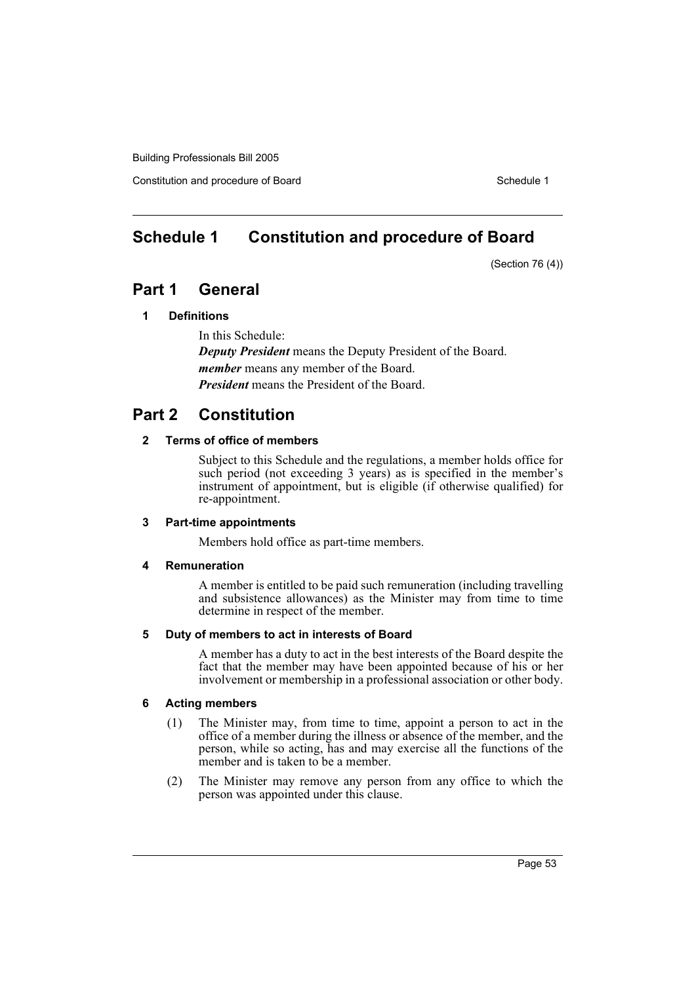Constitution and procedure of Board Schedule 1 and Schedule 1 and Schedule 1 and Schedule 1

# **Schedule 1 Constitution and procedure of Board**

(Section 76 (4))

# **Part 1 General**

## **1 Definitions**

In this Schedule: *Deputy President* means the Deputy President of the Board. *member* means any member of the Board. *President* means the President of the Board.

# **Part 2 Constitution**

## **2 Terms of office of members**

Subject to this Schedule and the regulations, a member holds office for such period (not exceeding 3 years) as is specified in the member's instrument of appointment, but is eligible (if otherwise qualified) for re-appointment.

## **3 Part-time appointments**

Members hold office as part-time members.

## **4 Remuneration**

A member is entitled to be paid such remuneration (including travelling and subsistence allowances) as the Minister may from time to time determine in respect of the member.

## **5 Duty of members to act in interests of Board**

A member has a duty to act in the best interests of the Board despite the fact that the member may have been appointed because of his or her involvement or membership in a professional association or other body.

## **6 Acting members**

- (1) The Minister may, from time to time, appoint a person to act in the office of a member during the illness or absence of the member, and the person, while so acting, has and may exercise all the functions of the member and is taken to be a member.
- (2) The Minister may remove any person from any office to which the person was appointed under this clause.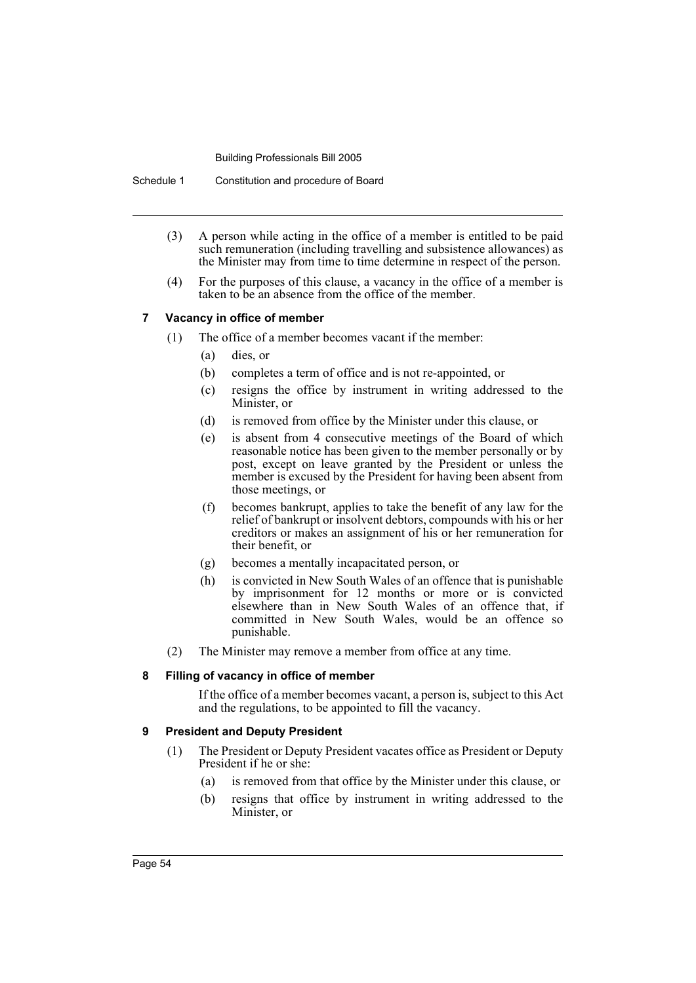Schedule 1 Constitution and procedure of Board

- (3) A person while acting in the office of a member is entitled to be paid such remuneration (including travelling and subsistence allowances) as the Minister may from time to time determine in respect of the person.
- (4) For the purposes of this clause, a vacancy in the office of a member is taken to be an absence from the office of the member.

## **7 Vacancy in office of member**

- (1) The office of a member becomes vacant if the member:
	- (a) dies, or
	- (b) completes a term of office and is not re-appointed, or
	- (c) resigns the office by instrument in writing addressed to the Minister, or
	- (d) is removed from office by the Minister under this clause, or
	- (e) is absent from 4 consecutive meetings of the Board of which reasonable notice has been given to the member personally or by post, except on leave granted by the President or unless the member is excused by the President for having been absent from those meetings, or
	- (f) becomes bankrupt, applies to take the benefit of any law for the relief of bankrupt or insolvent debtors, compounds with his or her creditors or makes an assignment of his or her remuneration for their benefit, or
	- (g) becomes a mentally incapacitated person, or
	- (h) is convicted in New South Wales of an offence that is punishable by imprisonment for 12 months or more or is convicted elsewhere than in New South Wales of an offence that, if committed in New South Wales, would be an offence so punishable.
- (2) The Minister may remove a member from office at any time.

#### **8 Filling of vacancy in office of member**

If the office of a member becomes vacant, a person is, subject to this Act and the regulations, to be appointed to fill the vacancy.

#### **9 President and Deputy President**

- (1) The President or Deputy President vacates office as President or Deputy President if he or she:
	- (a) is removed from that office by the Minister under this clause, or
	- (b) resigns that office by instrument in writing addressed to the Minister, or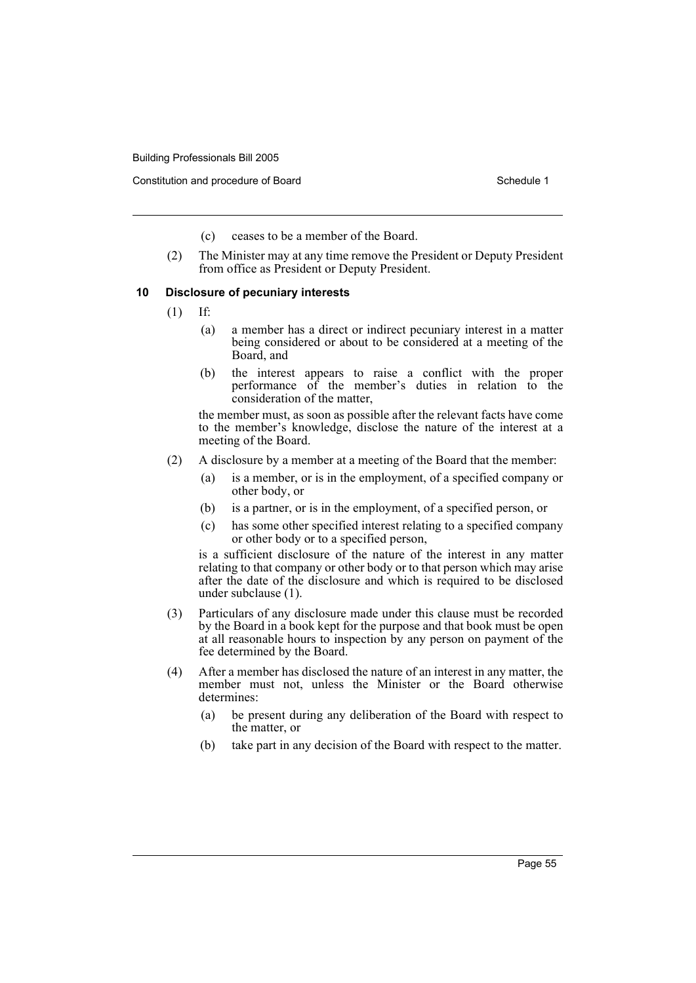Constitution and procedure of Board Schedule 1 and Schedule 1 and Schedule 1 and Schedule 1

- (c) ceases to be a member of the Board.
- (2) The Minister may at any time remove the President or Deputy President from office as President or Deputy President.

#### **10 Disclosure of pecuniary interests**

- (1) If:
	- (a) a member has a direct or indirect pecuniary interest in a matter being considered or about to be considered at a meeting of the Board, and
	- (b) the interest appears to raise a conflict with the proper performance of the member's duties in relation to the consideration of the matter,

the member must, as soon as possible after the relevant facts have come to the member's knowledge, disclose the nature of the interest at a meeting of the Board.

- (2) A disclosure by a member at a meeting of the Board that the member:
	- (a) is a member, or is in the employment, of a specified company or other body, or
	- (b) is a partner, or is in the employment, of a specified person, or
	- (c) has some other specified interest relating to a specified company or other body or to a specified person,

is a sufficient disclosure of the nature of the interest in any matter relating to that company or other body or to that person which may arise after the date of the disclosure and which is required to be disclosed under subclause (1).

- (3) Particulars of any disclosure made under this clause must be recorded by the Board in a book kept for the purpose and that book must be open at all reasonable hours to inspection by any person on payment of the fee determined by the Board.
- (4) After a member has disclosed the nature of an interest in any matter, the member must not, unless the Minister or the Board otherwise determines:
	- (a) be present during any deliberation of the Board with respect to the matter, or
	- (b) take part in any decision of the Board with respect to the matter.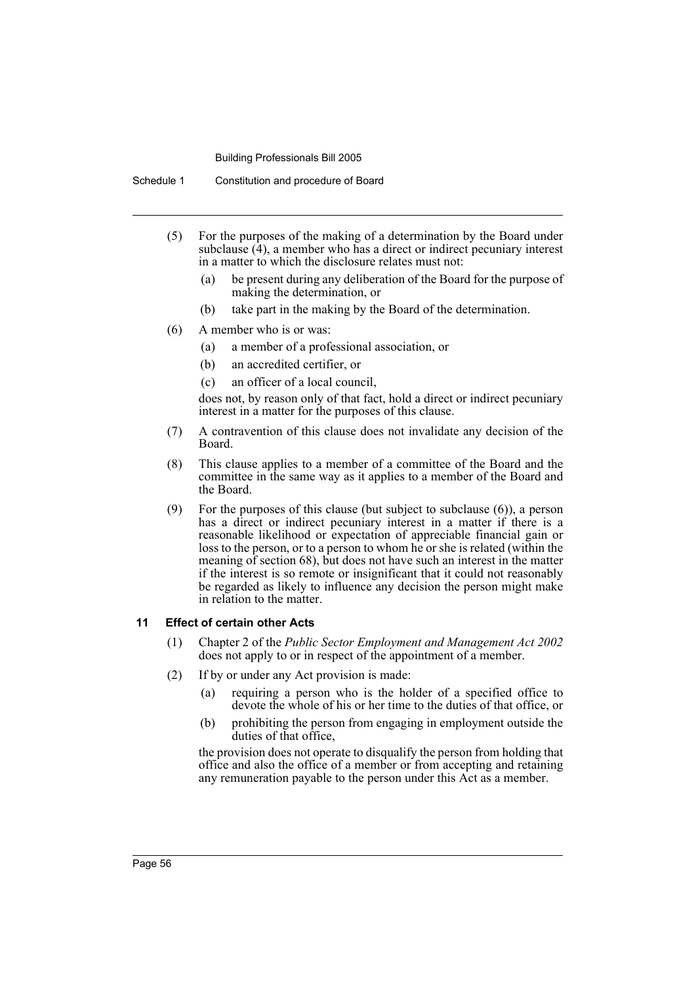Schedule 1 Constitution and procedure of Board

- (5) For the purposes of the making of a determination by the Board under subclause  $(4)$ , a member who has a direct or indirect pecuniary interest in a matter to which the disclosure relates must not:
	- (a) be present during any deliberation of the Board for the purpose of making the determination, or
	- (b) take part in the making by the Board of the determination.
- (6) A member who is or was:
	- (a) a member of a professional association, or
	- (b) an accredited certifier, or
	- (c) an officer of a local council,

does not, by reason only of that fact, hold a direct or indirect pecuniary interest in a matter for the purposes of this clause.

- (7) A contravention of this clause does not invalidate any decision of the Board.
- (8) This clause applies to a member of a committee of the Board and the committee in the same way as it applies to a member of the Board and the Board.
- (9) For the purposes of this clause (but subject to subclause (6)), a person has a direct or indirect pecuniary interest in a matter if there is a reasonable likelihood or expectation of appreciable financial gain or loss to the person, or to a person to whom he or she is related (within the meaning of section 68), but does not have such an interest in the matter if the interest is so remote or insignificant that it could not reasonably be regarded as likely to influence any decision the person might make in relation to the matter.

#### **11 Effect of certain other Acts**

- (1) Chapter 2 of the *Public Sector Employment and Management Act 2002* does not apply to or in respect of the appointment of a member.
- (2) If by or under any Act provision is made:
	- (a) requiring a person who is the holder of a specified office to devote the whole of his or her time to the duties of that office, or
	- (b) prohibiting the person from engaging in employment outside the duties of that office,

the provision does not operate to disqualify the person from holding that office and also the office of a member or from accepting and retaining any remuneration payable to the person under this Act as a member.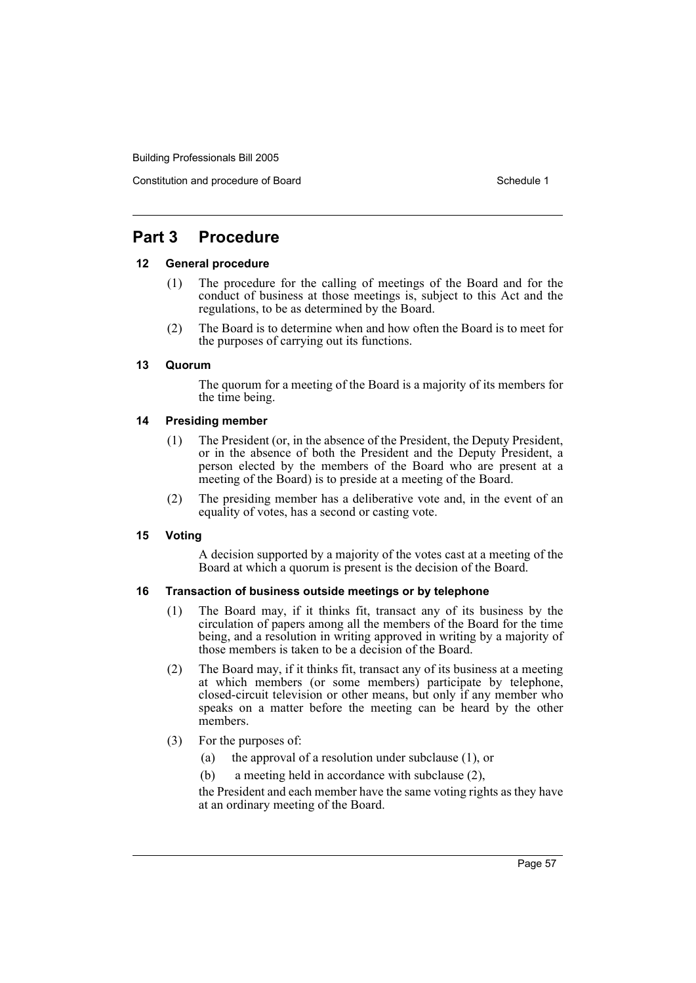Constitution and procedure of Board Schedule 1 and Schedule 1 and Schedule 1 and Schedule 1

# **Part 3 Procedure**

## **12 General procedure**

- (1) The procedure for the calling of meetings of the Board and for the conduct of business at those meetings is, subject to this Act and the regulations, to be as determined by the Board.
- (2) The Board is to determine when and how often the Board is to meet for the purposes of carrying out its functions.

## **13 Quorum**

The quorum for a meeting of the Board is a majority of its members for the time being.

## **14 Presiding member**

- (1) The President (or, in the absence of the President, the Deputy President, or in the absence of both the President and the Deputy President, a person elected by the members of the Board who are present at a meeting of the Board) is to preside at a meeting of the Board.
- (2) The presiding member has a deliberative vote and, in the event of an equality of votes, has a second or casting vote.

## **15 Voting**

A decision supported by a majority of the votes cast at a meeting of the Board at which a quorum is present is the decision of the Board.

## **16 Transaction of business outside meetings or by telephone**

- (1) The Board may, if it thinks fit, transact any of its business by the circulation of papers among all the members of the Board for the time being, and a resolution in writing approved in writing by a majority of those members is taken to be a decision of the Board.
- (2) The Board may, if it thinks fit, transact any of its business at a meeting at which members (or some members) participate by telephone, closed-circuit television or other means, but only if any member who speaks on a matter before the meeting can be heard by the other members.
- (3) For the purposes of:
	- (a) the approval of a resolution under subclause (1), or
	- (b) a meeting held in accordance with subclause (2),

the President and each member have the same voting rights as they have at an ordinary meeting of the Board.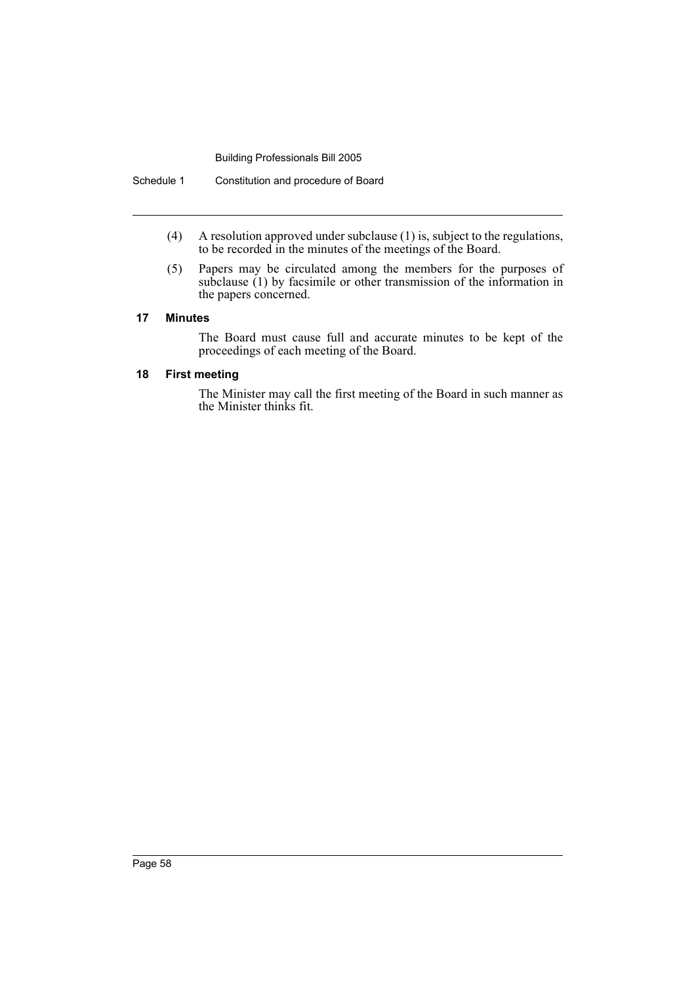Schedule 1 Constitution and procedure of Board

- (4) A resolution approved under subclause (1) is, subject to the regulations, to be recorded in the minutes of the meetings of the Board.
- (5) Papers may be circulated among the members for the purposes of subclause (1) by facsimile or other transmission of the information in the papers concerned.

#### **17 Minutes**

The Board must cause full and accurate minutes to be kept of the proceedings of each meeting of the Board.

#### **18 First meeting**

The Minister may call the first meeting of the Board in such manner as the Minister thinks fit.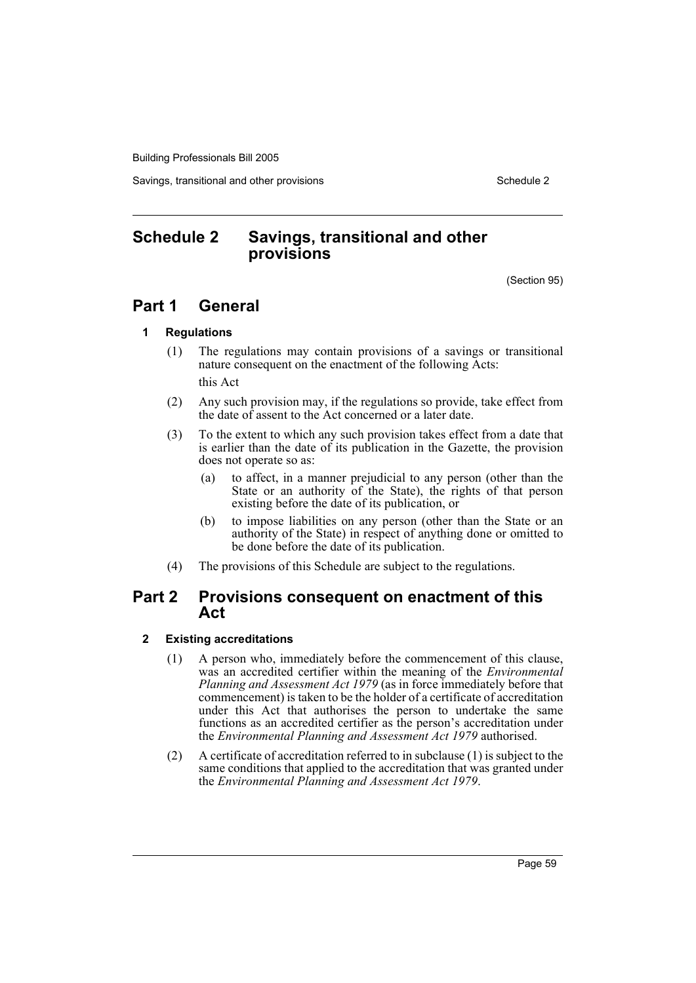Savings, transitional and other provisions Schedule 2 and Schedule 2

# **Schedule 2 Savings, transitional and other provisions**

(Section 95)

# **Part 1 General**

## **1 Regulations**

(1) The regulations may contain provisions of a savings or transitional nature consequent on the enactment of the following Acts:

this Act

- (2) Any such provision may, if the regulations so provide, take effect from the date of assent to the Act concerned or a later date.
- (3) To the extent to which any such provision takes effect from a date that is earlier than the date of its publication in the Gazette, the provision does not operate so as:
	- (a) to affect, in a manner prejudicial to any person (other than the State or an authority of the State), the rights of that person existing before the date of its publication, or
	- (b) to impose liabilities on any person (other than the State or an authority of the State) in respect of anything done or omitted to be done before the date of its publication.
- (4) The provisions of this Schedule are subject to the regulations.

# **Part 2 Provisions consequent on enactment of this Act**

## **2 Existing accreditations**

- (1) A person who, immediately before the commencement of this clause, was an accredited certifier within the meaning of the *Environmental Planning and Assessment Act 1979* (as in force immediately before that commencement) is taken to be the holder of a certificate of accreditation under this Act that authorises the person to undertake the same functions as an accredited certifier as the person's accreditation under the *Environmental Planning and Assessment Act 1979* authorised.
- (2) A certificate of accreditation referred to in subclause (1) is subject to the same conditions that applied to the accreditation that was granted under the *Environmental Planning and Assessment Act 1979*.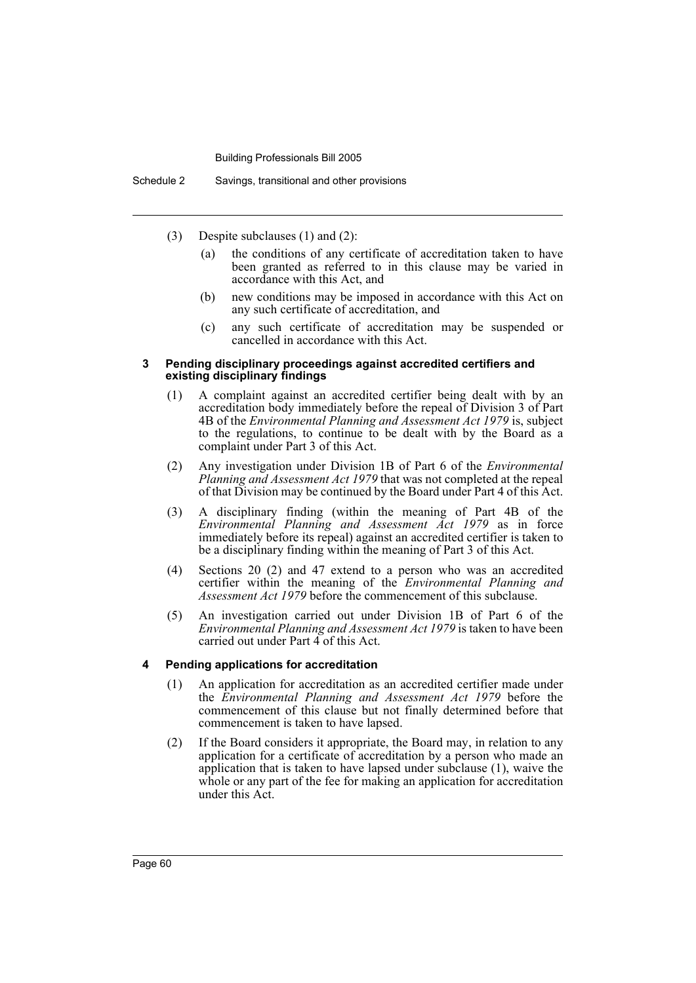- (3) Despite subclauses (1) and (2):
	- (a) the conditions of any certificate of accreditation taken to have been granted as referred to in this clause may be varied in accordance with this Act, and
	- (b) new conditions may be imposed in accordance with this Act on any such certificate of accreditation, and
	- (c) any such certificate of accreditation may be suspended or cancelled in accordance with this Act.

#### **3 Pending disciplinary proceedings against accredited certifiers and existing disciplinary findings**

- (1) A complaint against an accredited certifier being dealt with by an accreditation body immediately before the repeal of Division 3 of Part 4B of the *Environmental Planning and Assessment Act 1979* is, subject to the regulations, to continue to be dealt with by the Board as a complaint under Part 3 of this Act.
- (2) Any investigation under Division 1B of Part 6 of the *Environmental Planning and Assessment Act 1979* that was not completed at the repeal of that Division may be continued by the Board under Part 4 of this Act.
- (3) A disciplinary finding (within the meaning of Part 4B of the *Environmental Planning and Assessment Act 1979* as in force immediately before its repeal) against an accredited certifier is taken to be a disciplinary finding within the meaning of Part 3 of this Act.
- (4) Sections 20 (2) and 47 extend to a person who was an accredited certifier within the meaning of the *Environmental Planning and Assessment Act 1979* before the commencement of this subclause.
- (5) An investigation carried out under Division 1B of Part 6 of the *Environmental Planning and Assessment Act 1979* is taken to have been carried out under Part 4 of this Act.

#### **4 Pending applications for accreditation**

- (1) An application for accreditation as an accredited certifier made under the *Environmental Planning and Assessment Act 1979* before the commencement of this clause but not finally determined before that commencement is taken to have lapsed.
- (2) If the Board considers it appropriate, the Board may, in relation to any application for a certificate of accreditation by a person who made an application that is taken to have lapsed under subclause (1), waive the whole or any part of the fee for making an application for accreditation under this Act.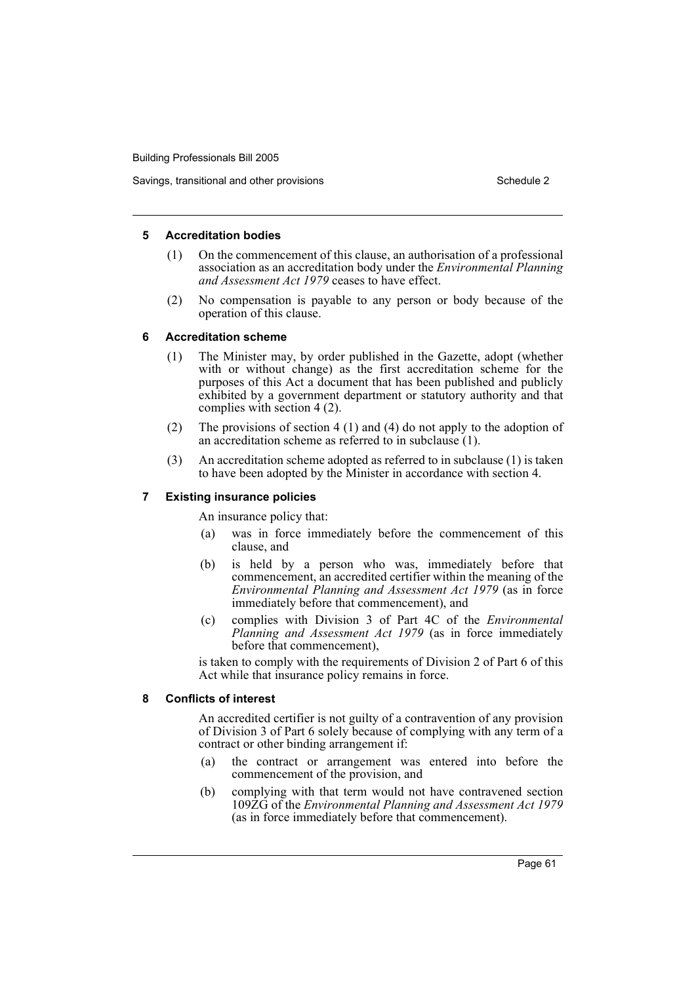#### **5 Accreditation bodies**

- (1) On the commencement of this clause, an authorisation of a professional association as an accreditation body under the *Environmental Planning and Assessment Act 1979* ceases to have effect.
- (2) No compensation is payable to any person or body because of the operation of this clause.

#### **6 Accreditation scheme**

- (1) The Minister may, by order published in the Gazette, adopt (whether with or without change) as the first accreditation scheme for the purposes of this Act a document that has been published and publicly exhibited by a government department or statutory authority and that complies with section 4 (2).
- (2) The provisions of section 4 (1) and (4) do not apply to the adoption of an accreditation scheme as referred to in subclause (1).
- (3) An accreditation scheme adopted as referred to in subclause (1) is taken to have been adopted by the Minister in accordance with section 4.

#### **7 Existing insurance policies**

An insurance policy that:

- (a) was in force immediately before the commencement of this clause, and
- (b) is held by a person who was, immediately before that commencement, an accredited certifier within the meaning of the *Environmental Planning and Assessment Act 1979* (as in force immediately before that commencement), and
- (c) complies with Division 3 of Part 4C of the *Environmental Planning and Assessment Act 1979* (as in force immediately before that commencement),

is taken to comply with the requirements of Division 2 of Part 6 of this Act while that insurance policy remains in force.

#### **8 Conflicts of interest**

An accredited certifier is not guilty of a contravention of any provision of Division 3 of Part 6 solely because of complying with any term of a contract or other binding arrangement if:

- (a) the contract or arrangement was entered into before the commencement of the provision, and
- (b) complying with that term would not have contravened section 109ZG of the *Environmental Planning and Assessment Act 1979* (as in force immediately before that commencement).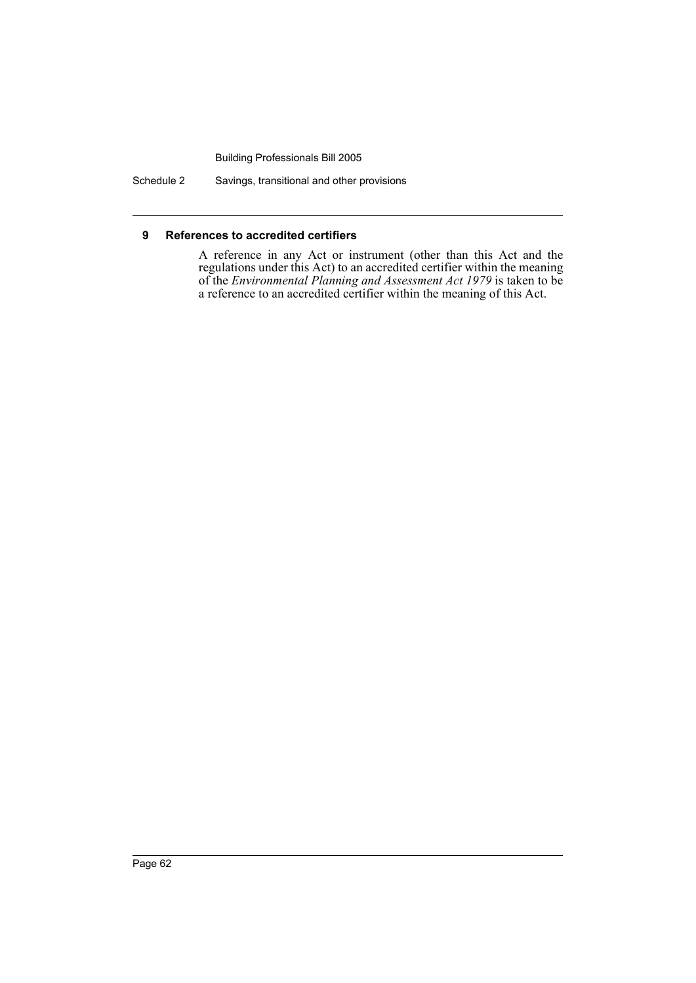Schedule 2 Savings, transitional and other provisions

#### **9 References to accredited certifiers**

A reference in any Act or instrument (other than this Act and the regulations under this Act) to an accredited certifier within the meaning of the *Environmental Planning and Assessment Act 1979* is taken to be a reference to an accredited certifier within the meaning of this Act.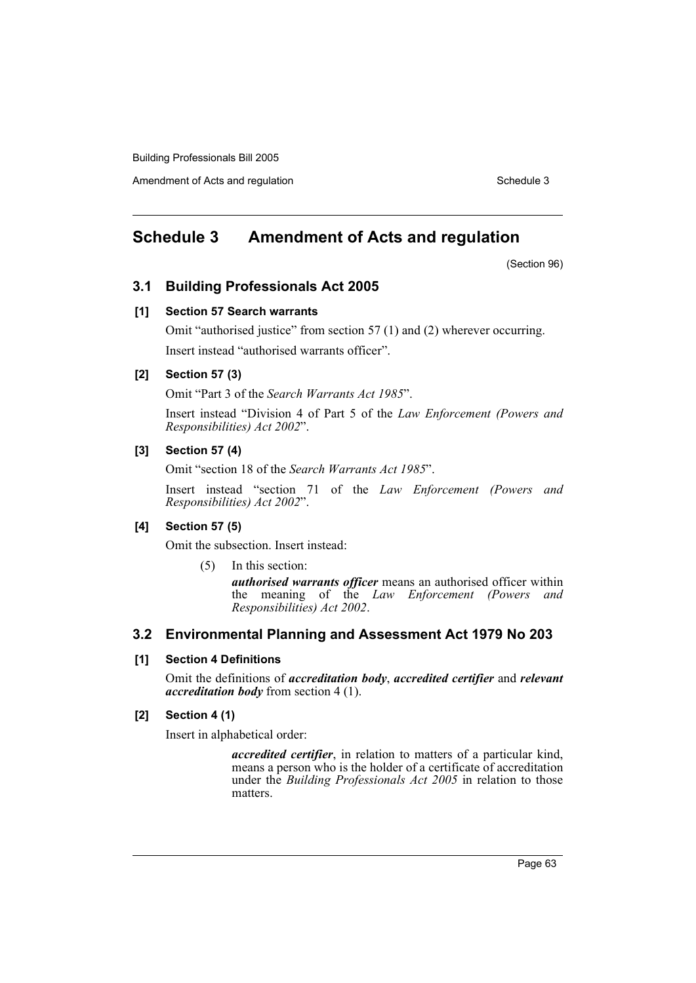Amendment of Acts and regulation Schedule 3

# **Schedule 3 Amendment of Acts and regulation**

(Section 96)

## **3.1 Building Professionals Act 2005**

#### **[1] Section 57 Search warrants**

Omit "authorised justice" from section 57 (1) and (2) wherever occurring. Insert instead "authorised warrants officer".

## **[2] Section 57 (3)**

Omit "Part 3 of the *Search Warrants Act 1985*".

Insert instead "Division 4 of Part 5 of the *Law Enforcement (Powers and Responsibilities) Act 2002*".

## **[3] Section 57 (4)**

Omit "section 18 of the *Search Warrants Act 1985*".

Insert instead "section 71 of the *Law Enforcement (Powers and Responsibilities) Act 2002*".

#### **[4] Section 57 (5)**

Omit the subsection. Insert instead:

(5) In this section:

*authorised warrants officer* means an authorised officer within the meaning of the *Law Enforcement (Powers and Responsibilities) Act 2002*.

## **3.2 Environmental Planning and Assessment Act 1979 No 203**

## **[1] Section 4 Definitions**

Omit the definitions of *accreditation body*, *accredited certifier* and *relevant accreditation body* from section 4 (1).

## **[2] Section 4 (1)**

Insert in alphabetical order:

*accredited certifier*, in relation to matters of a particular kind, means a person who is the holder of a certificate of accreditation under the *Building Professionals Act 2005* in relation to those matters.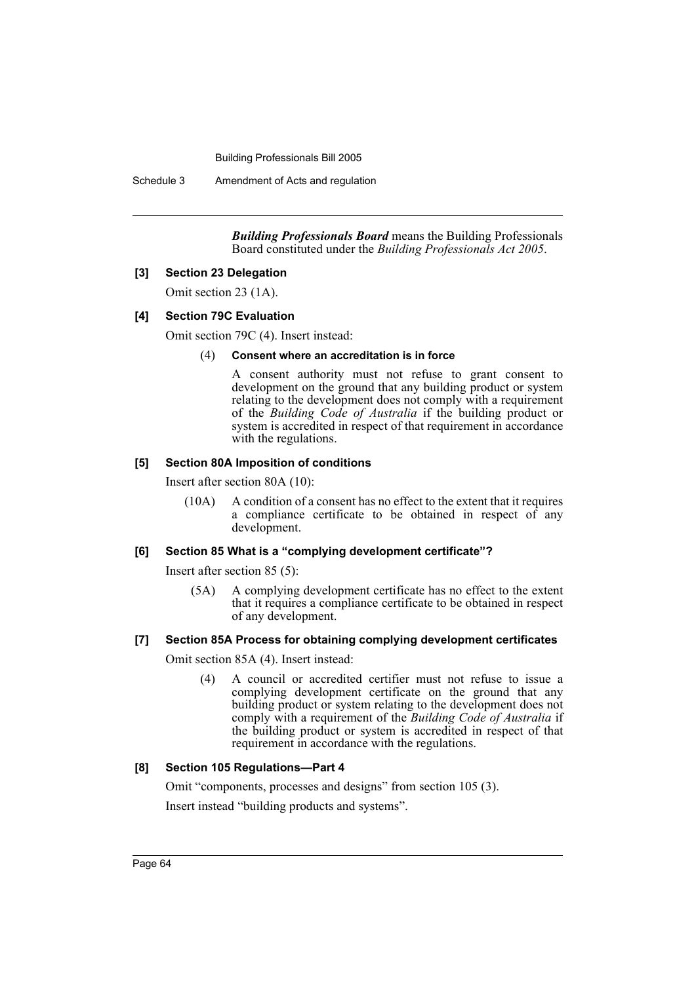Schedule 3 Amendment of Acts and regulation

*Building Professionals Board* means the Building Professionals Board constituted under the *Building Professionals Act 2005*.

#### **[3] Section 23 Delegation**

Omit section 23 (1A).

## **[4] Section 79C Evaluation**

Omit section 79C (4). Insert instead:

#### (4) **Consent where an accreditation is in force**

A consent authority must not refuse to grant consent to development on the ground that any building product or system relating to the development does not comply with a requirement of the *Building Code of Australia* if the building product or system is accredited in respect of that requirement in accordance with the regulations.

## **[5] Section 80A Imposition of conditions**

Insert after section 80A (10):

(10A) A condition of a consent has no effect to the extent that it requires a compliance certificate to be obtained in respect of any development.

#### **[6] Section 85 What is a "complying development certificate"?**

Insert after section 85 (5):

(5A) A complying development certificate has no effect to the extent that it requires a compliance certificate to be obtained in respect of any development.

#### **[7] Section 85A Process for obtaining complying development certificates**

Omit section 85A (4). Insert instead:

(4) A council or accredited certifier must not refuse to issue a complying development certificate on the ground that any building product or system relating to the development does not comply with a requirement of the *Building Code of Australia* if the building product or system is accredited in respect of that requirement in accordance with the regulations.

## **[8] Section 105 Regulations—Part 4**

Omit "components, processes and designs" from section 105 (3).

Insert instead "building products and systems".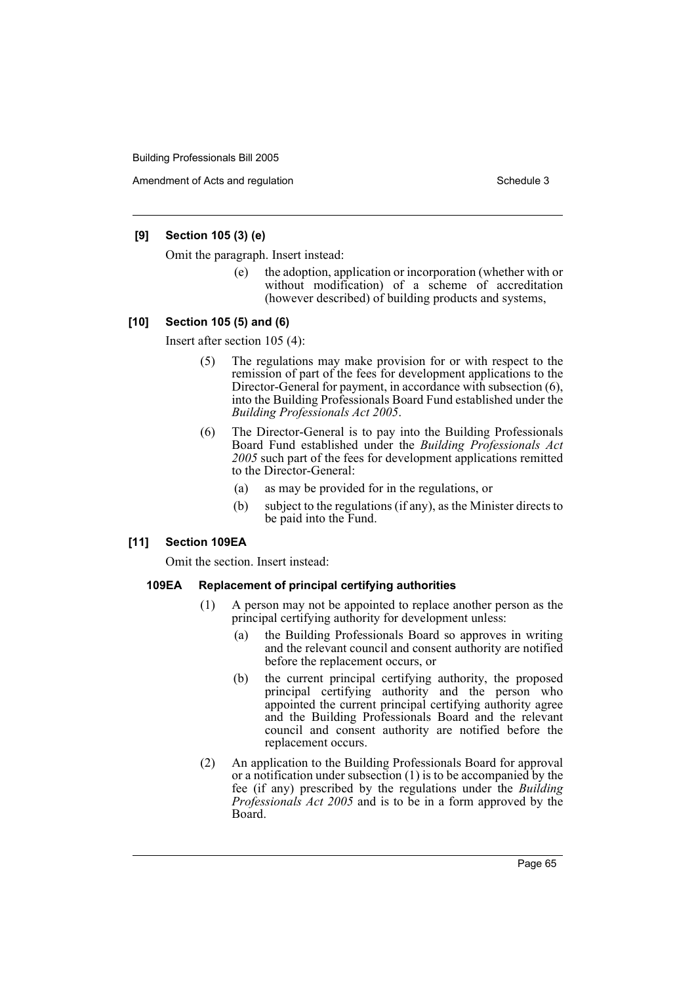Amendment of Acts and regulation Schedule 3

## **[9] Section 105 (3) (e)**

Omit the paragraph. Insert instead:

(e) the adoption, application or incorporation (whether with or without modification) of a scheme of accreditation (however described) of building products and systems,

## **[10] Section 105 (5) and (6)**

Insert after section 105 (4):

- (5) The regulations may make provision for or with respect to the remission of part of the fees for development applications to the Director-General for payment, in accordance with subsection  $(6)$ , into the Building Professionals Board Fund established under the *Building Professionals Act 2005*.
- (6) The Director-General is to pay into the Building Professionals Board Fund established under the *Building Professionals Act 2005* such part of the fees for development applications remitted to the Director-General:
	- (a) as may be provided for in the regulations, or
	- (b) subject to the regulations (if any), as the Minister directs to be paid into the Fund.

## **[11] Section 109EA**

Omit the section. Insert instead:

## **109EA Replacement of principal certifying authorities**

- (1) A person may not be appointed to replace another person as the principal certifying authority for development unless:
	- (a) the Building Professionals Board so approves in writing and the relevant council and consent authority are notified before the replacement occurs, or
	- (b) the current principal certifying authority, the proposed principal certifying authority and the person who appointed the current principal certifying authority agree and the Building Professionals Board and the relevant council and consent authority are notified before the replacement occurs.
- (2) An application to the Building Professionals Board for approval or a notification under subsection (1) is to be accompanied by the fee (if any) prescribed by the regulations under the *Building Professionals Act 2005* and is to be in a form approved by the Board.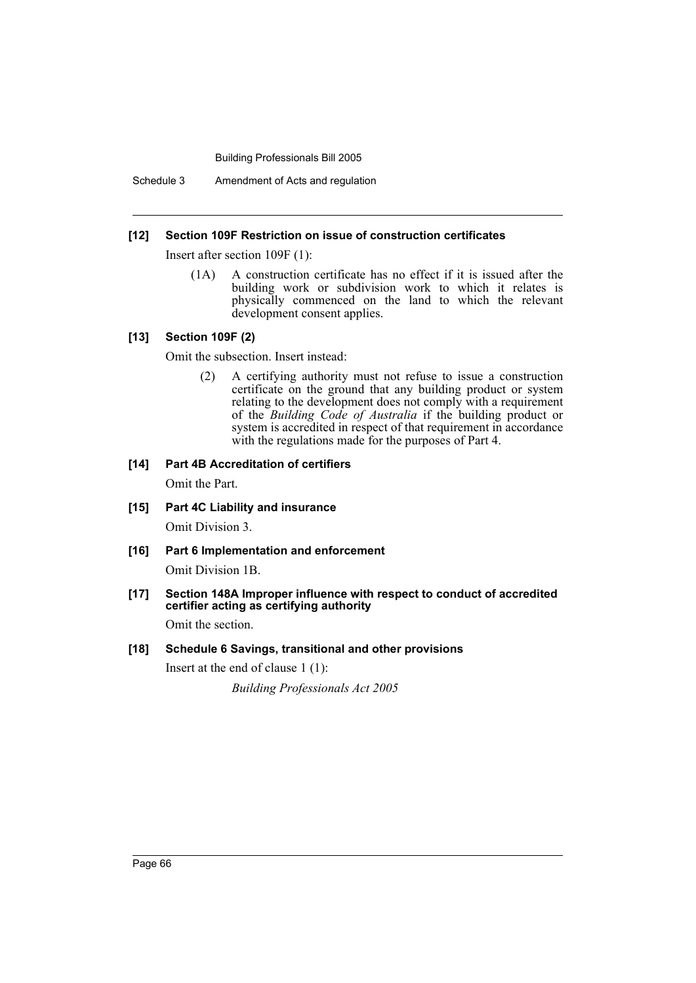Schedule 3 Amendment of Acts and regulation

#### **[12] Section 109F Restriction on issue of construction certificates**

Insert after section 109F (1):

(1A) A construction certificate has no effect if it is issued after the building work or subdivision work to which it relates is physically commenced on the land to which the relevant development consent applies.

#### **[13] Section 109F (2)**

Omit the subsection. Insert instead:

(2) A certifying authority must not refuse to issue a construction certificate on the ground that any building product or system relating to the development does not comply with a requirement of the *Building Code of Australia* if the building product or system is accredited in respect of that requirement in accordance with the regulations made for the purposes of Part 4.

#### **[14] Part 4B Accreditation of certifiers**

Omit the Part.

#### **[15] Part 4C Liability and insurance**

Omit Division 3.

**[16] Part 6 Implementation and enforcement**

Omit Division 1B.

#### **[17] Section 148A Improper influence with respect to conduct of accredited certifier acting as certifying authority**

Omit the section.

#### **[18] Schedule 6 Savings, transitional and other provisions**

Insert at the end of clause 1 (1):

*Building Professionals Act 2005*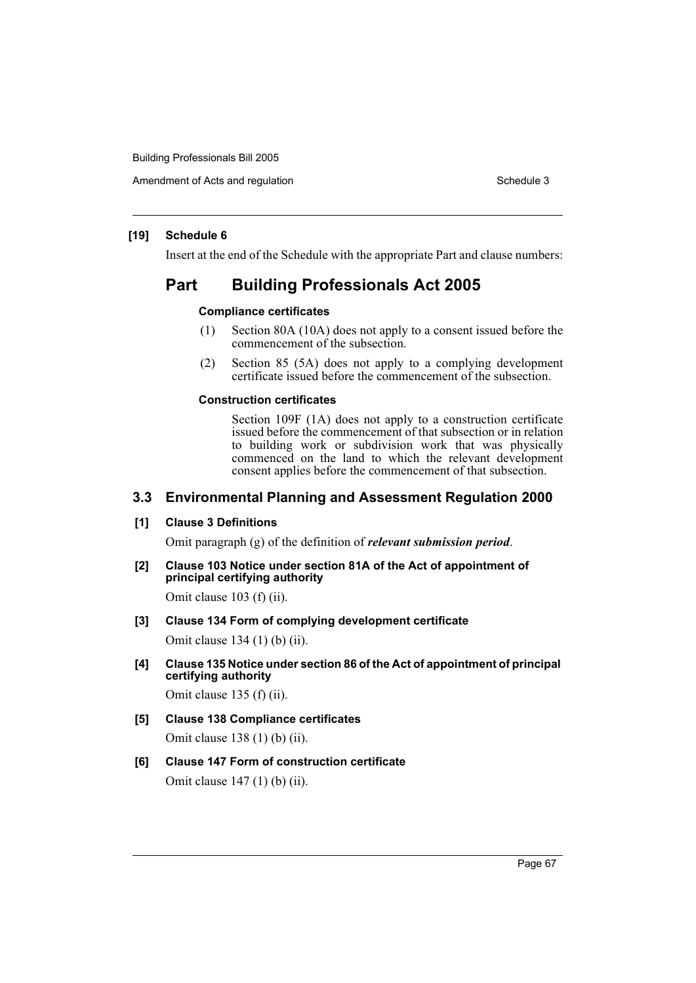Amendment of Acts and regulation Schedule 3

## **[19] Schedule 6**

Insert at the end of the Schedule with the appropriate Part and clause numbers:

# **Part Building Professionals Act 2005**

## **Compliance certificates**

- (1) Section 80A (10A) does not apply to a consent issued before the commencement of the subsection.
- (2) Section 85 (5A) does not apply to a complying development certificate issued before the commencement of the subsection.

## **Construction certificates**

Section 109F (1A) does not apply to a construction certificate issued before the commencement of that subsection or in relation to building work or subdivision work that was physically commenced on the land to which the relevant development consent applies before the commencement of that subsection.

## **3.3 Environmental Planning and Assessment Regulation 2000**

**[1] Clause 3 Definitions**

Omit paragraph (g) of the definition of *relevant submission period*.

**[2] Clause 103 Notice under section 81A of the Act of appointment of principal certifying authority**

Omit clause 103 (f) (ii).

- **[3] Clause 134 Form of complying development certificate** Omit clause 134 (1) (b) (ii).
- **[4] Clause 135 Notice under section 86 of the Act of appointment of principal certifying authority**

Omit clause 135 (f) (ii).

- **[5] Clause 138 Compliance certificates** Omit clause 138 (1) (b) (ii).
- **[6] Clause 147 Form of construction certificate** Omit clause 147 (1) (b) (ii).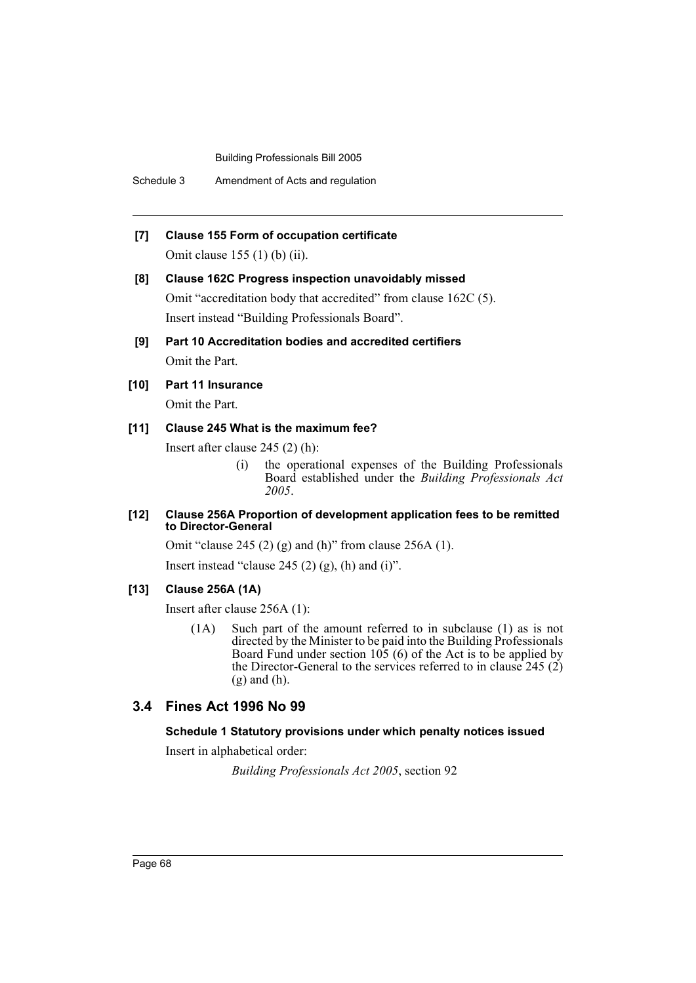Building Professionals Bill 2005

**[7] Clause 155 Form of occupation certificate**

Omit clause 155 (1) (b) (ii).

**[8] Clause 162C Progress inspection unavoidably missed**

Omit "accreditation body that accredited" from clause 162C (5). Insert instead "Building Professionals Board".

**[9] Part 10 Accreditation bodies and accredited certifiers** Omit the Part.

### **[10] Part 11 Insurance**

Omit the Part.

# **[11] Clause 245 What is the maximum fee?**

Insert after clause 245 (2) (h):

(i) the operational expenses of the Building Professionals Board established under the *Building Professionals Act 2005*.

#### **[12] Clause 256A Proportion of development application fees to be remitted to Director-General**

Omit "clause 245 (2) (g) and (h)" from clause 256A (1).

Insert instead "clause 245 (2) (g), (h) and (i)".

## **[13] Clause 256A (1A)**

Insert after clause 256A (1):

(1A) Such part of the amount referred to in subclause (1) as is not directed by the Minister to be paid into the Building Professionals Board Fund under section 105 (6) of the Act is to be applied by the Director-General to the services referred to in clause 245 (2) (g) and (h).

# **3.4 Fines Act 1996 No 99**

#### **Schedule 1 Statutory provisions under which penalty notices issued**

Insert in alphabetical order:

*Building Professionals Act 2005*, section 92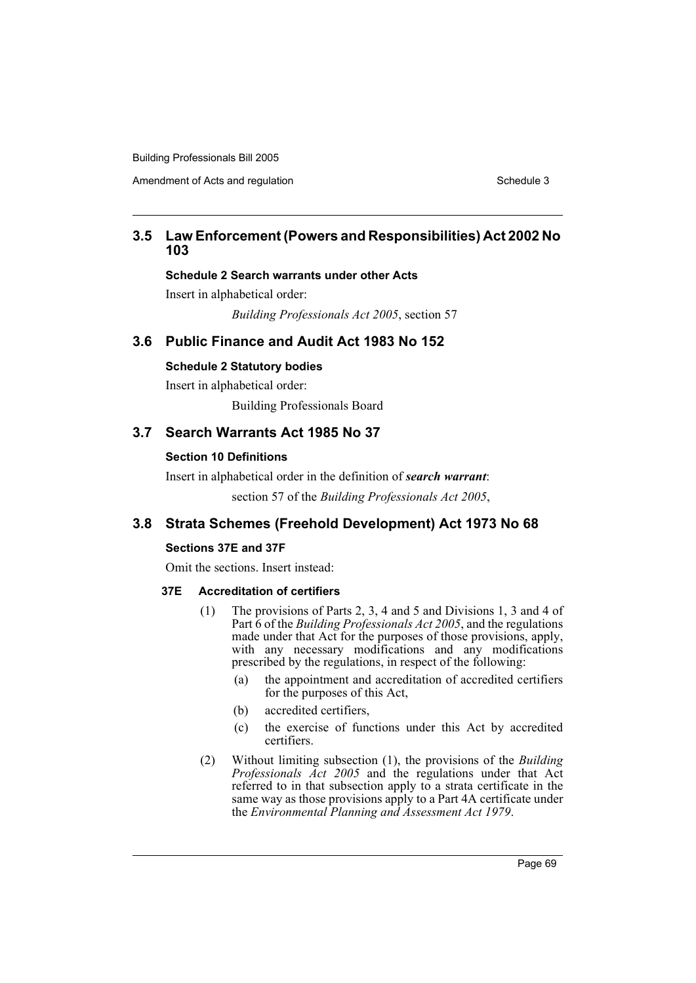Amendment of Acts and regulation Schedule 3

# **3.5 Law Enforcement (Powers and Responsibilities) Act 2002 No 103**

#### **Schedule 2 Search warrants under other Acts**

Insert in alphabetical order:

*Building Professionals Act 2005*, section 57

# **3.6 Public Finance and Audit Act 1983 No 152**

# **Schedule 2 Statutory bodies**

Insert in alphabetical order: Building Professionals Board

# **3.7 Search Warrants Act 1985 No 37**

### **Section 10 Definitions**

Insert in alphabetical order in the definition of *search warrant*:

section 57 of the *Building Professionals Act 2005*,

# **3.8 Strata Schemes (Freehold Development) Act 1973 No 68**

### **Sections 37E and 37F**

Omit the sections. Insert instead:

#### **37E Accreditation of certifiers**

- (1) The provisions of Parts 2, 3, 4 and 5 and Divisions 1, 3 and 4 of Part 6 of the *Building Professionals Act 2005*, and the regulations made under that Act for the purposes of those provisions, apply, with any necessary modifications and any modifications prescribed by the regulations, in respect of the following:
	- (a) the appointment and accreditation of accredited certifiers for the purposes of this Act,
	- (b) accredited certifiers,
	- (c) the exercise of functions under this Act by accredited certifiers.
- (2) Without limiting subsection (1), the provisions of the *Building Professionals Act 2005* and the regulations under that Act referred to in that subsection apply to a strata certificate in the same way as those provisions apply to a Part 4A certificate under the *Environmental Planning and Assessment Act 1979*.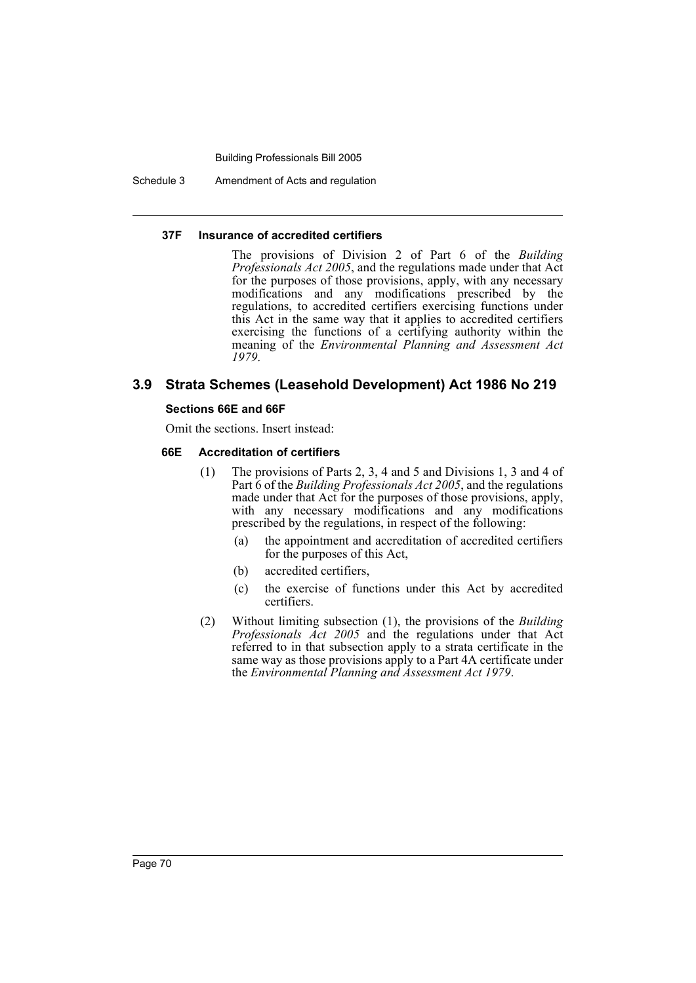#### Building Professionals Bill 2005

Schedule 3 Amendment of Acts and regulation

#### **37F Insurance of accredited certifiers**

The provisions of Division 2 of Part 6 of the *Building Professionals Act 2005*, and the regulations made under that Act for the purposes of those provisions, apply, with any necessary modifications and any modifications prescribed by the regulations, to accredited certifiers exercising functions under this Act in the same way that it applies to accredited certifiers exercising the functions of a certifying authority within the meaning of the *Environmental Planning and Assessment Act 1979*.

## **3.9 Strata Schemes (Leasehold Development) Act 1986 No 219**

#### **Sections 66E and 66F**

Omit the sections. Insert instead:

### **66E Accreditation of certifiers**

- (1) The provisions of Parts 2, 3, 4 and 5 and Divisions 1, 3 and 4 of Part 6 of the *Building Professionals Act 2005*, and the regulations made under that Act for the purposes of those provisions, apply, with any necessary modifications and any modifications prescribed by the regulations, in respect of the following:
	- (a) the appointment and accreditation of accredited certifiers for the purposes of this Act,
	- (b) accredited certifiers,
	- (c) the exercise of functions under this Act by accredited certifiers.
- (2) Without limiting subsection (1), the provisions of the *Building Professionals Act 2005* and the regulations under that Act referred to in that subsection apply to a strata certificate in the same way as those provisions apply to a Part 4A certificate under the *Environmental Planning and Assessment Act 1979*.